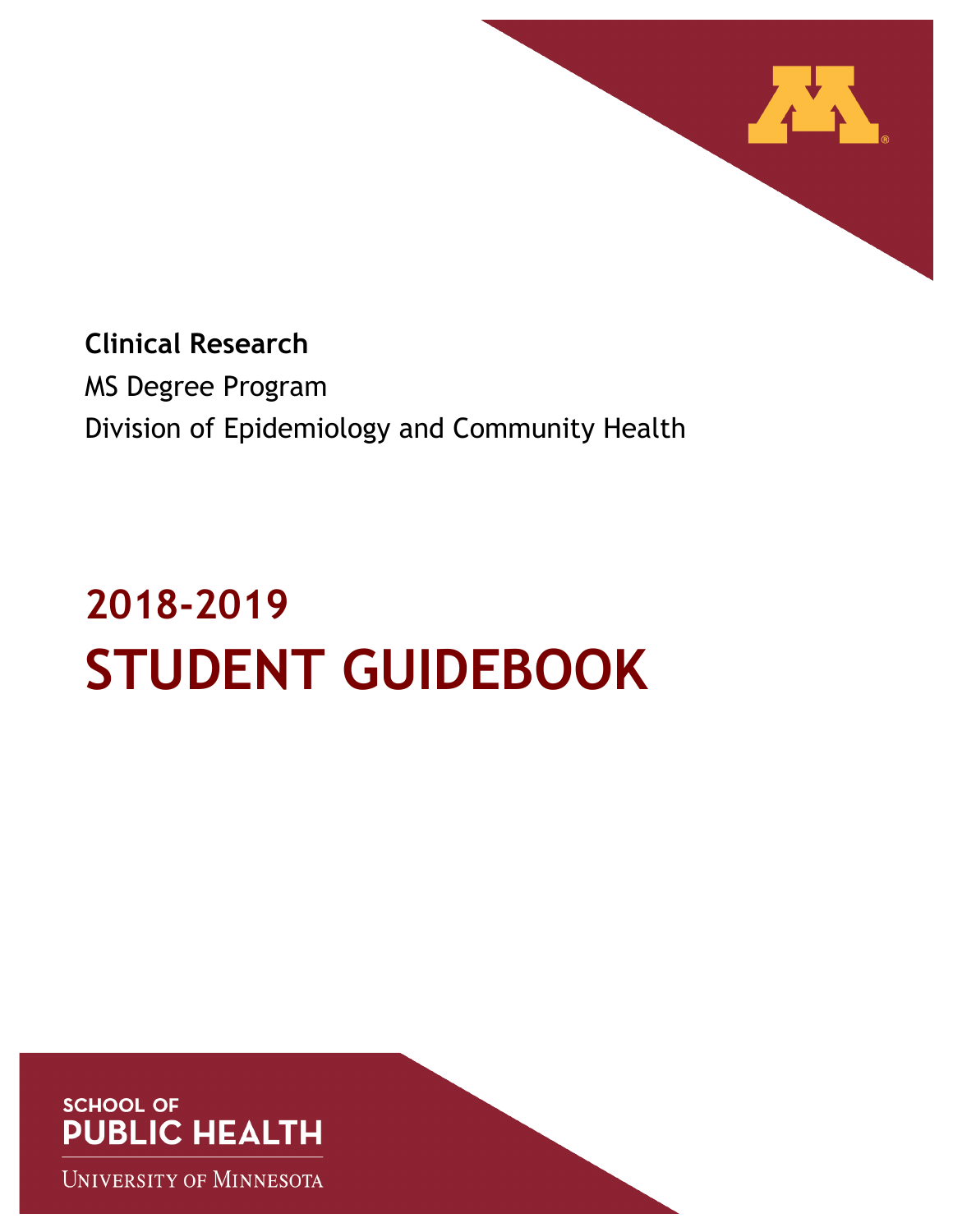

**Clinical Research** MS Degree Program Division of Epidemiology and Community Health

# **2018-2019 STUDENT GUIDEBOOK**



**UNIVERSITY OF MINNESOTA**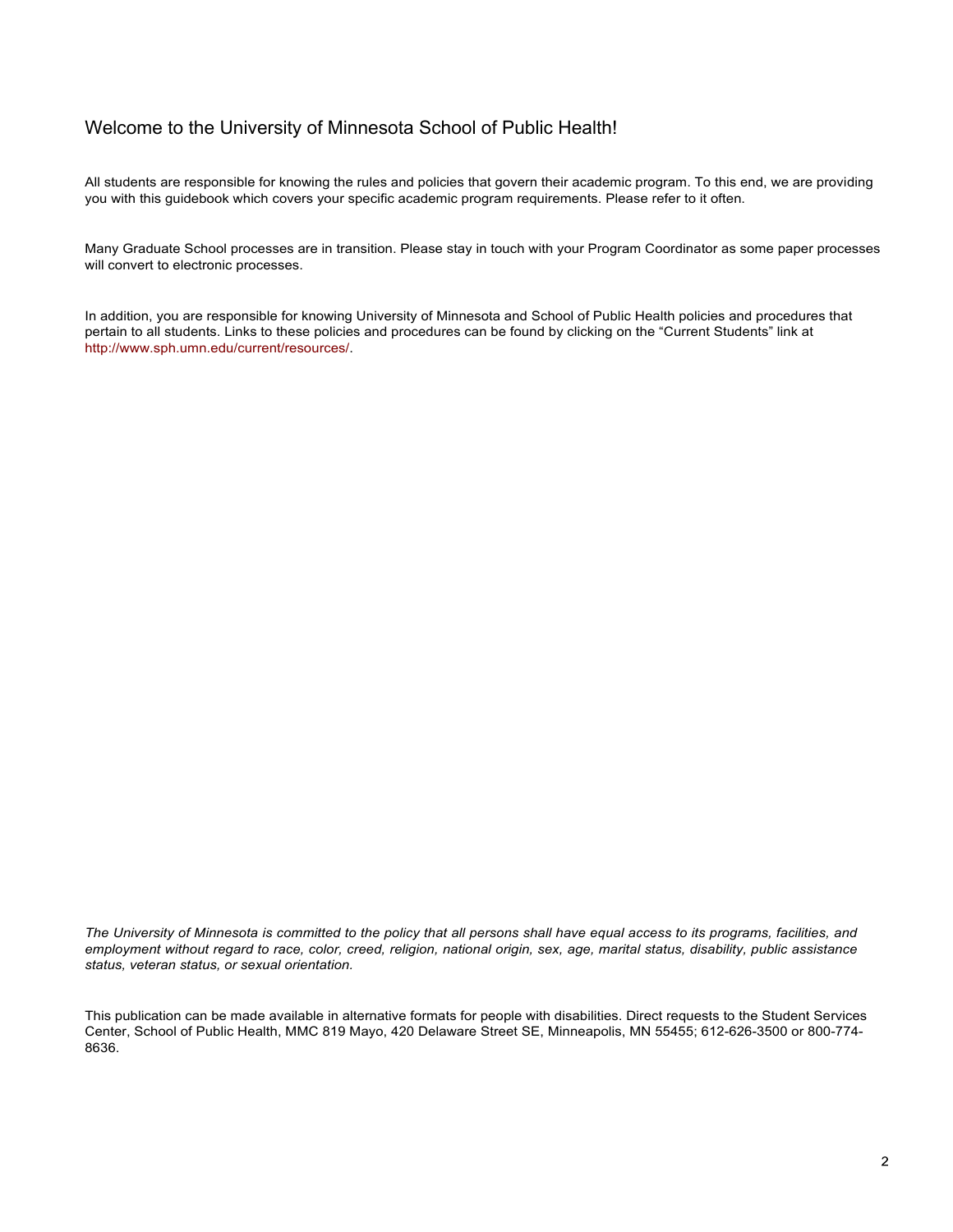### Welcome to the University of Minnesota School of Public Health!

All students are responsible for knowing the rules and policies that govern their academic program. To this end, we are providing you with this guidebook which covers your specific academic program requirements. Please refer to it often.

Many Graduate School processes are in transition. Please stay in touch with your Program Coordinator as some paper processes will convert to electronic processes.

In addition, you are responsible for knowing University of Minnesota and School of Public Health policies and procedures that pertain to all students. Links to these policies and procedures can be found by clicking on the "Current Students" link at http://www.sph.umn.edu/current/resources/.

*The University of Minnesota is committed to the policy that all persons shall have equal access to its programs, facilities, and employment without regard to race, color, creed, religion, national origin, sex, age, marital status, disability, public assistance status, veteran status, or sexual orientation.*

This publication can be made available in alternative formats for people with disabilities. Direct requests to the Student Services Center, School of Public Health, MMC 819 Mayo, 420 Delaware Street SE, Minneapolis, MN 55455; 612-626-3500 or 800-774- 8636.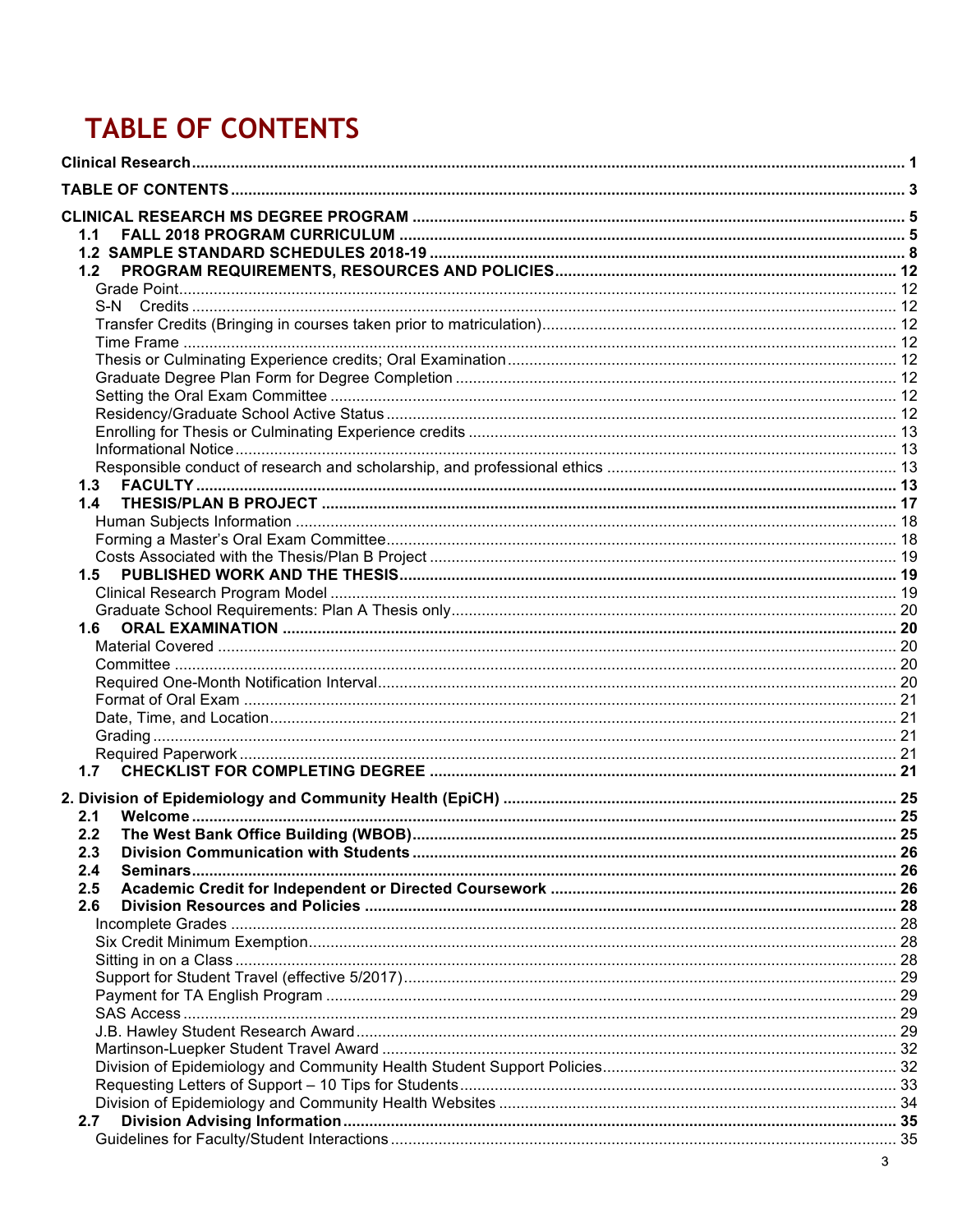# **TABLE OF CONTENTS**

| 2. Division of Epidemiology and Community Health (EpiCH) ……………………………………………………………………………… 25 |  |
|--------------------------------------------------------------------------------------------|--|
| 2.1<br>2.2                                                                                 |  |
| 2.3                                                                                        |  |
| 2.4                                                                                        |  |
| 2.5                                                                                        |  |
| 2.6                                                                                        |  |
|                                                                                            |  |
|                                                                                            |  |
|                                                                                            |  |
|                                                                                            |  |
|                                                                                            |  |
|                                                                                            |  |
|                                                                                            |  |
|                                                                                            |  |
|                                                                                            |  |
|                                                                                            |  |
|                                                                                            |  |
| 2.7                                                                                        |  |
|                                                                                            |  |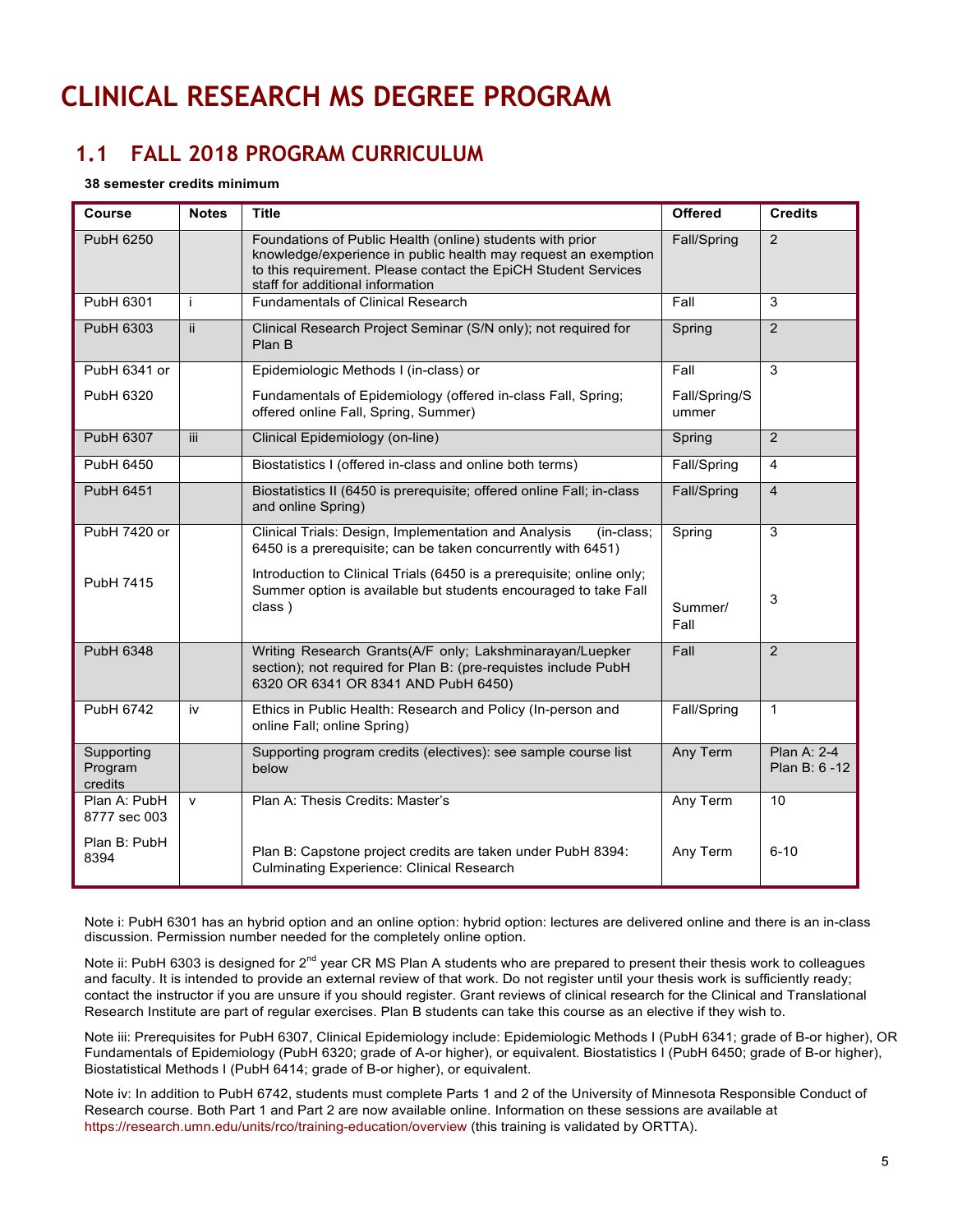# **CLINICAL RESEARCH MS DEGREE PROGRAM**

# **1.1 FALL 2018 PROGRAM CURRICULUM**

#### **38 semester credits minimum**

| Course                           | <b>Notes</b> | <b>Title</b>                                                                                                                                                                                                                      | <b>Offered</b>         | <b>Credits</b>                |
|----------------------------------|--------------|-----------------------------------------------------------------------------------------------------------------------------------------------------------------------------------------------------------------------------------|------------------------|-------------------------------|
| <b>PubH 6250</b>                 |              | Foundations of Public Health (online) students with prior<br>knowledge/experience in public health may request an exemption<br>to this requirement. Please contact the EpiCH Student Services<br>staff for additional information | Fall/Spring            | $\overline{2}$                |
| PubH 6301                        | Ť            | <b>Fundamentals of Clinical Research</b>                                                                                                                                                                                          | Fall                   | 3                             |
| PubH 6303                        | ii.          | Clinical Research Project Seminar (S/N only); not required for<br>Plan B                                                                                                                                                          | Spring                 | 2                             |
| PubH 6341 or                     |              | Epidemiologic Methods I (in-class) or                                                                                                                                                                                             | Fall                   | 3                             |
| PubH 6320                        |              | Fundamentals of Epidemiology (offered in-class Fall, Spring;<br>offered online Fall, Spring, Summer)                                                                                                                              | Fall/Spring/S<br>ummer |                               |
| PubH 6307                        | iii.         | Clinical Epidemiology (on-line)                                                                                                                                                                                                   | Spring                 | 2                             |
| PubH 6450                        |              | Biostatistics I (offered in-class and online both terms)                                                                                                                                                                          | Fall/Spring            | $\overline{\mathbf{4}}$       |
| PubH 6451                        |              | Biostatistics II (6450 is prerequisite; offered online Fall; in-class<br>and online Spring)                                                                                                                                       | Fall/Spring            | $\overline{4}$                |
| PubH 7420 or                     |              | Clinical Trials: Design, Implementation and Analysis<br>(in-class;<br>6450 is a prerequisite; can be taken concurrently with 6451)                                                                                                | Spring                 | 3                             |
| PubH 7415                        |              | Introduction to Clinical Trials (6450 is a prerequisite; online only;<br>Summer option is available but students encouraged to take Fall<br>class)                                                                                | Summer/<br>Fall        | 3                             |
| <b>PubH 6348</b>                 |              | Writing Research Grants(A/F only; Lakshminarayan/Luepker<br>section); not required for Plan B: (pre-requistes include PubH<br>6320 OR 6341 OR 8341 AND PubH 6450)                                                                 | Fall                   | $\overline{2}$                |
| <b>PubH 6742</b>                 | iv           | Ethics in Public Health: Research and Policy (In-person and<br>online Fall; online Spring)                                                                                                                                        | Fall/Spring            | $\mathbf{1}$                  |
| Supporting<br>Program<br>credits |              | Supporting program credits (electives): see sample course list<br>below                                                                                                                                                           | Any Term               | Plan A: 2-4<br>Plan B: 6 - 12 |
| Plan A: PubH<br>8777 sec 003     | $\mathsf{v}$ | Plan A: Thesis Credits: Master's                                                                                                                                                                                                  | Any Term               | 10                            |
| Plan B: PubH<br>8394             |              | Plan B: Capstone project credits are taken under PubH 8394:<br><b>Culminating Experience: Clinical Research</b>                                                                                                                   | Any Term               | $6 - 10$                      |

Note i: PubH 6301 has an hybrid option and an online option: hybrid option: lectures are delivered online and there is an in-class discussion. Permission number needed for the completely online option.

Note ii: PubH 6303 is designed for 2<sup>nd</sup> year CR MS Plan A students who are prepared to present their thesis work to colleagues and faculty. It is intended to provide an external review of that work. Do not register until your thesis work is sufficiently ready; contact the instructor if you are unsure if you should register. Grant reviews of clinical research for the Clinical and Translational Research Institute are part of regular exercises. Plan B students can take this course as an elective if they wish to.

Note iii: Prerequisites for PubH 6307, Clinical Epidemiology include: Epidemiologic Methods I (PubH 6341; grade of B-or higher), OR Fundamentals of Epidemiology (PubH 6320; grade of A-or higher), or equivalent. Biostatistics I (PubH 6450; grade of B-or higher), Biostatistical Methods I (PubH 6414; grade of B-or higher), or equivalent.

Note iv: In addition to PubH 6742, students must complete Parts 1 and 2 of the University of Minnesota Responsible Conduct of Research course. Both Part 1 and Part 2 are now available online. Information on these sessions are available at https://research.umn.edu/units/rco/training-education/overview (this training is validated by ORTTA).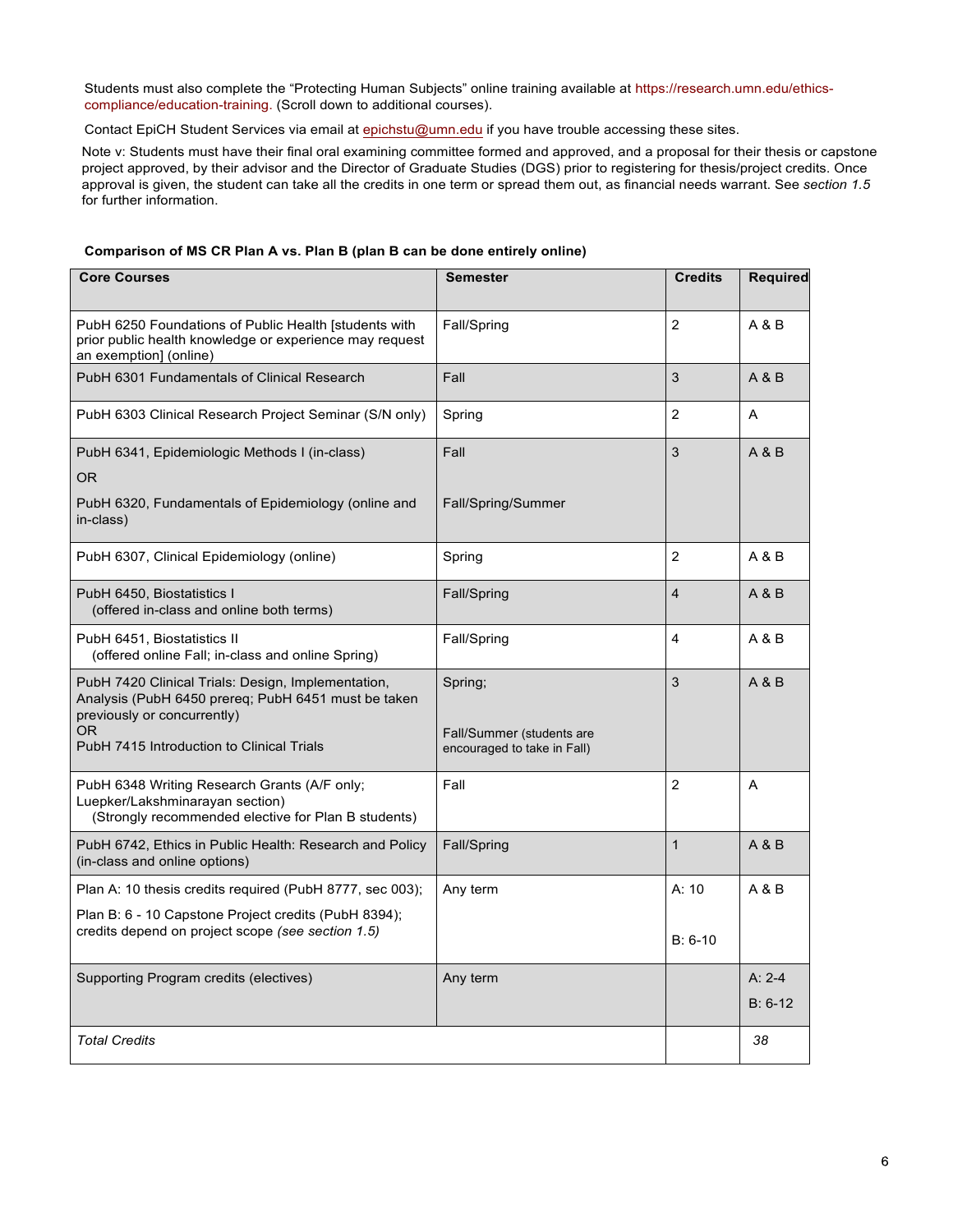Students must also complete the "Protecting Human Subjects" online training available at https://research.umn.edu/ethicscompliance/education-training. (Scroll down to additional courses).

Contact EpiCH Student Services via email at epichstu@umn.edu if you have trouble accessing these sites.

Note v: Students must have their final oral examining committee formed and approved, and a proposal for their thesis or capstone project approved, by their advisor and the Director of Graduate Studies (DGS) prior to registering for thesis/project credits. Once approval is given, the student can take all the credits in one term or spread them out, as financial needs warrant. See *section 1.5*  for further information.

| Comparison of MS CR Plan A vs. Plan B (plan B can be done entirely online) |  |  |  |  |
|----------------------------------------------------------------------------|--|--|--|--|

| <b>Core Courses</b>                                                                                                                                                                          | <b>Semester</b>                                                     | <b>Credits</b>     | <b>Required</b>       |
|----------------------------------------------------------------------------------------------------------------------------------------------------------------------------------------------|---------------------------------------------------------------------|--------------------|-----------------------|
| PubH 6250 Foundations of Public Health [students with<br>prior public health knowledge or experience may request<br>an exemption] (online)                                                   | Fall/Spring                                                         | $\overline{2}$     | A & B                 |
| PubH 6301 Fundamentals of Clinical Research                                                                                                                                                  | Fall                                                                | 3                  | A & B                 |
| PubH 6303 Clinical Research Project Seminar (S/N only)                                                                                                                                       | Spring                                                              | $\overline{2}$     | A                     |
| PubH 6341, Epidemiologic Methods I (in-class)<br>0R<br>PubH 6320, Fundamentals of Epidemiology (online and<br>in-class)                                                                      | Fall<br>Fall/Spring/Summer                                          | 3                  | A & B                 |
| PubH 6307, Clinical Epidemiology (online)                                                                                                                                                    | Spring                                                              | $\overline{2}$     | A & B                 |
| PubH 6450, Biostatistics I<br>(offered in-class and online both terms)                                                                                                                       | Fall/Spring                                                         | $\overline{4}$     | A & B                 |
| PubH 6451, Biostatistics II<br>(offered online Fall; in-class and online Spring)                                                                                                             | Fall/Spring                                                         | 4                  | A & B                 |
| PubH 7420 Clinical Trials: Design, Implementation,<br>Analysis (PubH 6450 prereq; PubH 6451 must be taken<br>previously or concurrently)<br>OR.<br>PubH 7415 Introduction to Clinical Trials | Spring;<br>Fall/Summer (students are<br>encouraged to take in Fall) | 3                  | A & B                 |
| PubH 6348 Writing Research Grants (A/F only;<br>Luepker/Lakshminarayan section)<br>(Strongly recommended elective for Plan B students)                                                       | Fall                                                                | $\overline{2}$     | A                     |
| PubH 6742, Ethics in Public Health: Research and Policy<br>(in-class and online options)                                                                                                     | Fall/Spring                                                         | $\mathbf{1}$       | A & B                 |
| Plan A: 10 thesis credits required (PubH 8777, sec 003);<br>Plan B: 6 - 10 Capstone Project credits (PubH 8394);<br>credits depend on project scope (see section 1.5)                        | Any term                                                            | A: 10<br>$B: 6-10$ | A & B                 |
| Supporting Program credits (electives)                                                                                                                                                       | Any term                                                            |                    | $A: 2-4$<br>$B: 6-12$ |
| <b>Total Credits</b>                                                                                                                                                                         |                                                                     |                    | 38                    |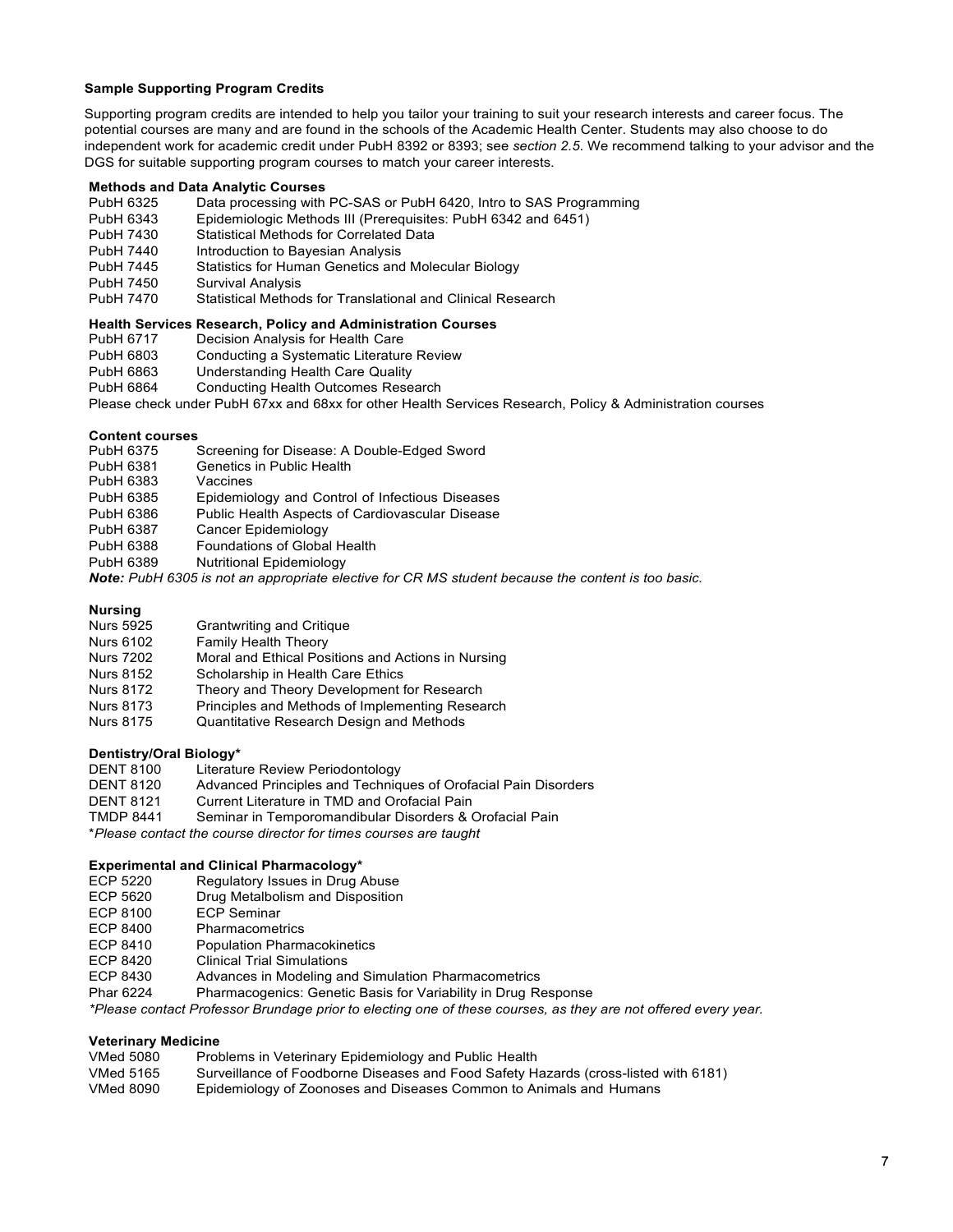#### **Sample Supporting Program Credits**

Supporting program credits are intended to help you tailor your training to suit your research interests and career focus. The potential courses are many and are found in the schools of the Academic Health Center. Students may also choose to do independent work for academic credit under PubH 8392 or 8393; see *section 2.5*. We recommend talking to your advisor and the DGS for suitable supporting program courses to match your career interests.

#### **Methods and Data Analytic Courses**

- PubH 6325 Data processing with PC-SAS or PubH 6420, Intro to SAS Programming
- PubH 6343 Epidemiologic Methods III (Prerequisites: PubH 6342 and 6451)
- PubH 7430 Statistical Methods for Correlated Data
- PubH 7440 Introduction to Bayesian Analysis
- PubH 7445 Statistics for Human Genetics and Molecular Biology
- PubH 7450 Survival Analysis
- PubH 7470 Statistical Methods for Translational and Clinical Research

# **Health Services Research, Policy and Administration Courses**

- Decision Analysis for Health Care
- PubH 6803 Conducting a Systematic Literature Review
- PubH 6863 Understanding Health Care Quality
- Conducting Health Outcomes Research
- Please check under PubH 67xx and 68xx for other Health Services Research, Policy & Administration courses

#### **Content courses**

- PubH 6375 Screening for Disease: A Double-Edged Sword<br>PubH 6381 Genetics in Public Health
- Genetics in Public Health
- PubH 6383 Vaccines
- PubH 6385 Epidemiology and Control of Infectious Diseases
- PubH 6386 Public Health Aspects of Cardiovascular Disease
- PubH 6387 Cancer Epidemiology
- PubH 6388 Foundations of Global Health
- PubH 6389 Nutritional Epidemiology

*Note: PubH 6305 is not an appropriate elective for CR MS student because the content is too basic.*

# **Nursing**

- Nurs 5925 Grantwriting and Critique<br>Nurs 6102 Family Health Theory
- Nurs 6102 Family Health Theory<br>Nurs 7202 Moral and Ethical Pos
- Nurs 7202 Moral and Ethical Positions and Actions in Nursing<br>Nurs 8152 Scholarship in Health Care Ethics
- Scholarship in Health Care Ethics
- Nurs 8172 Theory and Theory Development for Research
- Nurs 8173 Principles and Methods of Implementing Research
- Nurs 8175 Quantitative Research Design and Methods

# **Dentistry/Oral Biology\***

- Literature Review Periodontology
- DENT 8120 Advanced Principles and Techniques of Orofacial Pain Disorders
- DENT 8121 Current Literature in TMD and Orofacial Pain
- TMDP 8441 Seminar in Temporomandibular Disorders & Orofacial Pain

\**Please contact the course director for times courses are taught*

# **Experimental and Clinical Pharmacology\***<br>ECP 5220 **Requiatory Issues in Drug A**

- ECP 5220 Regulatory Issues in Drug Abuse<br>ECP 5620 Drug Metalbolism and Disposition
- Drug Metalbolism and Disposition
- ECP 8100 ECP Seminar
- ECP 8400 Pharmacometrics
- ECP 8410 Population Pharmacokinetics
- ECP 8420 Clinical Trial Simulations
- ECP 8430 Advances in Modeling and Simulation Pharmacometrics
- Phar 6224 Pharmacogenics: Genetic Basis for Variability in Drug Response

*\*Please contact Professor Brundage prior to electing one of these courses, as they are not offered every year.*

#### **Veterinary Medicine**

- VMed 5080 Problems in Veterinary Epidemiology and Public Health
- VMed 5165 Surveillance of Foodborne Diseases and Food Safety Hazards (cross-listed with 6181)
- VMed 8090 Epidemiology of Zoonoses and Diseases Common to Animals and Humans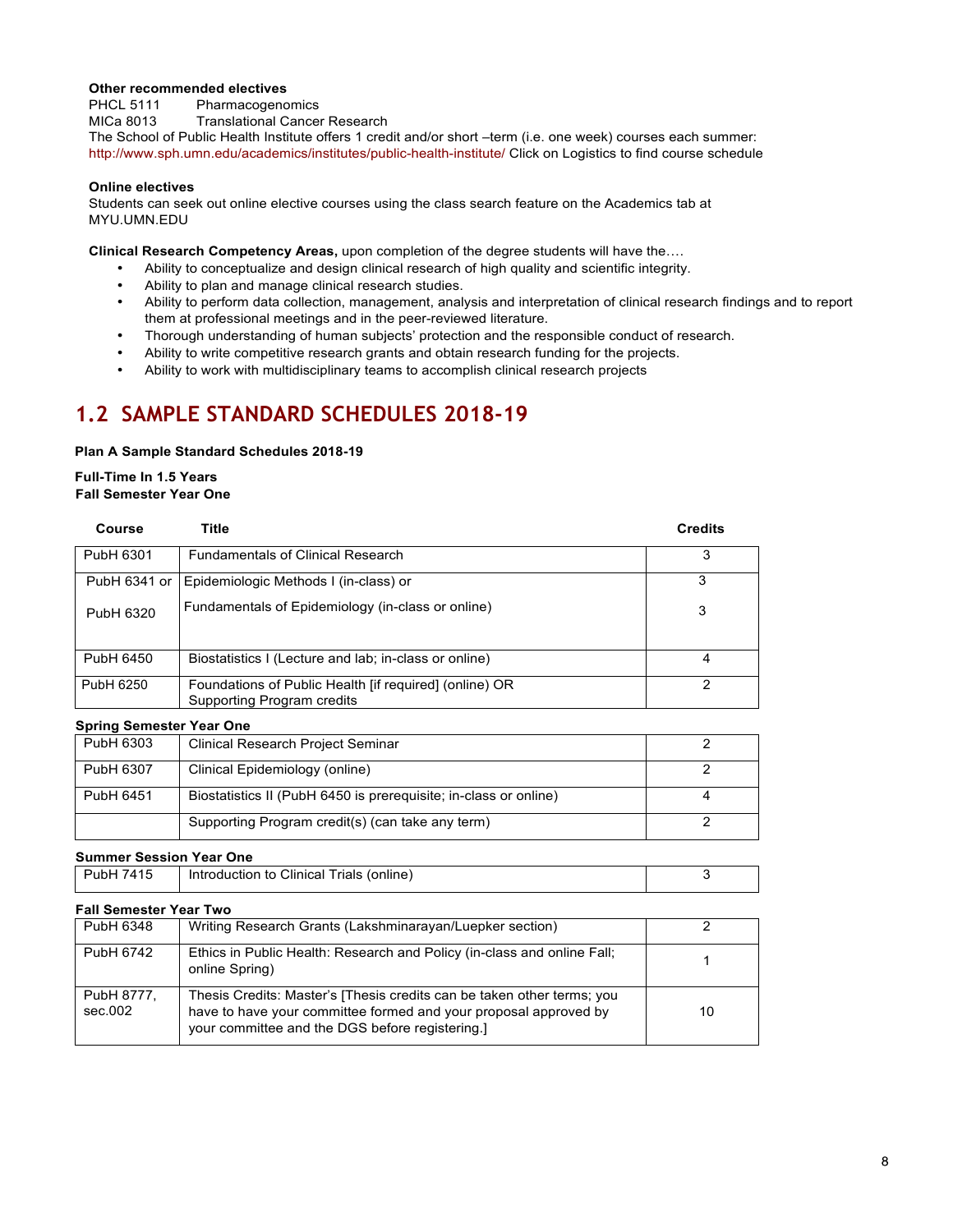#### **Other recommended electives**

PHCL 5111 Pharmacogenomics<br>MICa 8013 Translational Cance **Translational Cancer Research** The School of Public Health Institute offers 1 credit and/or short –term (i.e. one week) courses each summer: http://www.sph.umn.edu/academics/institutes/public-health-institute/ Click on Logistics to find course schedule

#### **Online electives**

Students can seek out online elective courses using the class search feature on the Academics tab at MYU.UMN.EDU

**Clinical Research Competency Areas,** upon completion of the degree students will have the….

- Ability to conceptualize and design clinical research of high quality and scientific integrity.
- Ability to plan and manage clinical research studies.
- Ability to perform data collection, management, analysis and interpretation of clinical research findings and to report them at professional meetings and in the peer-reviewed literature.
- Thorough understanding of human subjects' protection and the responsible conduct of research.
- Ability to write competitive research grants and obtain research funding for the projects.
- Ability to work with multidisciplinary teams to accomplish clinical research projects

# **1.2 SAMPLE STANDARD SCHEDULES 2018-19**

#### **Plan A Sample Standard Schedules 2018-19**

#### **Full-Time In 1.5 Years Fall Semester Year One**

| Course       | Title                                                                                | <b>Credits</b> |
|--------------|--------------------------------------------------------------------------------------|----------------|
| PubH 6301    | <b>Fundamentals of Clinical Research</b>                                             | 3              |
| PubH 6341 or | Epidemiologic Methods I (in-class) or                                                | 3              |
| PubH 6320    | Fundamentals of Epidemiology (in-class or online)                                    | 3              |
| PubH 6450    | Biostatistics I (Lecture and lab; in-class or online)                                |                |
| PubH 6250    | Foundations of Public Health [if required] (online) OR<br>Supporting Program credits | າ              |

#### **Spring Semester Year One**

| PubH 6303 | <b>Clinical Research Project Seminar</b>                         |  |
|-----------|------------------------------------------------------------------|--|
| PubH 6307 | Clinical Epidemiology (online)                                   |  |
| PubH 6451 | Biostatistics II (PubH 6450 is prerequisite; in-class or online) |  |
|           | Supporting Program credit(s) (can take any term)                 |  |

#### **Summer Session Year One**

| ' 7415<br>PubH | Introduction to Clinical Trials (online) |  |
|----------------|------------------------------------------|--|
|                |                                          |  |

#### **Fall Semester Year Two**

| PubH 6348             | Writing Research Grants (Lakshminarayan/Luepker section)                                                                                                                                      |    |
|-----------------------|-----------------------------------------------------------------------------------------------------------------------------------------------------------------------------------------------|----|
| PubH 6742             | Ethics in Public Health: Research and Policy (in-class and online Fall;<br>online Spring)                                                                                                     |    |
| PubH 8777,<br>sec.002 | Thesis Credits: Master's [Thesis credits can be taken other terms; you<br>have to have your committee formed and your proposal approved by<br>your committee and the DGS before registering.] | 10 |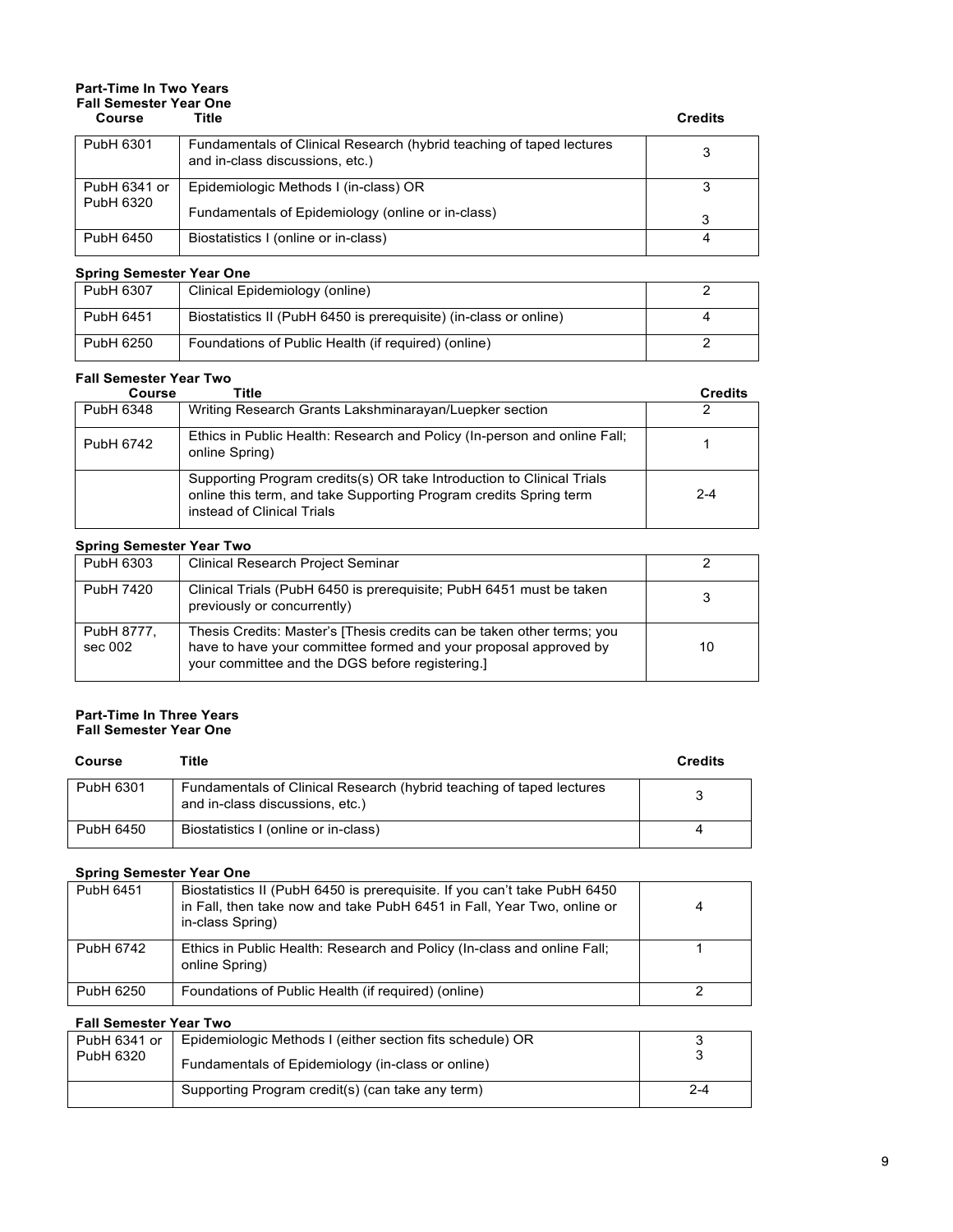# **Part-Time In Two Years Fall Semester Year One**

| Course       | Title                                                                                                   | <b>Credits</b> |
|--------------|---------------------------------------------------------------------------------------------------------|----------------|
| PubH 6301    | Fundamentals of Clinical Research (hybrid teaching of taped lectures<br>and in-class discussions, etc.) |                |
| PubH 6341 or | Epidemiologic Methods I (in-class) OR                                                                   |                |
| PubH 6320    | Fundamentals of Epidemiology (online or in-class)                                                       | 3              |
| PubH 6450    | Biostatistics I (online or in-class)                                                                    |                |

#### **Spring Semester Year One**

| PubH 6307 | Clinical Epidemiology (online)                                    |  |
|-----------|-------------------------------------------------------------------|--|
| PubH 6451 | Biostatistics II (PubH 6450 is prerequisite) (in-class or online) |  |
| PubH 6250 | Foundations of Public Health (if required) (online)               |  |

#### **Fall Semester Year Two**

| Course    | Title                                                                                                                                                                    | <b>Credits</b> |
|-----------|--------------------------------------------------------------------------------------------------------------------------------------------------------------------------|----------------|
| PubH 6348 | Writing Research Grants Lakshminarayan/Luepker section                                                                                                                   |                |
| PubH 6742 | Ethics in Public Health: Research and Policy (In-person and online Fall;<br>online Spring)                                                                               |                |
|           | Supporting Program credits(s) OR take Introduction to Clinical Trials<br>online this term, and take Supporting Program credits Spring term<br>instead of Clinical Trials | $2 - 4$        |

#### **Spring Semester Year Two**

| PubH 6303             | <b>Clinical Research Project Seminar</b>                                                                                                                                                      |    |
|-----------------------|-----------------------------------------------------------------------------------------------------------------------------------------------------------------------------------------------|----|
| PubH 7420             | Clinical Trials (PubH 6450 is prerequisite; PubH 6451 must be taken<br>previously or concurrently)                                                                                            |    |
| PubH 8777,<br>sec 002 | Thesis Credits: Master's [Thesis credits can be taken other terms; you<br>have to have your committee formed and your proposal approved by<br>your committee and the DGS before registering.] | 10 |

#### **Part-Time In Three Years Fall Semester Year One**

| Course    | Title                                                                                                   | <b>Credits</b> |
|-----------|---------------------------------------------------------------------------------------------------------|----------------|
| PubH 6301 | Fundamentals of Clinical Research (hybrid teaching of taped lectures<br>and in-class discussions, etc.) |                |
| PubH 6450 | Biostatistics I (online or in-class)                                                                    |                |

#### **Spring Semester Year One**

| PubH 6451 | Biostatistics II (PubH 6450 is prerequisite. If you can't take PubH 6450<br>in Fall, then take now and take PubH 6451 in Fall, Year Two, online or<br>in-class Spring) | 4 |
|-----------|------------------------------------------------------------------------------------------------------------------------------------------------------------------------|---|
| PubH 6742 | Ethics in Public Health: Research and Policy (In-class and online Fall;<br>online Spring)                                                                              |   |
| PubH 6250 | Foundations of Public Health (if required) (online)                                                                                                                    |   |

#### **Fall Semester Year Two**

| PubH 6341 or<br>PubH 6320 | Epidemiologic Methods I (either section fits schedule) OR<br>Fundamentals of Epidemiology (in-class or online) |         |
|---------------------------|----------------------------------------------------------------------------------------------------------------|---------|
|                           | Supporting Program credit(s) (can take any term)                                                               | $2 - 4$ |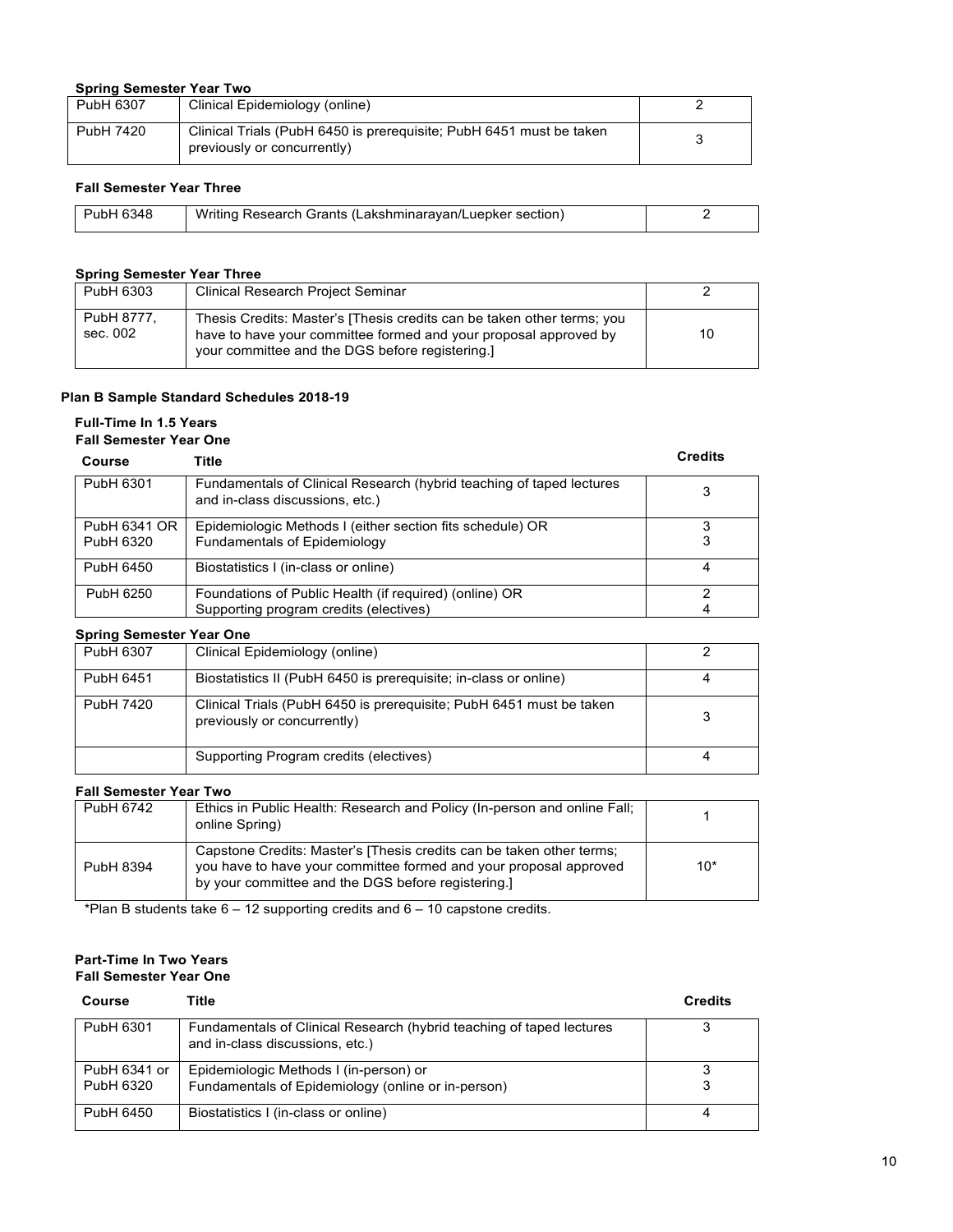#### **Spring Semester Year Two**

| PubH 6307 | Clinical Epidemiology (online)                                                                     |  |
|-----------|----------------------------------------------------------------------------------------------------|--|
| PubH 7420 | Clinical Trials (PubH 6450 is prerequisite: PubH 6451 must be taken<br>previously or concurrently) |  |

#### **Fall Semester Year Three**

| PubH 6348 | Writing Research Grants (Lakshminarayan/Luepker section) |  |
|-----------|----------------------------------------------------------|--|

#### **Spring Semester Year Three**

| PubH 6303              | <b>Clinical Research Project Seminar</b>                                                                                                                                                      |    |
|------------------------|-----------------------------------------------------------------------------------------------------------------------------------------------------------------------------------------------|----|
| PubH 8777.<br>sec. 002 | Thesis Credits: Master's [Thesis credits can be taken other terms; you<br>have to have your committee formed and your proposal approved by<br>your committee and the DGS before registering.] | 10 |

#### **Plan B Sample Standard Schedules 2018-19**

#### **Full-Time In 1.5 Years Fall Semester Year One**

| 1 AU OCHIGSLOI I GAI OIIG |                                                                                                         |                |
|---------------------------|---------------------------------------------------------------------------------------------------------|----------------|
| Course                    | Title                                                                                                   | <b>Credits</b> |
| PubH 6301                 | Fundamentals of Clinical Research (hybrid teaching of taped lectures<br>and in-class discussions, etc.) |                |
| PubH 6341 OR<br>PubH 6320 | Epidemiologic Methods I (either section fits schedule) OR<br><b>Fundamentals of Epidemiology</b>        |                |
| PubH 6450                 | Biostatistics I (in-class or online)                                                                    |                |
| PubH 6250                 | Foundations of Public Health (if required) (online) OR<br>Supporting program credits (electives)        |                |

#### **Spring Semester Year One**

| PubH 6307 | Clinical Epidemiology (online)                                                                     |  |
|-----------|----------------------------------------------------------------------------------------------------|--|
| PubH 6451 | Biostatistics II (PubH 6450 is prerequisite; in-class or online)                                   |  |
| PubH 7420 | Clinical Trials (PubH 6450 is prerequisite; PubH 6451 must be taken<br>previously or concurrently) |  |
|           | Supporting Program credits (electives)                                                             |  |

#### **Fall Semester Year Two**

| PubH 6742 | Ethics in Public Health: Research and Policy (In-person and online Fall;<br>online Spring)                                                                                                     |       |
|-----------|------------------------------------------------------------------------------------------------------------------------------------------------------------------------------------------------|-------|
| PubH 8394 | Capstone Credits: Master's [Thesis credits can be taken other terms;<br>you have to have your committee formed and your proposal approved<br>by your committee and the DGS before registering. | $10*$ |

\*Plan B students take 6 – 12 supporting credits and 6 – 10 capstone credits.

#### **Part-Time In Two Years Fall Semester Year One**

| Course       | Title                                                                                                   | <b>Credits</b> |
|--------------|---------------------------------------------------------------------------------------------------------|----------------|
| PubH 6301    | Fundamentals of Clinical Research (hybrid teaching of taped lectures<br>and in-class discussions, etc.) |                |
| PubH 6341 or | Epidemiologic Methods I (in-person) or                                                                  |                |
| PubH 6320    | Fundamentals of Epidemiology (online or in-person)                                                      |                |
| PubH 6450    | Biostatistics I (in-class or online)                                                                    |                |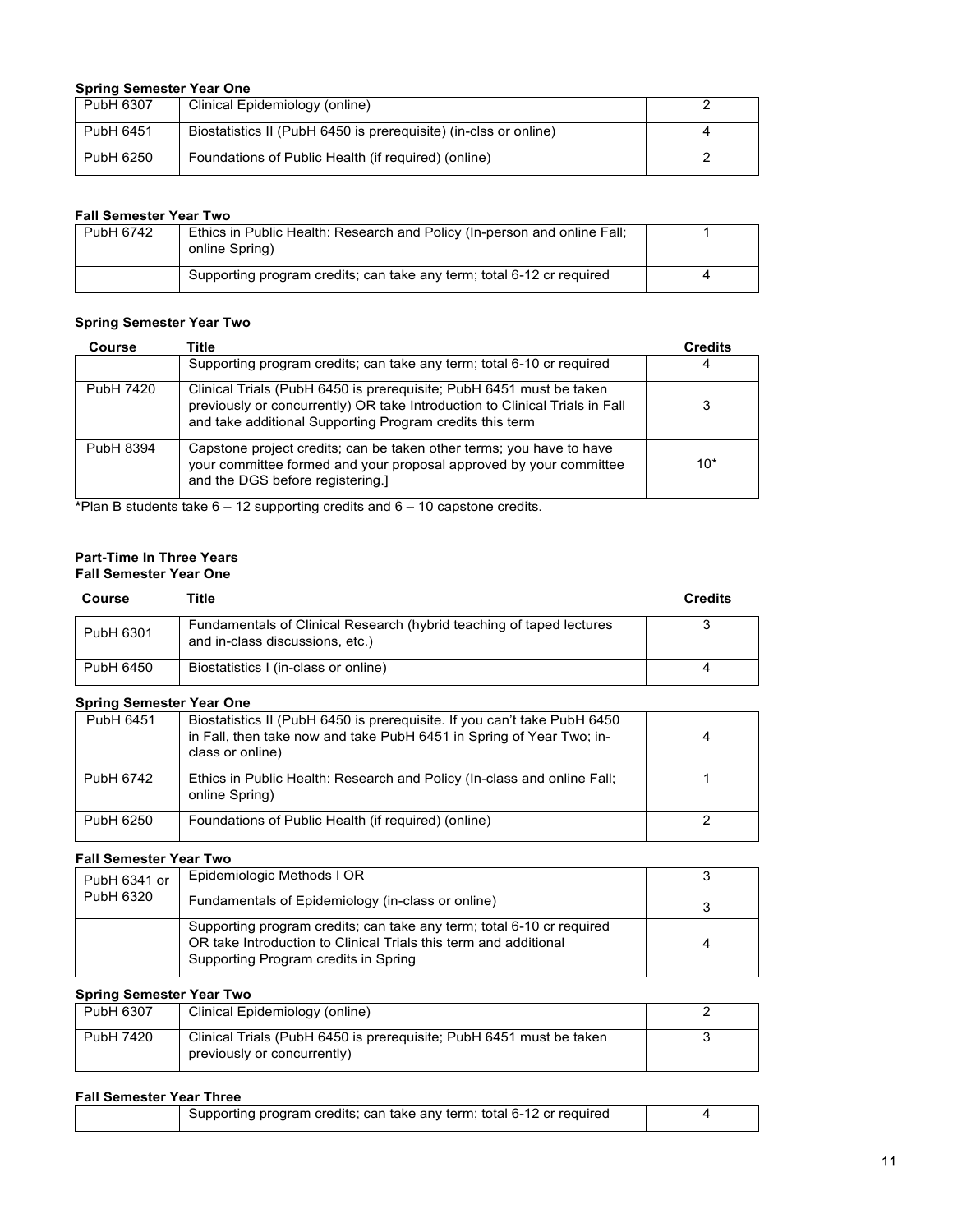#### **Spring Semester Year One**

| PubH 6307 | Clinical Epidemiology (online)                                   |  |
|-----------|------------------------------------------------------------------|--|
| PubH 6451 | Biostatistics II (PubH 6450 is prerequisite) (in-clss or online) |  |
| PubH 6250 | Foundations of Public Health (if required) (online)              |  |

#### **Fall Semester Year Two**

| PubH 6742 | Ethics in Public Health: Research and Policy (In-person and online Fall;<br>online Spring) |  |
|-----------|--------------------------------------------------------------------------------------------|--|
|           | Supporting program credits; can take any term; total 6-12 cr required                      |  |

#### **Spring Semester Year Two**

| Course    | Title                                                                                                                                                                                                          | <b>Credits</b> |
|-----------|----------------------------------------------------------------------------------------------------------------------------------------------------------------------------------------------------------------|----------------|
|           | Supporting program credits; can take any term; total 6-10 cr required                                                                                                                                          |                |
| PubH 7420 | Clinical Trials (PubH 6450 is prerequisite; PubH 6451 must be taken<br>previously or concurrently) OR take Introduction to Clinical Trials in Fall<br>and take additional Supporting Program credits this term |                |
| PubH 8394 | Capstone project credits; can be taken other terms; you have to have<br>your committee formed and your proposal approved by your committee<br>and the DGS before registering.]                                 | $10*$          |

**\***Plan B students take 6 – 12 supporting credits and 6 – 10 capstone credits.

#### **Part-Time In Three Years Fall Semester Year One**

#### **Course Title Credits** PubH 6301 Fundamentals of Clinical Research (hybrid teaching of taped lectures and in-class discussions, etc.) 3 PubH 6450 Biostatistics I (in-class or online) 4

#### **Spring Semester Year One**

| PubH 6451 | Biostatistics II (PubH 6450 is prerequisite. If you can't take PubH 6450<br>in Fall, then take now and take PubH 6451 in Spring of Year Two; in-<br>class or online) |  |
|-----------|----------------------------------------------------------------------------------------------------------------------------------------------------------------------|--|
| PubH 6742 | Ethics in Public Health: Research and Policy (In-class and online Fall;<br>online Spring)                                                                            |  |
| PubH 6250 | Foundations of Public Health (if required) (online)                                                                                                                  |  |

#### **Fall Semester Year Two**

| PubH 6341 or | Epidemiologic Methods I OR                                                                                                                                                        |   |
|--------------|-----------------------------------------------------------------------------------------------------------------------------------------------------------------------------------|---|
| PubH 6320    | Fundamentals of Epidemiology (in-class or online)                                                                                                                                 |   |
|              | Supporting program credits; can take any term; total 6-10 cr required<br>OR take Introduction to Clinical Trials this term and additional<br>Supporting Program credits in Spring | Δ |

#### **Spring Semester Year Two**

| PubH 6307 | Clinical Epidemiology (online)                                                                     |  |
|-----------|----------------------------------------------------------------------------------------------------|--|
| PubH 7420 | Clinical Trials (PubH 6450 is prerequisite: PubH 6451 must be taken<br>previously or concurrently) |  |

#### **Fall Semester Year Three**

| Supporting program credits; can take any term; total 6-12 cr required |  |
|-----------------------------------------------------------------------|--|
|-----------------------------------------------------------------------|--|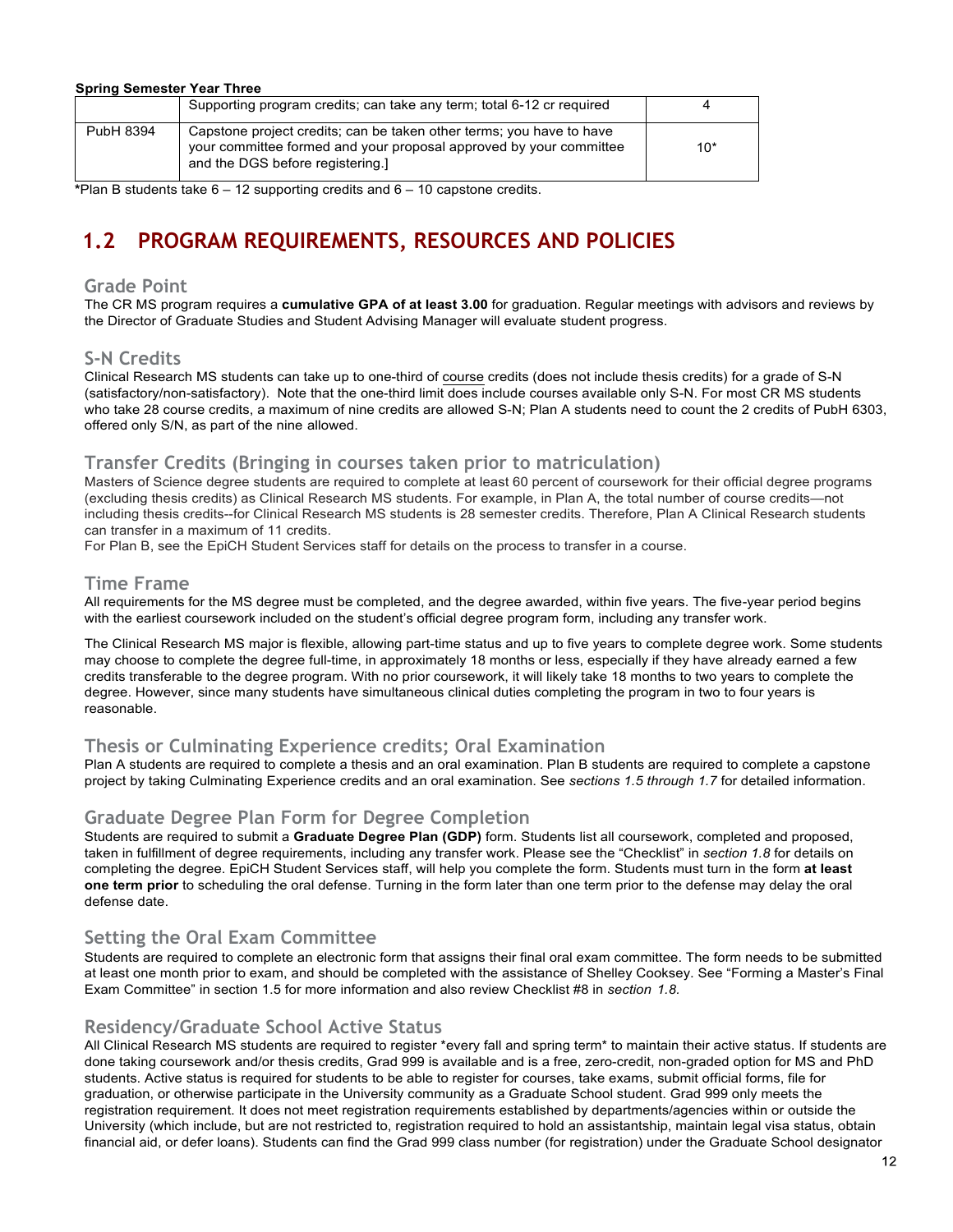| <b>Spring Semester Year Three</b> |                                                                                                                                                                               |       |
|-----------------------------------|-------------------------------------------------------------------------------------------------------------------------------------------------------------------------------|-------|
|                                   | Supporting program credits; can take any term; total 6-12 cr required                                                                                                         |       |
| PubH 8394                         | Capstone project credits; can be taken other terms; you have to have<br>your committee formed and your proposal approved by your committee<br>and the DGS before registering. | $10*$ |

**\***Plan B students take 6 – 12 supporting credits and 6 – 10 capstone credits.

# **1.2 PROGRAM REQUIREMENTS, RESOURCES AND POLICIES**

#### **Grade Point**

The CR MS program requires a **cumulative GPA of at least 3.00** for graduation. Regular meetings with advisors and reviews by the Director of Graduate Studies and Student Advising Manager will evaluate student progress.

#### **S-N Credits**

Clinical Research MS students can take up to one-third of course credits (does not include thesis credits) for a grade of S-N (satisfactory/non-satisfactory). Note that the one-third limit does include courses available only S-N. For most CR MS students who take 28 course credits, a maximum of nine credits are allowed S-N; Plan A students need to count the 2 credits of PubH 6303, offered only S/N, as part of the nine allowed.

#### **Transfer Credits (Bringing in courses taken prior to matriculation)**

Masters of Science degree students are required to complete at least 60 percent of coursework for their official degree programs (excluding thesis credits) as Clinical Research MS students. For example, in Plan A, the total number of course credits—not including thesis credits--for Clinical Research MS students is 28 semester credits. Therefore, Plan A Clinical Research students can transfer in a maximum of 11 credits.

For Plan B, see the EpiCH Student Services staff for details on the process to transfer in a course.

#### **Time Frame**

All requirements for the MS degree must be completed, and the degree awarded, within five years. The five-year period begins with the earliest coursework included on the student's official degree program form, including any transfer work.

The Clinical Research MS major is flexible, allowing part-time status and up to five years to complete degree work. Some students may choose to complete the degree full-time, in approximately 18 months or less, especially if they have already earned a few credits transferable to the degree program. With no prior coursework, it will likely take 18 months to two years to complete the degree. However, since many students have simultaneous clinical duties completing the program in two to four years is reasonable.

#### **Thesis or Culminating Experience credits; Oral Examination**

Plan A students are required to complete a thesis and an oral examination. Plan B students are required to complete a capstone project by taking Culminating Experience credits and an oral examination. See *sections 1.5 through 1.7* for detailed information.

#### **Graduate Degree Plan Form for Degree Completion**

Students are required to submit a **Graduate Degree Plan (GDP)** form. Students list all coursework, completed and proposed, taken in fulfillment of degree requirements, including any transfer work. Please see the "Checklist" in *section 1.8* for details on completing the degree. EpiCH Student Services staff, will help you complete the form. Students must turn in the form **at least one term prior** to scheduling the oral defense. Turning in the form later than one term prior to the defense may delay the oral defense date.

#### **Setting the Oral Exam Committee**

Students are required to complete an electronic form that assigns their final oral exam committee. The form needs to be submitted at least one month prior to exam, and should be completed with the assistance of Shelley Cooksey. See "Forming a Master's Final Exam Committee" in section 1.5 for more information and also review Checklist #8 in *section 1.8.*

#### **Residency/Graduate School Active Status**

All Clinical Research MS students are required to register \*every fall and spring term\* to maintain their active status. If students are done taking coursework and/or thesis credits, Grad 999 is available and is a free, zero-credit, non-graded option for MS and PhD students. Active status is required for students to be able to register for courses, take exams, submit official forms, file for graduation, or otherwise participate in the University community as a Graduate School student. Grad 999 only meets the registration requirement. It does not meet registration requirements established by departments/agencies within or outside the University (which include, but are not restricted to, registration required to hold an assistantship, maintain legal visa status, obtain financial aid, or defer loans). Students can find the Grad 999 class number (for registration) under the Graduate School designator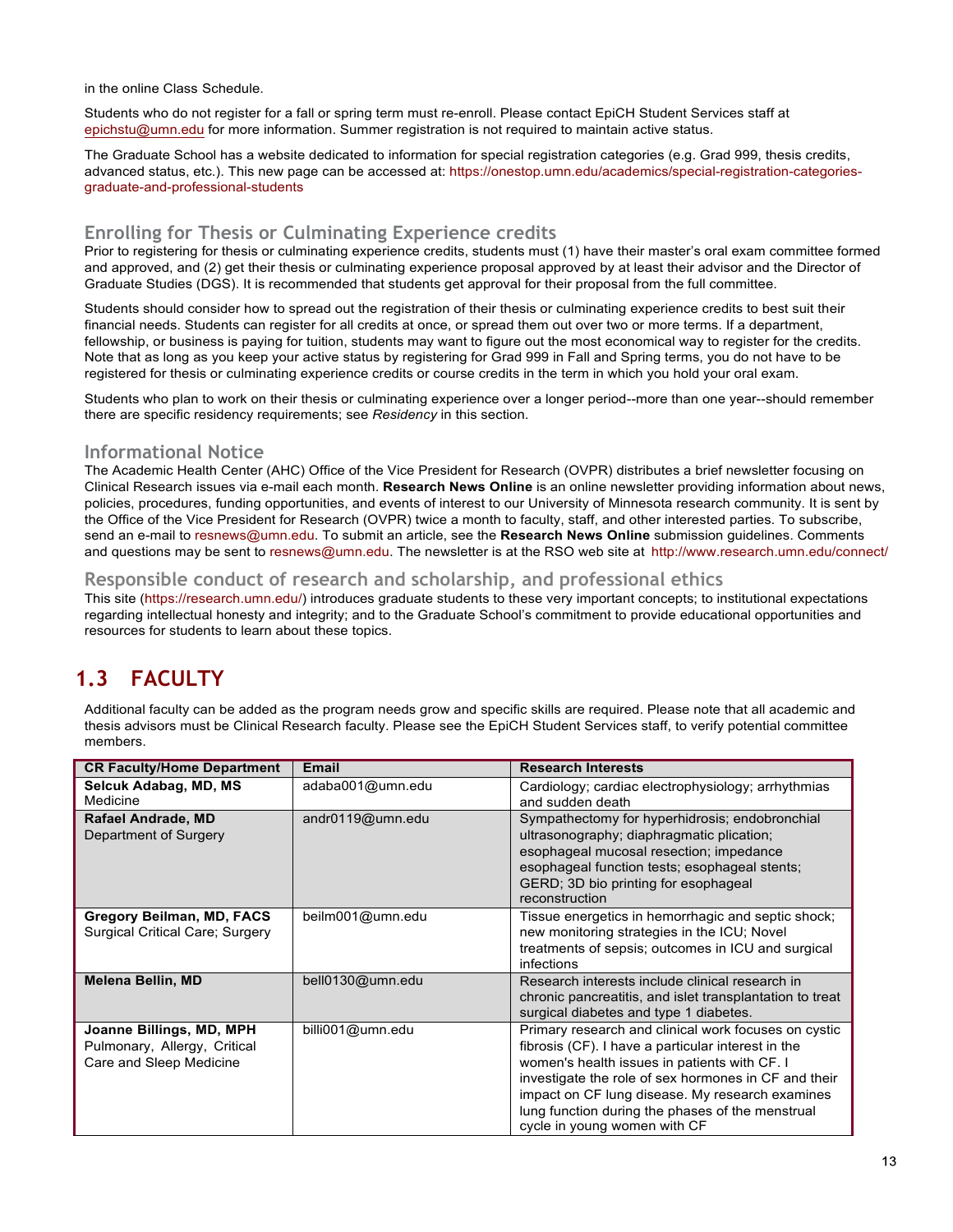in the online Class Schedule.

Students who do not register for a fall or spring term must re-enroll. Please contact EpiCH Student Services staff at epichstu@umn.edu for more information. Summer registration is not required to maintain active status.

The Graduate School has a website dedicated to information for special registration categories (e.g. Grad 999, thesis credits, advanced status, etc.). This new page can be accessed at: https://onestop.umn.edu/academics/special-registration-categoriesgraduate-and-professional-students

#### **Enrolling for Thesis or Culminating Experience credits**

Prior to registering for thesis or culminating experience credits, students must (1) have their master's oral exam committee formed and approved, and (2) get their thesis or culminating experience proposal approved by at least their advisor and the Director of Graduate Studies (DGS). It is recommended that students get approval for their proposal from the full committee.

Students should consider how to spread out the registration of their thesis or culminating experience credits to best suit their financial needs. Students can register for all credits at once, or spread them out over two or more terms. If a department, fellowship, or business is paying for tuition, students may want to figure out the most economical way to register for the credits. Note that as long as you keep your active status by registering for Grad 999 in Fall and Spring terms, you do not have to be registered for thesis or culminating experience credits or course credits in the term in which you hold your oral exam.

Students who plan to work on their thesis or culminating experience over a longer period--more than one year--should remember there are specific residency requirements; see *Residency* in this section.

#### **Informational Notice**

The Academic Health Center (AHC) Office of the Vice President for Research (OVPR) distributes a brief newsletter focusing on Clinical Research issues via e-mail each month. **Research News Online** is an online newsletter providing information about news, policies, procedures, funding opportunities, and events of interest to our University of Minnesota research community. It is sent by the Office of the Vice President for Research (OVPR) twice a month to faculty, staff, and other interested parties. To subscribe, send an e-mail to resnews@umn.edu. To submit an article, see the **Research News Online** submission guidelines. Comments and questions may be sent to resnews@umn.edu. The newsletter is at the RSO web site at http://www.research.umn.edu/connect/

#### **Responsible conduct of research and scholarship, and professional ethics**

This site (https://research.umn.edu/) introduces graduate students to these very important concepts; to institutional expectations regarding intellectual honesty and integrity; and to the Graduate School's commitment to provide educational opportunities and resources for students to learn about these topics.

# **1.3 FACULTY**

Additional faculty can be added as the program needs grow and specific skills are required. Please note that all academic and thesis advisors must be Clinical Research faculty. Please see the EpiCH Student Services staff, to verify potential committee members.

| <b>CR Faculty/Home Department</b>                                                   | Email            | <b>Research Interests</b>                                                                                                                                                                                                                                                                                                                                 |
|-------------------------------------------------------------------------------------|------------------|-----------------------------------------------------------------------------------------------------------------------------------------------------------------------------------------------------------------------------------------------------------------------------------------------------------------------------------------------------------|
| Selcuk Adabag, MD, MS<br>Medicine                                                   | adaba001@umn.edu | Cardiology; cardiac electrophysiology; arrhythmias<br>and sudden death                                                                                                                                                                                                                                                                                    |
| Rafael Andrade, MD<br>Department of Surgery                                         | andr0119@umn.edu | Sympathectomy for hyperhidrosis; endobronchial<br>ultrasonography; diaphragmatic plication;<br>esophageal mucosal resection; impedance<br>esophageal function tests; esophageal stents;<br>GERD; 3D bio printing for esophageal<br>reconstruction                                                                                                         |
| Gregory Beilman, MD, FACS<br><b>Surgical Critical Care: Surgery</b>                 | beilm001@umn.edu | Tissue energetics in hemorrhagic and septic shock;<br>new monitoring strategies in the ICU; Novel<br>treatments of sepsis; outcomes in ICU and surgical<br>infections                                                                                                                                                                                     |
| <b>Melena Bellin, MD</b>                                                            | bell0130@umn.edu | Research interests include clinical research in<br>chronic pancreatitis, and islet transplantation to treat<br>surgical diabetes and type 1 diabetes.                                                                                                                                                                                                     |
| Joanne Billings, MD, MPH<br>Pulmonary, Allergy, Critical<br>Care and Sleep Medicine | billi001@umn.edu | Primary research and clinical work focuses on cystic<br>fibrosis (CF). I have a particular interest in the<br>women's health issues in patients with CF. I<br>investigate the role of sex hormones in CF and their<br>impact on CF lung disease. My research examines<br>lung function during the phases of the menstrual<br>cycle in young women with CF |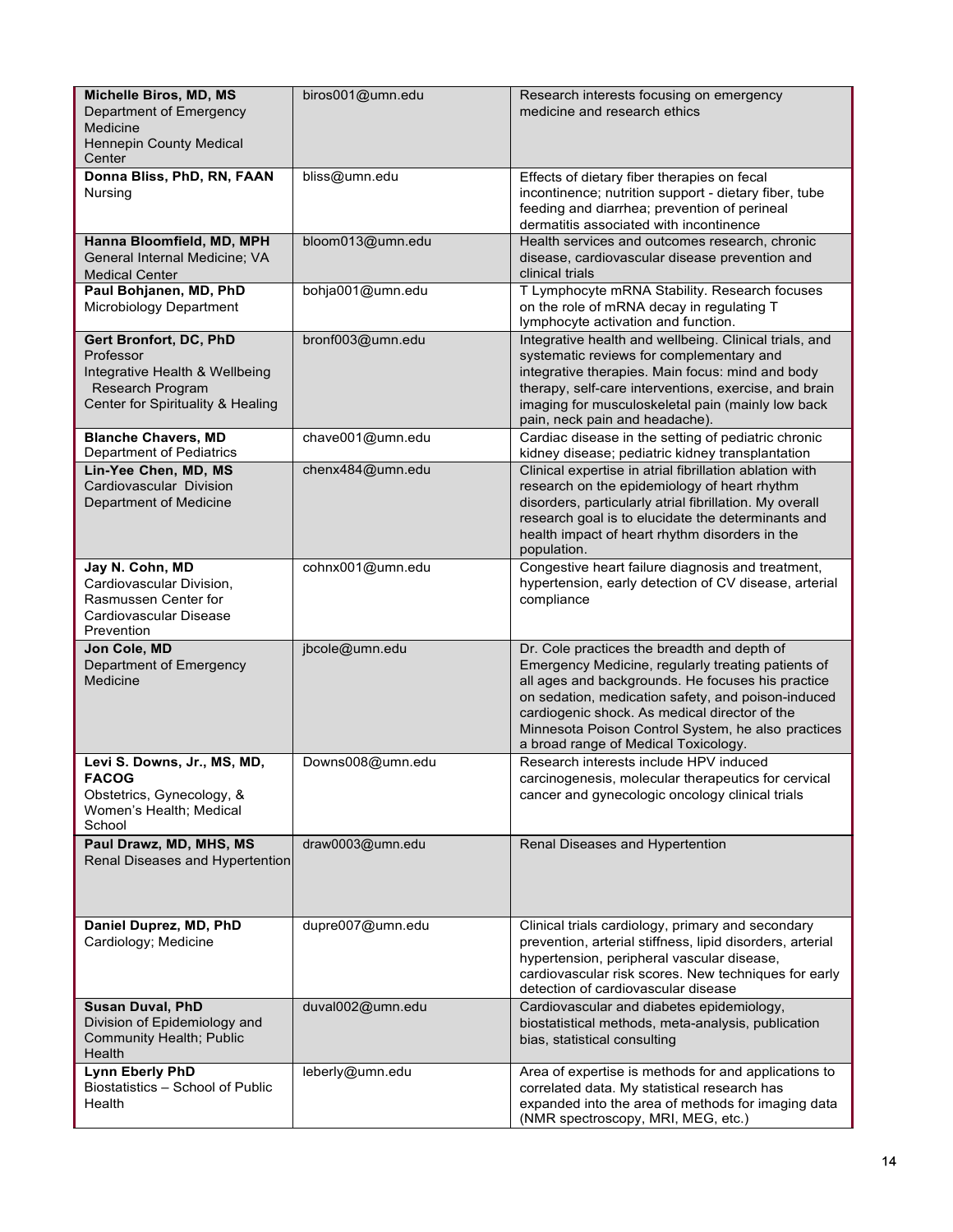| Michelle Biros, MD, MS<br>Department of Emergency<br>Medicine<br><b>Hennepin County Medical</b><br>Center                      | biros001@umn.edu | Research interests focusing on emergency<br>medicine and research ethics                                                                                                                                                                                                                                                                                    |
|--------------------------------------------------------------------------------------------------------------------------------|------------------|-------------------------------------------------------------------------------------------------------------------------------------------------------------------------------------------------------------------------------------------------------------------------------------------------------------------------------------------------------------|
| Donna Bliss, PhD, RN, FAAN<br>Nursing                                                                                          | bliss@umn.edu    | Effects of dietary fiber therapies on fecal<br>incontinence; nutrition support - dietary fiber, tube<br>feeding and diarrhea; prevention of perineal<br>dermatitis associated with incontinence                                                                                                                                                             |
| Hanna Bloomfield, MD, MPH<br>General Internal Medicine; VA<br><b>Medical Center</b>                                            | bloom013@umn.edu | Health services and outcomes research, chronic<br>disease, cardiovascular disease prevention and<br>clinical trials                                                                                                                                                                                                                                         |
| Paul Bohjanen, MD, PhD<br>Microbiology Department                                                                              | bohja001@umn.edu | T Lymphocyte mRNA Stability. Research focuses<br>on the role of mRNA decay in regulating T<br>lymphocyte activation and function.                                                                                                                                                                                                                           |
| Gert Bronfort, DC, PhD<br>Professor<br>Integrative Health & Wellbeing<br>Research Program<br>Center for Spirituality & Healing | bronf003@umn.edu | Integrative health and wellbeing. Clinical trials, and<br>systematic reviews for complementary and<br>integrative therapies. Main focus: mind and body<br>therapy, self-care interventions, exercise, and brain<br>imaging for musculoskeletal pain (mainly low back<br>pain, neck pain and headache).                                                      |
| <b>Blanche Chavers, MD</b><br>Department of Pediatrics                                                                         | chave001@umn.edu | Cardiac disease in the setting of pediatric chronic<br>kidney disease; pediatric kidney transplantation                                                                                                                                                                                                                                                     |
| Lin-Yee Chen, MD, MS<br>Cardiovascular Division<br>Department of Medicine                                                      | chenx484@umn.edu | Clinical expertise in atrial fibrillation ablation with<br>research on the epidemiology of heart rhythm<br>disorders, particularly atrial fibrillation. My overall<br>research goal is to elucidate the determinants and<br>health impact of heart rhythm disorders in the<br>population.                                                                   |
| Jay N. Cohn, MD<br>Cardiovascular Division,<br>Rasmussen Center for<br>Cardiovascular Disease<br>Prevention                    | cohnx001@umn.edu | Congestive heart failure diagnosis and treatment,<br>hypertension, early detection of CV disease, arterial<br>compliance                                                                                                                                                                                                                                    |
| Jon Cole, MD<br>Department of Emergency<br>Medicine                                                                            | jbcole@umn.edu   | Dr. Cole practices the breadth and depth of<br>Emergency Medicine, regularly treating patients of<br>all ages and backgrounds. He focuses his practice<br>on sedation, medication safety, and poison-induced<br>cardiogenic shock. As medical director of the<br>Minnesota Poison Control System, he also practices<br>a broad range of Medical Toxicology. |
| Levi S. Downs, Jr., MS, MD,<br><b>FACOG</b>                                                                                    | Downs008@umn.edu | Research interests include HPV induced                                                                                                                                                                                                                                                                                                                      |
| Obstetrics, Gynecology, &<br>Women's Health; Medical<br>School                                                                 |                  | carcinogenesis, molecular therapeutics for cervical<br>cancer and gynecologic oncology clinical trials                                                                                                                                                                                                                                                      |
| Paul Drawz, MD, MHS, MS<br>Renal Diseases and Hypertention                                                                     | draw0003@umn.edu | Renal Diseases and Hypertention                                                                                                                                                                                                                                                                                                                             |
| Daniel Duprez, MD, PhD<br>Cardiology; Medicine                                                                                 | dupre007@umn.edu | Clinical trials cardiology, primary and secondary<br>prevention, arterial stiffness, lipid disorders, arterial<br>hypertension, peripheral vascular disease,<br>cardiovascular risk scores. New techniques for early<br>detection of cardiovascular disease                                                                                                 |
| <b>Susan Duval, PhD</b><br>Division of Epidemiology and<br><b>Community Health; Public</b><br>Health                           | duval002@umn.edu | Cardiovascular and diabetes epidemiology,<br>biostatistical methods, meta-analysis, publication<br>bias, statistical consulting                                                                                                                                                                                                                             |
| <b>Lynn Eberly PhD</b><br>Biostatistics - School of Public<br>Health                                                           | leberly@umn.edu  | Area of expertise is methods for and applications to<br>correlated data. My statistical research has<br>expanded into the area of methods for imaging data<br>(NMR spectroscopy, MRI, MEG, etc.)                                                                                                                                                            |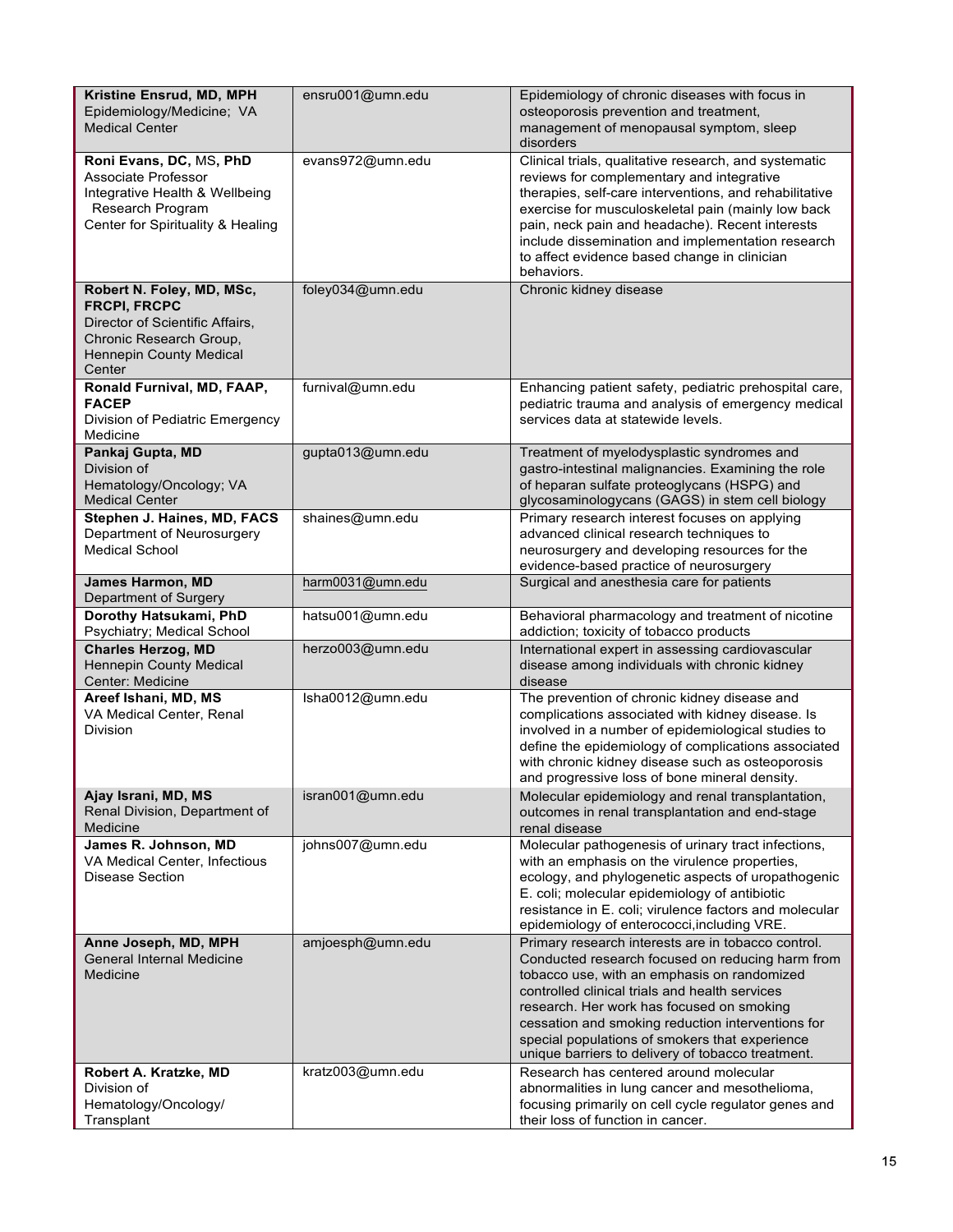| Kristine Ensrud, MD, MPH<br>Epidemiology/Medicine; VA<br><b>Medical Center</b>                                                                             | ensru001@umn.edu | Epidemiology of chronic diseases with focus in<br>osteoporosis prevention and treatment,<br>management of menopausal symptom, sleep<br>disorders                                                                                                                                                                                                                                                                 |
|------------------------------------------------------------------------------------------------------------------------------------------------------------|------------------|------------------------------------------------------------------------------------------------------------------------------------------------------------------------------------------------------------------------------------------------------------------------------------------------------------------------------------------------------------------------------------------------------------------|
| Roni Evans, DC, MS, PhD<br>Associate Professor<br>Integrative Health & Wellbeing<br>Research Program<br>Center for Spirituality & Healing                  | evans972@umn.edu | Clinical trials, qualitative research, and systematic<br>reviews for complementary and integrative<br>therapies, self-care interventions, and rehabilitative<br>exercise for musculoskeletal pain (mainly low back<br>pain, neck pain and headache). Recent interests<br>include dissemination and implementation research<br>to affect evidence based change in clinician<br>behaviors.                         |
| Robert N. Foley, MD, MSc,<br><b>FRCPI, FRCPC</b><br>Director of Scientific Affairs,<br>Chronic Research Group,<br><b>Hennepin County Medical</b><br>Center | foley034@umn.edu | Chronic kidney disease                                                                                                                                                                                                                                                                                                                                                                                           |
| Ronald Furnival, MD, FAAP,<br><b>FACEP</b><br>Division of Pediatric Emergency<br>Medicine                                                                  | furnival@umn.edu | Enhancing patient safety, pediatric prehospital care,<br>pediatric trauma and analysis of emergency medical<br>services data at statewide levels.                                                                                                                                                                                                                                                                |
| Pankaj Gupta, MD<br>Division of<br>Hematology/Oncology; VA<br>Medical Center                                                                               | gupta013@umn.edu | Treatment of myelodysplastic syndromes and<br>gastro-intestinal malignancies. Examining the role<br>of heparan sulfate proteoglycans (HSPG) and<br>glycosaminologycans (GAGS) in stem cell biology                                                                                                                                                                                                               |
| Stephen J. Haines, MD, FACS<br>Department of Neurosurgery<br><b>Medical School</b>                                                                         | shaines@umn.edu  | Primary research interest focuses on applying<br>advanced clinical research techniques to<br>neurosurgery and developing resources for the<br>evidence-based practice of neurosurgery                                                                                                                                                                                                                            |
| James Harmon, MD<br>Department of Surgery                                                                                                                  | harm0031@umn.edu | Surgical and anesthesia care for patients                                                                                                                                                                                                                                                                                                                                                                        |
| Dorothy Hatsukami, PhD<br>Psychiatry; Medical School                                                                                                       | hatsu001@umn.edu | Behavioral pharmacology and treatment of nicotine<br>addiction; toxicity of tobacco products                                                                                                                                                                                                                                                                                                                     |
| <b>Charles Herzog, MD</b><br><b>Hennepin County Medical</b><br>Center: Medicine                                                                            | herzo003@umn.edu | International expert in assessing cardiovascular<br>disease among individuals with chronic kidney<br>disease                                                                                                                                                                                                                                                                                                     |
| Areef Ishani, MD, MS<br>VA Medical Center, Renal<br>Division                                                                                               | Isha0012@umn.edu | The prevention of chronic kidney disease and<br>complications associated with kidney disease. Is<br>involved in a number of epidemiological studies to<br>define the epidemiology of complications associated<br>with chronic kidney disease such as osteoporosis<br>and progressive loss of bone mineral density.                                                                                               |
| Ajay Israni, MD, MS<br>Renal Division, Department of<br>Medicine                                                                                           | isran001@umn.edu | Molecular epidemiology and renal transplantation,<br>outcomes in renal transplantation and end-stage<br>renal disease                                                                                                                                                                                                                                                                                            |
| James R. Johnson, MD<br>VA Medical Center, Infectious<br>Disease Section                                                                                   | johns007@umn.edu | Molecular pathogenesis of urinary tract infections,<br>with an emphasis on the virulence properties,<br>ecology, and phylogenetic aspects of uropathogenic<br>E. coli; molecular epidemiology of antibiotic<br>resistance in E. coli; virulence factors and molecular<br>epidemiology of enterococci, including VRE.                                                                                             |
| Anne Joseph, MD, MPH<br><b>General Internal Medicine</b><br>Medicine                                                                                       | amjoesph@umn.edu | Primary research interests are in tobacco control.<br>Conducted research focused on reducing harm from<br>tobacco use, with an emphasis on randomized<br>controlled clinical trials and health services<br>research. Her work has focused on smoking<br>cessation and smoking reduction interventions for<br>special populations of smokers that experience<br>unique barriers to delivery of tobacco treatment. |
| Robert A. Kratzke, MD<br>Division of<br>Hematology/Oncology/<br>Transplant                                                                                 | kratz003@umn.edu | Research has centered around molecular<br>abnormalities in lung cancer and mesothelioma,<br>focusing primarily on cell cycle regulator genes and<br>their loss of function in cancer.                                                                                                                                                                                                                            |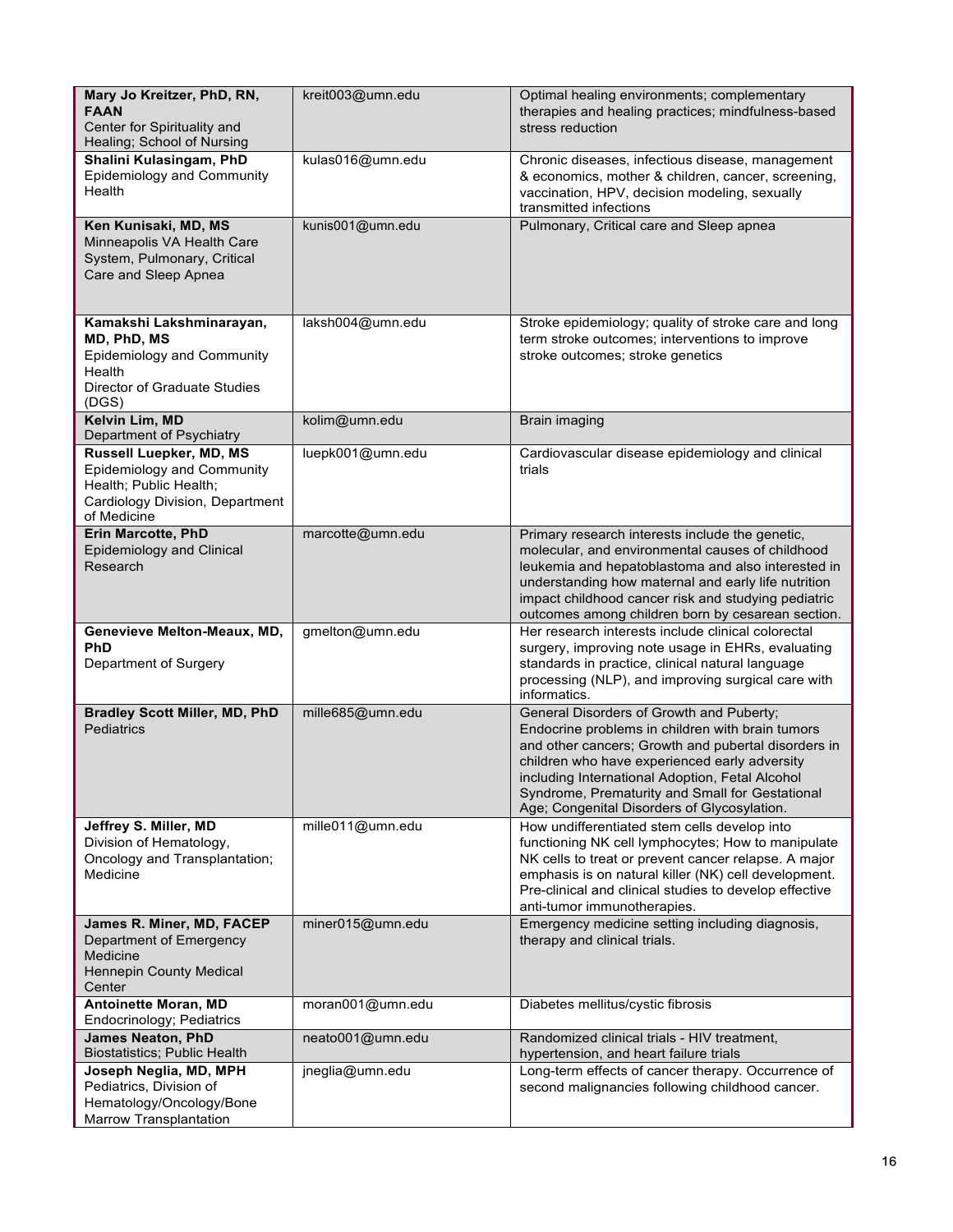| Mary Jo Kreitzer, PhD, RN,<br><b>FAAN</b><br>Center for Spirituality and<br>Healing; School of Nursing                            | kreit003@umn.edu | Optimal healing environments; complementary<br>therapies and healing practices; mindfulness-based<br>stress reduction                                                                                                                                                                                                                                     |
|-----------------------------------------------------------------------------------------------------------------------------------|------------------|-----------------------------------------------------------------------------------------------------------------------------------------------------------------------------------------------------------------------------------------------------------------------------------------------------------------------------------------------------------|
| Shalini Kulasingam, PhD<br>Epidemiology and Community<br>Health                                                                   | kulas016@umn.edu | Chronic diseases, infectious disease, management<br>& economics, mother & children, cancer, screening,<br>vaccination, HPV, decision modeling, sexually<br>transmitted infections                                                                                                                                                                         |
| Ken Kunisaki, MD, MS<br>Minneapolis VA Health Care<br>System, Pulmonary, Critical<br>Care and Sleep Apnea                         | kunis001@umn.edu | Pulmonary, Critical care and Sleep apnea                                                                                                                                                                                                                                                                                                                  |
| Kamakshi Lakshminarayan,<br>MD, PhD, MS<br><b>Epidemiology and Community</b><br>Health<br>Director of Graduate Studies<br>(DGS)   | laksh004@umn.edu | Stroke epidemiology; quality of stroke care and long<br>term stroke outcomes; interventions to improve<br>stroke outcomes; stroke genetics                                                                                                                                                                                                                |
| Kelvin Lim, MD<br>Department of Psychiatry                                                                                        | kolim@umn.edu    | Brain imaging                                                                                                                                                                                                                                                                                                                                             |
| Russell Luepker, MD, MS<br>Epidemiology and Community<br>Health; Public Health;<br>Cardiology Division, Department<br>of Medicine | luepk001@umn.edu | Cardiovascular disease epidemiology and clinical<br>trials                                                                                                                                                                                                                                                                                                |
| <b>Erin Marcotte, PhD</b><br>Epidemiology and Clinical<br>Research                                                                | marcotte@umn.edu | Primary research interests include the genetic,<br>molecular, and environmental causes of childhood<br>leukemia and hepatoblastoma and also interested in<br>understanding how maternal and early life nutrition<br>impact childhood cancer risk and studying pediatric<br>outcomes among children born by cesarean section.                              |
| Genevieve Melton-Meaux, MD,<br><b>PhD</b><br>Department of Surgery                                                                | gmelton@umn.edu  | Her research interests include clinical colorectal<br>surgery, improving note usage in EHRs, evaluating<br>standards in practice, clinical natural language<br>processing (NLP), and improving surgical care with<br>informatics.                                                                                                                         |
| <b>Bradley Scott Miller, MD, PhD</b><br>Pediatrics                                                                                | mille685@umn.edu | General Disorders of Growth and Puberty;<br>Endocrine problems in children with brain tumors<br>and other cancers; Growth and pubertal disorders in<br>children who have experienced early adversity<br>including International Adoption, Fetal Alcohol<br>Syndrome, Prematurity and Small for Gestational<br>Age; Congenital Disorders of Glycosylation. |
| Jeffrey S. Miller, MD<br>Division of Hematology,<br>Oncology and Transplantation;<br>Medicine                                     | mille011@umn.edu | How undifferentiated stem cells develop into<br>functioning NK cell lymphocytes; How to manipulate<br>NK cells to treat or prevent cancer relapse. A major<br>emphasis is on natural killer (NK) cell development.<br>Pre-clinical and clinical studies to develop effective<br>anti-tumor immunotherapies.                                               |
| James R. Miner, MD, FACEP<br>Department of Emergency<br>Medicine<br>Hennepin County Medical<br>Center                             | miner015@umn.edu | Emergency medicine setting including diagnosis,<br>therapy and clinical trials.                                                                                                                                                                                                                                                                           |
| <b>Antoinette Moran, MD</b><br>Endocrinology; Pediatrics                                                                          | moran001@umn.edu | Diabetes mellitus/cystic fibrosis                                                                                                                                                                                                                                                                                                                         |
| <b>James Neaton, PhD</b><br><b>Biostatistics; Public Health</b>                                                                   | neato001@umn.edu | Randomized clinical trials - HIV treatment,<br>hypertension, and heart failure trials                                                                                                                                                                                                                                                                     |
| Joseph Neglia, MD, MPH<br>Pediatrics, Division of<br>Hematology/Oncology/Bone<br>Marrow Transplantation                           | jneglia@umn.edu  | Long-term effects of cancer therapy. Occurrence of<br>second malignancies following childhood cancer.                                                                                                                                                                                                                                                     |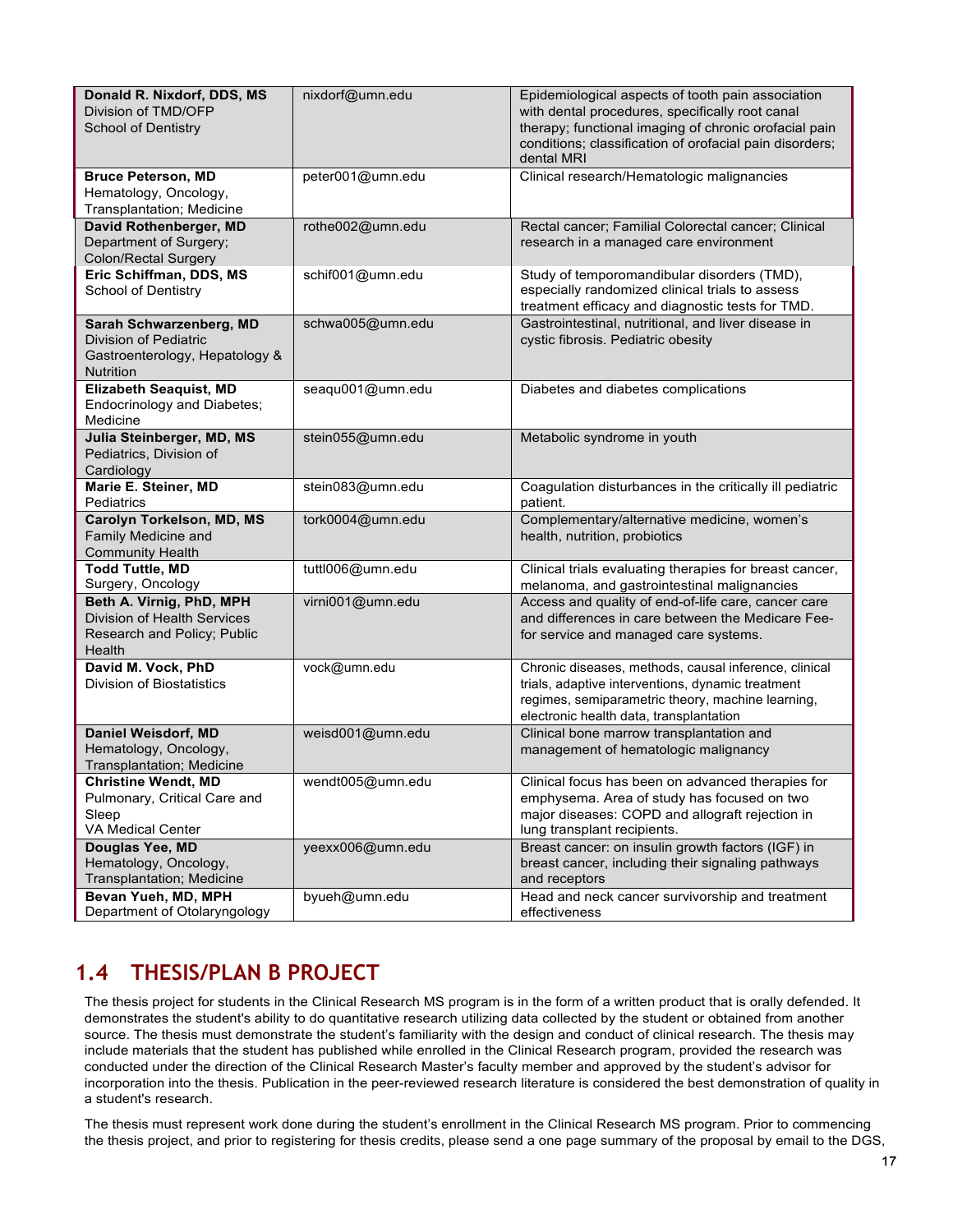| Donald R. Nixdorf, DDS, MS<br>Division of TMD/OFP<br><b>School of Dentistry</b>                  | nixdorf@umn.edu  | Epidemiological aspects of tooth pain association<br>with dental procedures, specifically root canal<br>therapy; functional imaging of chronic orofacial pain<br>conditions; classification of orofacial pain disorders;<br>dental MRI |
|--------------------------------------------------------------------------------------------------|------------------|----------------------------------------------------------------------------------------------------------------------------------------------------------------------------------------------------------------------------------------|
| <b>Bruce Peterson, MD</b><br>Hematology, Oncology,<br>Transplantation; Medicine                  | peter001@umn.edu | Clinical research/Hematologic malignancies                                                                                                                                                                                             |
| David Rothenberger, MD<br>Department of Surgery;<br><b>Colon/Rectal Surgery</b>                  | rothe002@umn.edu | Rectal cancer; Familial Colorectal cancer; Clinical<br>research in a managed care environment                                                                                                                                          |
| Eric Schiffman, DDS, MS<br><b>School of Dentistry</b>                                            | schif001@umn.edu | Study of temporomandibular disorders (TMD),<br>especially randomized clinical trials to assess<br>treatment efficacy and diagnostic tests for TMD.                                                                                     |
| Sarah Schwarzenberg, MD<br>Division of Pediatric<br>Gastroenterology, Hepatology &<br>Nutrition  | schwa005@umn.edu | Gastrointestinal, nutritional, and liver disease in<br>cystic fibrosis. Pediatric obesity                                                                                                                                              |
| <b>Elizabeth Seaquist, MD</b><br>Endocrinology and Diabetes;<br>Medicine                         | seaqu001@umn.edu | Diabetes and diabetes complications                                                                                                                                                                                                    |
| Julia Steinberger, MD, MS<br>Pediatrics, Division of<br>Cardiology                               | stein055@umn.edu | Metabolic syndrome in youth                                                                                                                                                                                                            |
| Marie E. Steiner, MD<br>Pediatrics                                                               | stein083@umn.edu | Coagulation disturbances in the critically ill pediatric<br>patient.                                                                                                                                                                   |
| Carolyn Torkelson, MD, MS<br>Family Medicine and<br><b>Community Health</b>                      | tork0004@umn.edu | Complementary/alternative medicine, women's<br>health, nutrition, probiotics                                                                                                                                                           |
| <b>Todd Tuttle, MD</b><br>Surgery, Oncology                                                      | tuttl006@umn.edu | Clinical trials evaluating therapies for breast cancer,<br>melanoma, and gastrointestinal malignancies                                                                                                                                 |
| Beth A. Virnig, PhD, MPH<br>Division of Health Services<br>Research and Policy; Public<br>Health | virni001@umn.edu | Access and quality of end-of-life care, cancer care<br>and differences in care between the Medicare Fee-<br>for service and managed care systems.                                                                                      |
| David M. Vock, PhD<br>Division of Biostatistics                                                  | vock@umn.edu     | Chronic diseases, methods, causal inference, clinical<br>trials, adaptive interventions, dynamic treatment<br>regimes, semiparametric theory, machine learning,<br>electronic health data, transplantation                             |
| Daniel Weisdorf, MD<br>Hematology, Oncology,<br>Transplantation; Medicine                        | weisd001@umn.edu | Clinical bone marrow transplantation and<br>management of hematologic malignancy                                                                                                                                                       |
| <b>Christine Wendt, MD</b><br>Pulmonary, Critical Care and<br>Sleep<br>VA Medical Center         | wendt005@umn.edu | Clinical focus has been on advanced therapies for<br>emphysema. Area of study has focused on two<br>major diseases: COPD and allograft rejection in<br>lung transplant recipients.                                                     |
| Douglas Yee, MD<br>Hematology, Oncology,<br>Transplantation; Medicine                            | yeexx006@umn.edu | Breast cancer: on insulin growth factors (IGF) in<br>breast cancer, including their signaling pathways<br>and receptors                                                                                                                |
| Bevan Yueh, MD, MPH<br>Department of Otolaryngology                                              | byueh@umn.edu    | Head and neck cancer survivorship and treatment<br>effectiveness                                                                                                                                                                       |

# **1.4 THESIS/PLAN B PROJECT**

The thesis project for students in the Clinical Research MS program is in the form of a written product that is orally defended. It demonstrates the student's ability to do quantitative research utilizing data collected by the student or obtained from another source. The thesis must demonstrate the student's familiarity with the design and conduct of clinical research. The thesis may include materials that the student has published while enrolled in the Clinical Research program, provided the research was conducted under the direction of the Clinical Research Master's faculty member and approved by the student's advisor for incorporation into the thesis. Publication in the peer-reviewed research literature is considered the best demonstration of quality in a student's research.

The thesis must represent work done during the student's enrollment in the Clinical Research MS program. Prior to commencing the thesis project, and prior to registering for thesis credits, please send a one page summary of the proposal by email to the DGS,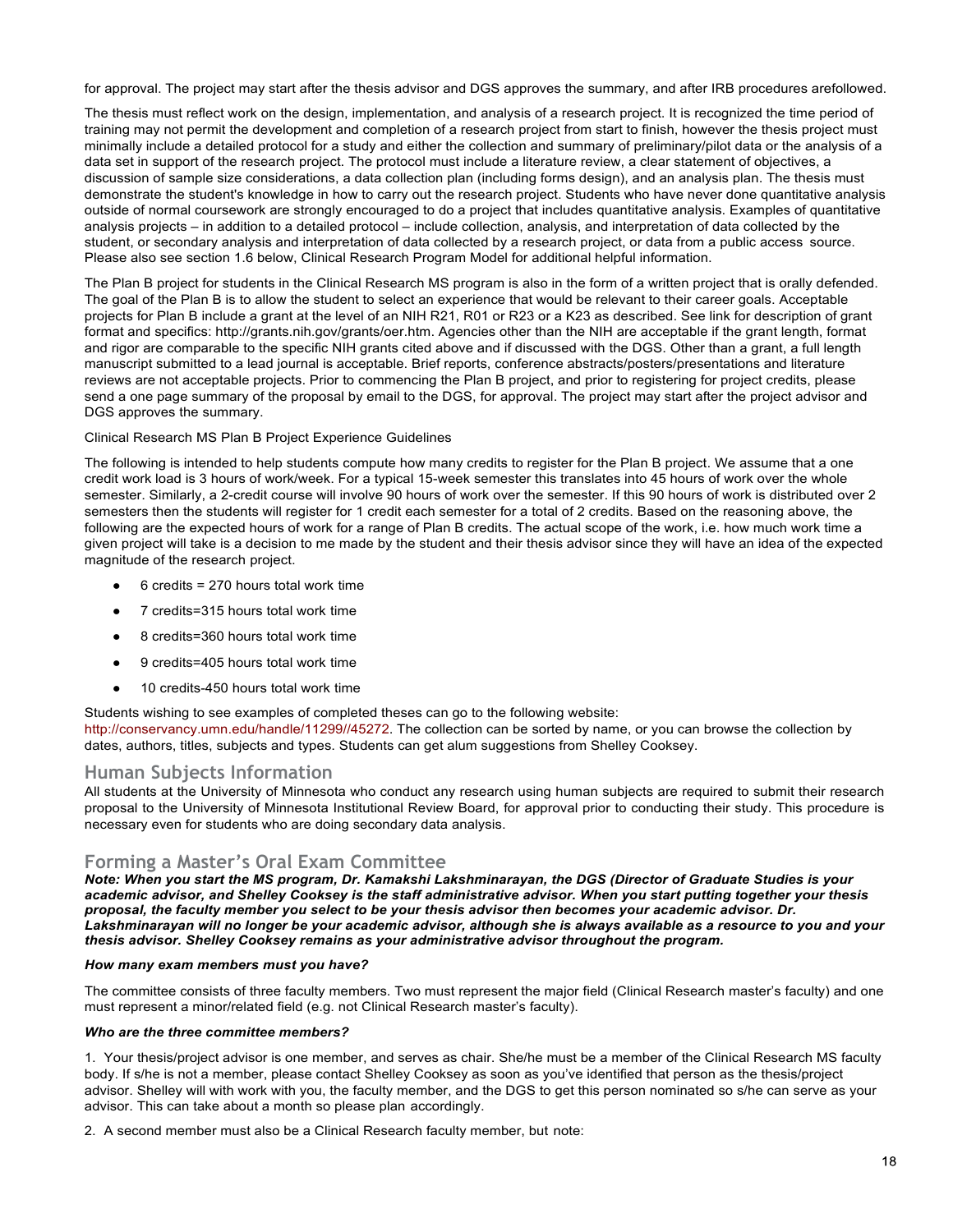for approval. The project may start after the thesis advisor and DGS approves the summary, and after IRB procedures arefollowed.

The thesis must reflect work on the design, implementation, and analysis of a research project. It is recognized the time period of training may not permit the development and completion of a research project from start to finish, however the thesis project must minimally include a detailed protocol for a study and either the collection and summary of preliminary/pilot data or the analysis of a data set in support of the research project. The protocol must include a literature review, a clear statement of objectives, a discussion of sample size considerations, a data collection plan (including forms design), and an analysis plan. The thesis must demonstrate the student's knowledge in how to carry out the research project. Students who have never done quantitative analysis outside of normal coursework are strongly encouraged to do a project that includes quantitative analysis. Examples of quantitative analysis projects – in addition to a detailed protocol – include collection, analysis, and interpretation of data collected by the student, or secondary analysis and interpretation of data collected by a research project, or data from a public access source. Please also see section 1.6 below, Clinical Research Program Model for additional helpful information.

The Plan B project for students in the Clinical Research MS program is also in the form of a written project that is orally defended. The goal of the Plan B is to allow the student to select an experience that would be relevant to their career goals. Acceptable projects for Plan B include a grant at the level of an NIH R21, R01 or R23 or a K23 as described. See link for description of grant format and specifics: http://grants.nih.gov/grants/oer.htm. Agencies other than the NIH are acceptable if the grant length, format and rigor are comparable to the specific NIH grants cited above and if discussed with the DGS. Other than a grant, a full length manuscript submitted to a lead journal is acceptable. Brief reports, conference abstracts/posters/presentations and literature reviews are not acceptable projects. Prior to commencing the Plan B project, and prior to registering for project credits, please send a one page summary of the proposal by email to the DGS, for approval. The project may start after the project advisor and DGS approves the summary.

#### Clinical Research MS Plan B Project Experience Guidelines

The following is intended to help students compute how many credits to register for the Plan B project. We assume that a one credit work load is 3 hours of work/week. For a typical 15-week semester this translates into 45 hours of work over the whole semester. Similarly, a 2-credit course will involve 90 hours of work over the semester. If this 90 hours of work is distributed over 2 semesters then the students will register for 1 credit each semester for a total of 2 credits. Based on the reasoning above, the following are the expected hours of work for a range of Plan B credits. The actual scope of the work, i.e. how much work time a given project will take is a decision to me made by the student and their thesis advisor since they will have an idea of the expected magnitude of the research project.

- $6$  credits = 270 hours total work time
- 7 credits=315 hours total work time
- 8 credits=360 hours total work time
- 9 credits=405 hours total work time
- 10 credits-450 hours total work time

Students wishing to see examples of completed theses can go to the following website:

http://conservancy.umn.edu/handle/11299//45272. The collection can be sorted by name, or you can browse the collection by dates, authors, titles, subjects and types. Students can get alum suggestions from Shelley Cooksey.

#### **Human Subjects Information**

All students at the University of Minnesota who conduct any research using human subjects are required to submit their research proposal to the University of Minnesota Institutional Review Board, for approval prior to conducting their study. This procedure is necessary even for students who are doing secondary data analysis.

#### **Forming a Master's Oral Exam Committee**

*Note: When you start the MS program, Dr. Kamakshi Lakshminarayan, the DGS (Director of Graduate Studies is your academic advisor, and Shelley Cooksey is the staff administrative advisor. When you start putting together your thesis proposal, the faculty member you select to be your thesis advisor then becomes your academic advisor. Dr. Lakshminarayan will no longer be your academic advisor, although she is always available as a resource to you and your thesis advisor. Shelley Cooksey remains as your administrative advisor throughout the program.*

#### *How many exam members must you have?*

The committee consists of three faculty members. Two must represent the major field (Clinical Research master's faculty) and one must represent a minor/related field (e.g. not Clinical Research master's faculty).

#### *Who are the three committee members?*

1. Your thesis/project advisor is one member, and serves as chair. She/he must be a member of the Clinical Research MS faculty body. If s/he is not a member, please contact Shelley Cooksey as soon as you've identified that person as the thesis/project advisor. Shelley will with work with you, the faculty member, and the DGS to get this person nominated so s/he can serve as your advisor. This can take about a month so please plan accordingly.

2. A second member must also be a Clinical Research faculty member, but note: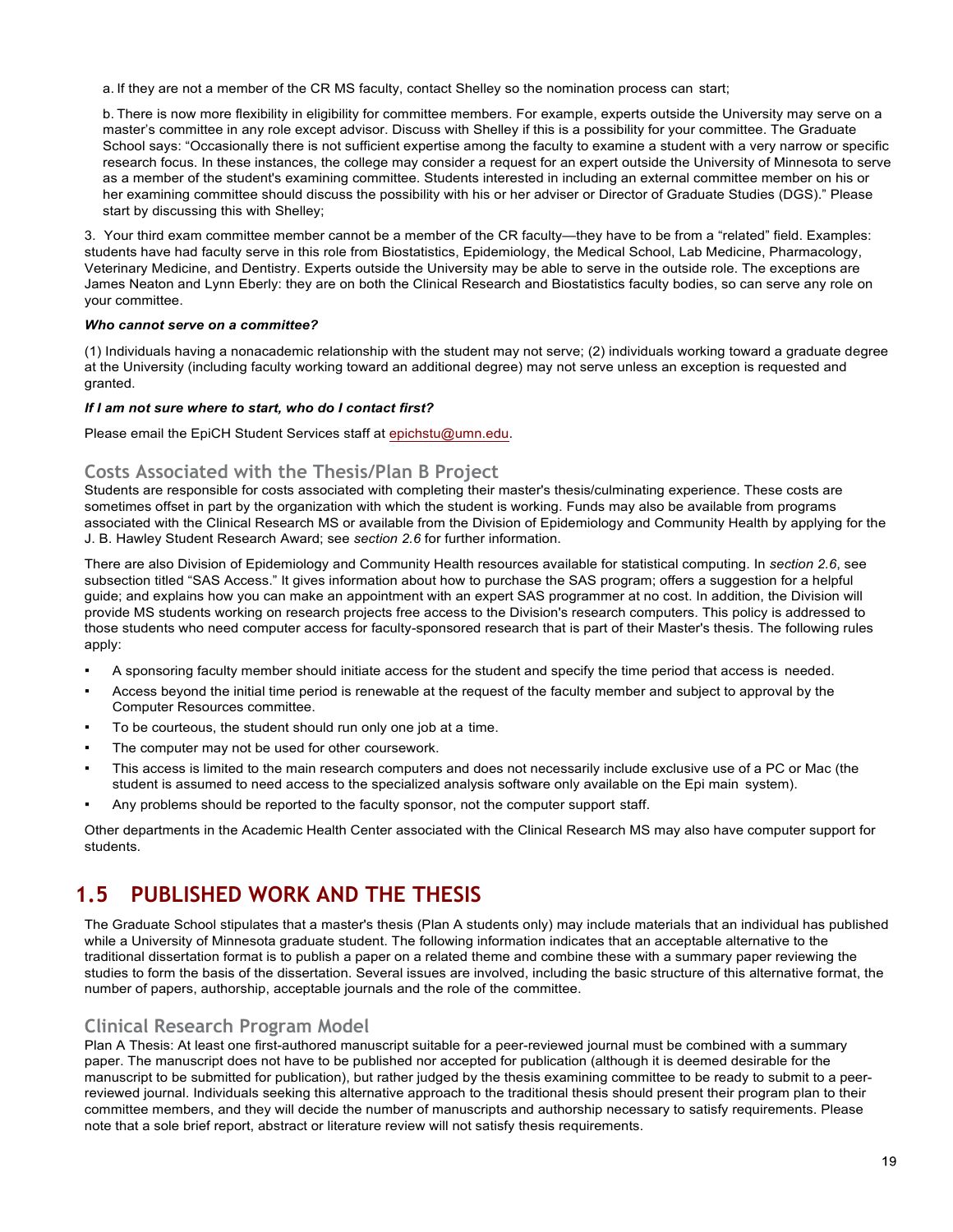a. If they are not a member of the CR MS faculty, contact Shelley so the nomination process can start;

b. There is now more flexibility in eligibility for committee members. For example, experts outside the University may serve on a master's committee in any role except advisor. Discuss with Shelley if this is a possibility for your committee. The Graduate School says: "Occasionally there is not sufficient expertise among the faculty to examine a student with a very narrow or specific research focus. In these instances, the college may consider a request for an expert outside the University of Minnesota to serve as a member of the student's examining committee. Students interested in including an external committee member on his or her examining committee should discuss the possibility with his or her adviser or Director of Graduate Studies (DGS)." Please start by discussing this with Shelley;

3. Your third exam committee member cannot be a member of the CR faculty—they have to be from a "related" field. Examples: students have had faculty serve in this role from Biostatistics, Epidemiology, the Medical School, Lab Medicine, Pharmacology, Veterinary Medicine, and Dentistry. Experts outside the University may be able to serve in the outside role. The exceptions are James Neaton and Lynn Eberly: they are on both the Clinical Research and Biostatistics faculty bodies, so can serve any role on your committee.

#### *Who cannot serve on a committee?*

(1) Individuals having a nonacademic relationship with the student may not serve; (2) individuals working toward a graduate degree at the University (including faculty working toward an additional degree) may not serve unless an exception is requested and granted.

#### *If I am not sure where to start, who do I contact first?*

Please email the EpiCH Student Services staff at epichstu@umn.edu.

#### **Costs Associated with the Thesis/Plan B Project**

Students are responsible for costs associated with completing their master's thesis/culminating experience. These costs are sometimes offset in part by the organization with which the student is working. Funds may also be available from programs associated with the Clinical Research MS or available from the Division of Epidemiology and Community Health by applying for the J. B. Hawley Student Research Award; see *section 2.6* for further information.

There are also Division of Epidemiology and Community Health resources available for statistical computing. In *section 2.6*, see subsection titled "SAS Access." It gives information about how to purchase the SAS program; offers a suggestion for a helpful guide; and explains how you can make an appointment with an expert SAS programmer at no cost. In addition, the Division will provide MS students working on research projects free access to the Division's research computers. This policy is addressed to those students who need computer access for faculty-sponsored research that is part of their Master's thesis. The following rules apply:

- A sponsoring faculty member should initiate access for the student and specify the time period that access is needed.
- Access beyond the initial time period is renewable at the request of the faculty member and subject to approval by the Computer Resources committee.
- To be courteous, the student should run only one job at a time.
- The computer may not be used for other coursework.
- This access is limited to the main research computers and does not necessarily include exclusive use of a PC or Mac (the student is assumed to need access to the specialized analysis software only available on the Epi main system).
- Any problems should be reported to the faculty sponsor, not the computer support staff.

Other departments in the Academic Health Center associated with the Clinical Research MS may also have computer support for students.

# **1.5 PUBLISHED WORK AND THE THESIS**

The Graduate School stipulates that a master's thesis (Plan A students only) may include materials that an individual has published while a University of Minnesota graduate student. The following information indicates that an acceptable alternative to the traditional dissertation format is to publish a paper on a related theme and combine these with a summary paper reviewing the studies to form the basis of the dissertation. Several issues are involved, including the basic structure of this alternative format, the number of papers, authorship, acceptable journals and the role of the committee.

#### **Clinical Research Program Model**

Plan A Thesis: At least one first-authored manuscript suitable for a peer-reviewed journal must be combined with a summary paper. The manuscript does not have to be published nor accepted for publication (although it is deemed desirable for the manuscript to be submitted for publication), but rather judged by the thesis examining committee to be ready to submit to a peerreviewed journal. Individuals seeking this alternative approach to the traditional thesis should present their program plan to their committee members, and they will decide the number of manuscripts and authorship necessary to satisfy requirements. Please note that a sole brief report, abstract or literature review will not satisfy thesis requirements.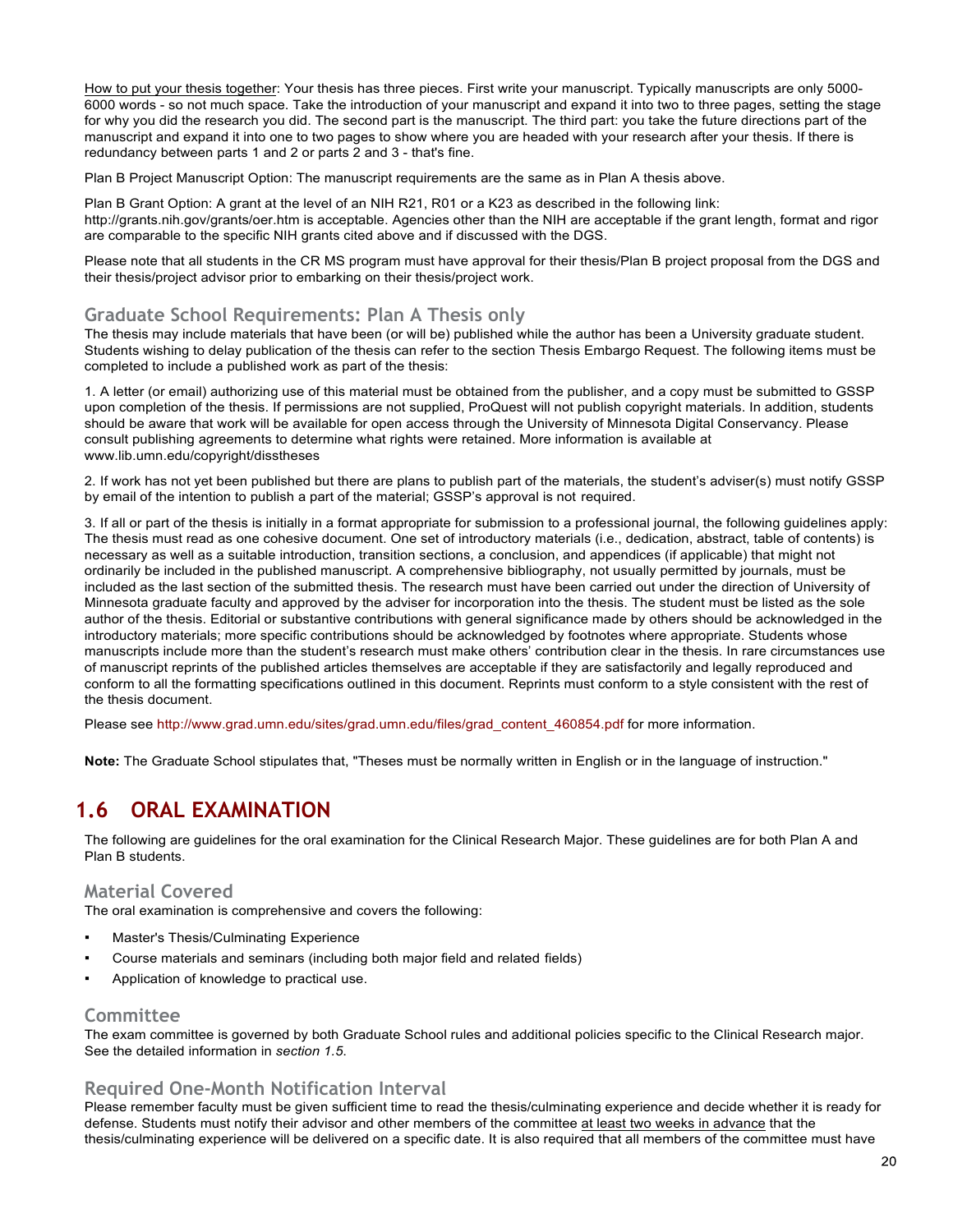How to put your thesis together: Your thesis has three pieces. First write your manuscript. Typically manuscripts are only 5000- 6000 words - so not much space. Take the introduction of your manuscript and expand it into two to three pages, setting the stage for why you did the research you did. The second part is the manuscript. The third part: you take the future directions part of the manuscript and expand it into one to two pages to show where you are headed with your research after your thesis. If there is redundancy between parts 1 and 2 or parts 2 and 3 - that's fine.

Plan B Project Manuscript Option: The manuscript requirements are the same as in Plan A thesis above.

Plan B Grant Option: A grant at the level of an NIH R21, R01 or a K23 as described in the following link: http://grants.nih.gov/grants/oer.htm is acceptable. Agencies other than the NIH are acceptable if the grant length, format and rigor are comparable to the specific NIH grants cited above and if discussed with the DGS.

Please note that all students in the CR MS program must have approval for their thesis/Plan B project proposal from the DGS and their thesis/project advisor prior to embarking on their thesis/project work.

#### **Graduate School Requirements: Plan A Thesis only**

The thesis may include materials that have been (or will be) published while the author has been a University graduate student. Students wishing to delay publication of the thesis can refer to the section Thesis Embargo Request. The following items must be completed to include a published work as part of the thesis:

1. A letter (or email) authorizing use of this material must be obtained from the publisher, and a copy must be submitted to GSSP upon completion of the thesis. If permissions are not supplied, ProQuest will not publish copyright materials. In addition, students should be aware that work will be available for open access through the University of Minnesota Digital Conservancy. Please consult publishing agreements to determine what rights were retained. More information is available at www.lib.umn.edu/copyright/disstheses

2. If work has not yet been published but there are plans to publish part of the materials, the student's adviser(s) must notify GSSP by email of the intention to publish a part of the material; GSSP's approval is not required.

3. If all or part of the thesis is initially in a format appropriate for submission to a professional journal, the following guidelines apply: The thesis must read as one cohesive document. One set of introductory materials (i.e., dedication, abstract, table of contents) is necessary as well as a suitable introduction, transition sections, a conclusion, and appendices (if applicable) that might not ordinarily be included in the published manuscript. A comprehensive bibliography, not usually permitted by journals, must be included as the last section of the submitted thesis. The research must have been carried out under the direction of University of Minnesota graduate faculty and approved by the adviser for incorporation into the thesis. The student must be listed as the sole author of the thesis. Editorial or substantive contributions with general significance made by others should be acknowledged in the introductory materials; more specific contributions should be acknowledged by footnotes where appropriate. Students whose manuscripts include more than the student's research must make others' contribution clear in the thesis. In rare circumstances use of manuscript reprints of the published articles themselves are acceptable if they are satisfactorily and legally reproduced and conform to all the formatting specifications outlined in this document. Reprints must conform to a style consistent with the rest of the thesis document.

Please see http://www.grad.umn.edu/sites/grad.umn.edu/files/grad\_content\_460854.pdf for more information.

**Note:** The Graduate School stipulates that, "Theses must be normally written in English or in the language of instruction."

# **1.6 ORAL EXAMINATION**

The following are guidelines for the oral examination for the Clinical Research Major. These guidelines are for both Plan A and Plan B students.

#### **Material Covered**

The oral examination is comprehensive and covers the following:

- **Master's Thesis/Culminating Experience**
- Course materials and seminars (including both major field and related fields)
- Application of knowledge to practical use.

#### **Committee**

The exam committee is governed by both Graduate School rules and additional policies specific to the Clinical Research major. See the detailed information in *section 1.5*.

#### **Required One-Month Notification Interval**

Please remember faculty must be given sufficient time to read the thesis/culminating experience and decide whether it is ready for defense. Students must notify their advisor and other members of the committee at least two weeks in advance that the thesis/culminating experience will be delivered on a specific date. It is also required that all members of the committee must have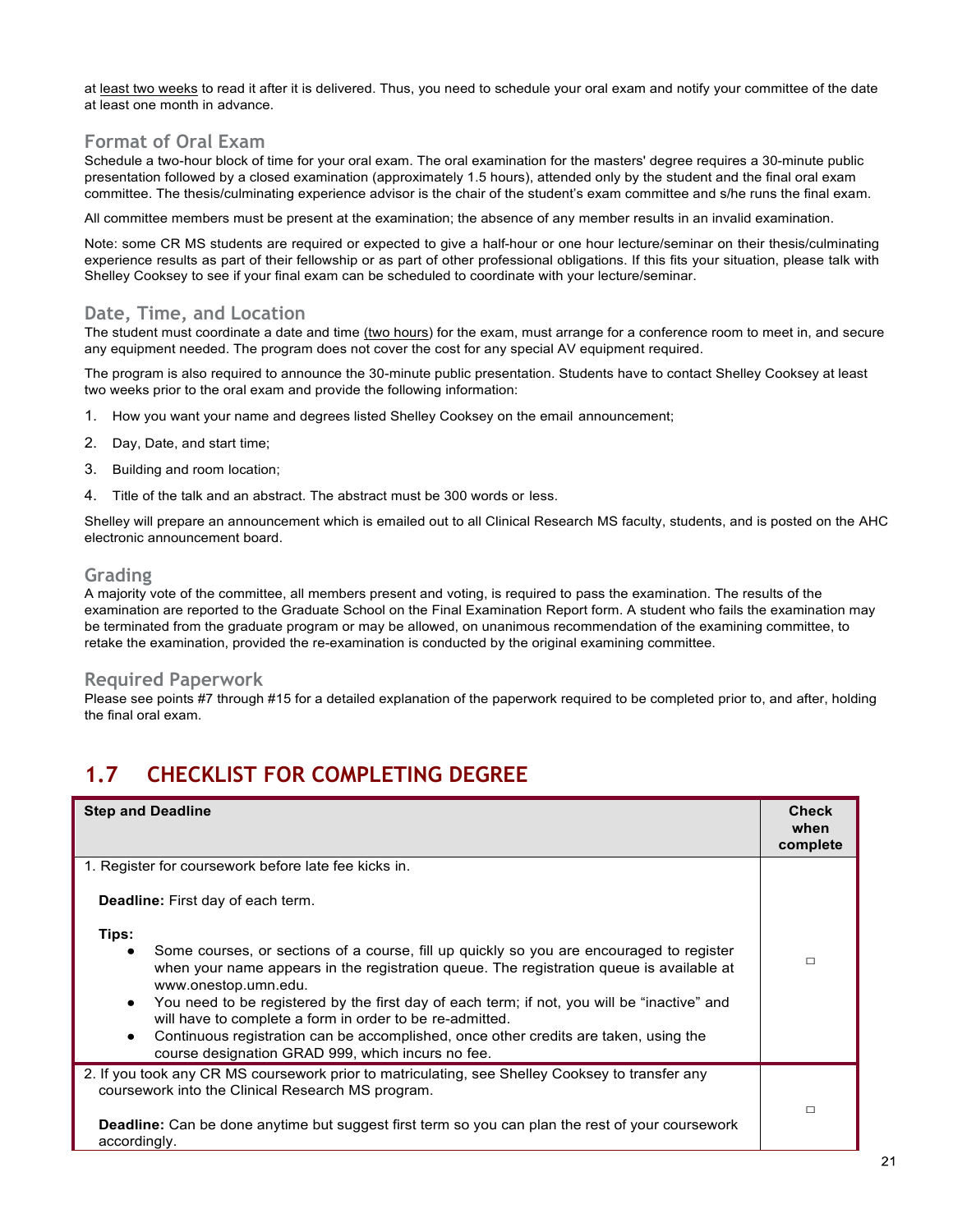at least two weeks to read it after it is delivered. Thus, you need to schedule your oral exam and notify your committee of the date at least one month in advance.

# **Format of Oral Exam**

Schedule a two-hour block of time for your oral exam. The oral examination for the masters' degree requires a 30-minute public presentation followed by a closed examination (approximately 1.5 hours), attended only by the student and the final oral exam committee. The thesis/culminating experience advisor is the chair of the student's exam committee and s/he runs the final exam.

All committee members must be present at the examination; the absence of any member results in an invalid examination.

Note: some CR MS students are required or expected to give a half-hour or one hour lecture/seminar on their thesis/culminating experience results as part of their fellowship or as part of other professional obligations. If this fits your situation, please talk with Shelley Cooksey to see if your final exam can be scheduled to coordinate with your lecture/seminar.

#### **Date, Time, and Location**

The student must coordinate a date and time (two hours) for the exam, must arrange for a conference room to meet in, and secure any equipment needed. The program does not cover the cost for any special AV equipment required.

The program is also required to announce the 30-minute public presentation. Students have to contact Shelley Cooksey at least two weeks prior to the oral exam and provide the following information:

- 1. How you want your name and degrees listed Shelley Cooksey on the email announcement;
- 2. Day, Date, and start time;
- 3. Building and room location;
- 4. Title of the talk and an abstract. The abstract must be 300 words or less.

Shelley will prepare an announcement which is emailed out to all Clinical Research MS faculty, students, and is posted on the AHC electronic announcement board.

#### **Grading**

A majority vote of the committee, all members present and voting, is required to pass the examination. The results of the examination are reported to the Graduate School on the Final Examination Report form. A student who fails the examination may be terminated from the graduate program or may be allowed, on unanimous recommendation of the examining committee, to retake the examination, provided the re-examination is conducted by the original examining committee.

#### **Required Paperwork**

Please see points #7 through #15 for a detailed explanation of the paperwork required to be completed prior to, and after, holding the final oral exam.

# **1.7 CHECKLIST FOR COMPLETING DEGREE**

| <b>Step and Deadline</b>                                                                                                                                                                                                                                                                                                                                                                                                                                                                                                          | <b>Check</b><br>when<br>complete |
|-----------------------------------------------------------------------------------------------------------------------------------------------------------------------------------------------------------------------------------------------------------------------------------------------------------------------------------------------------------------------------------------------------------------------------------------------------------------------------------------------------------------------------------|----------------------------------|
| 1. Register for coursework before late fee kicks in.                                                                                                                                                                                                                                                                                                                                                                                                                                                                              |                                  |
| <b>Deadline:</b> First day of each term.                                                                                                                                                                                                                                                                                                                                                                                                                                                                                          |                                  |
| Tips:                                                                                                                                                                                                                                                                                                                                                                                                                                                                                                                             |                                  |
| Some courses, or sections of a course, fill up quickly so you are encouraged to register<br>when your name appears in the registration queue. The registration queue is available at<br>www.onestop.umn.edu.<br>You need to be registered by the first day of each term; if not, you will be "inactive" and<br>$\bullet$<br>will have to complete a form in order to be re-admitted.<br>Continuous registration can be accomplished, once other credits are taken, using the<br>course designation GRAD 999, which incurs no fee. | □                                |
| 2. If you took any CR MS coursework prior to matriculating, see Shelley Cooksey to transfer any                                                                                                                                                                                                                                                                                                                                                                                                                                   |                                  |
| coursework into the Clinical Research MS program.                                                                                                                                                                                                                                                                                                                                                                                                                                                                                 |                                  |
| <b>Deadline:</b> Can be done anytime but suggest first term so you can plan the rest of your coursework<br>accordingly.                                                                                                                                                                                                                                                                                                                                                                                                           | □                                |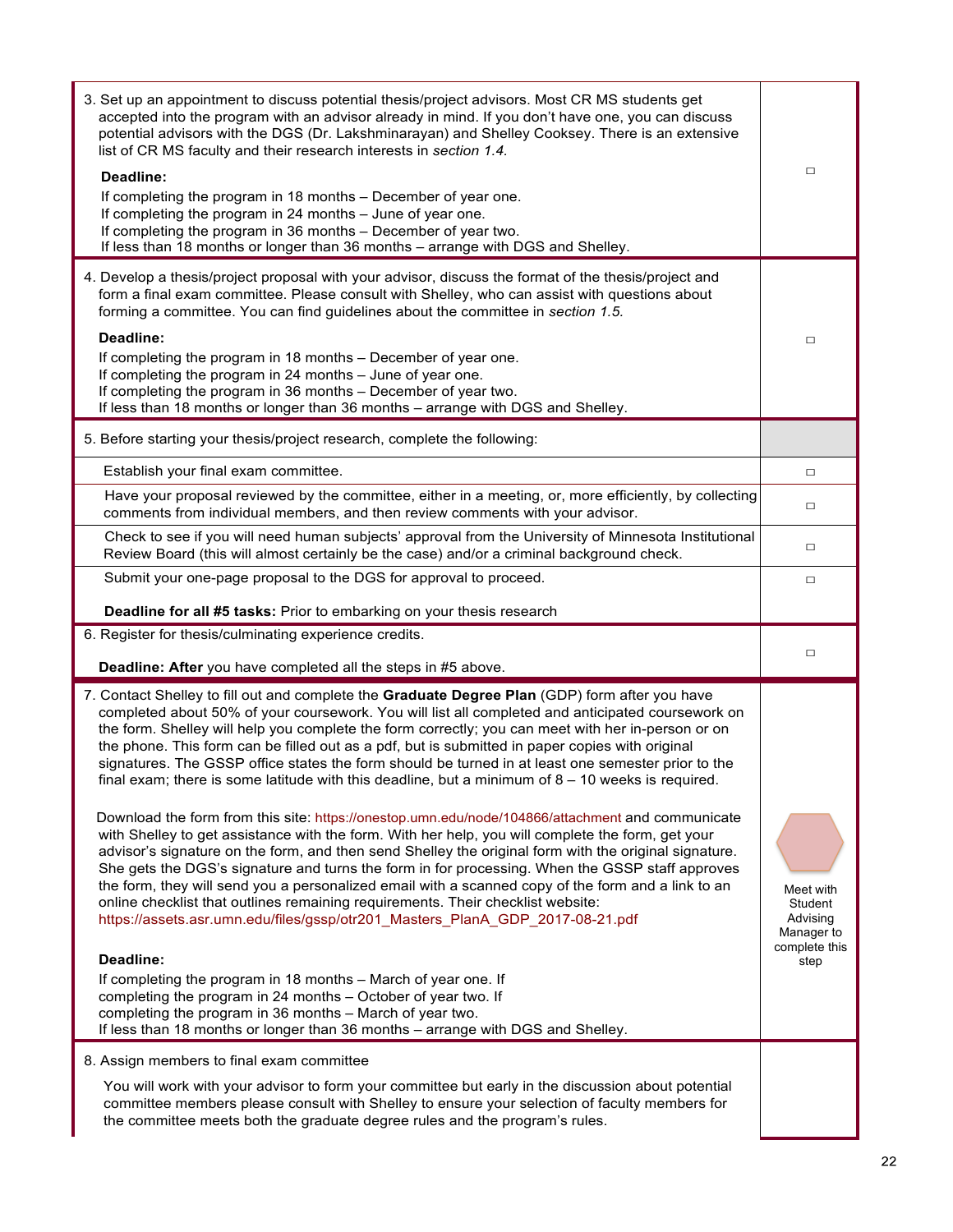| 3. Set up an appointment to discuss potential thesis/project advisors. Most CR MS students get<br>accepted into the program with an advisor already in mind. If you don't have one, you can discuss<br>potential advisors with the DGS (Dr. Lakshminarayan) and Shelley Cooksey. There is an extensive<br>list of CR MS faculty and their research interests in section 1.4.<br>Deadline:<br>If completing the program in 18 months - December of year one.<br>If completing the program in 24 months - June of year one.<br>If completing the program in 36 months - December of year two.<br>If less than 18 months or longer than 36 months - arrange with DGS and Shelley.                                                                                                                                                                                                                                                                                                                                                                                                                                                                                                                                                                                                                                                        | $\Box$                                                                  |
|---------------------------------------------------------------------------------------------------------------------------------------------------------------------------------------------------------------------------------------------------------------------------------------------------------------------------------------------------------------------------------------------------------------------------------------------------------------------------------------------------------------------------------------------------------------------------------------------------------------------------------------------------------------------------------------------------------------------------------------------------------------------------------------------------------------------------------------------------------------------------------------------------------------------------------------------------------------------------------------------------------------------------------------------------------------------------------------------------------------------------------------------------------------------------------------------------------------------------------------------------------------------------------------------------------------------------------------|-------------------------------------------------------------------------|
| 4. Develop a thesis/project proposal with your advisor, discuss the format of the thesis/project and<br>form a final exam committee. Please consult with Shelley, who can assist with questions about<br>forming a committee. You can find guidelines about the committee in section 1.5.<br>Deadline:<br>If completing the program in 18 months - December of year one.<br>If completing the program in 24 months - June of year one.<br>If completing the program in 36 months - December of year two.<br>If less than 18 months or longer than 36 months - arrange with DGS and Shelley.                                                                                                                                                                                                                                                                                                                                                                                                                                                                                                                                                                                                                                                                                                                                           | □                                                                       |
| 5. Before starting your thesis/project research, complete the following:                                                                                                                                                                                                                                                                                                                                                                                                                                                                                                                                                                                                                                                                                                                                                                                                                                                                                                                                                                                                                                                                                                                                                                                                                                                              |                                                                         |
| Establish your final exam committee.                                                                                                                                                                                                                                                                                                                                                                                                                                                                                                                                                                                                                                                                                                                                                                                                                                                                                                                                                                                                                                                                                                                                                                                                                                                                                                  | □                                                                       |
| Have your proposal reviewed by the committee, either in a meeting, or, more efficiently, by collecting<br>comments from individual members, and then review comments with your advisor.                                                                                                                                                                                                                                                                                                                                                                                                                                                                                                                                                                                                                                                                                                                                                                                                                                                                                                                                                                                                                                                                                                                                               | $\Box$                                                                  |
| Check to see if you will need human subjects' approval from the University of Minnesota Institutional<br>Review Board (this will almost certainly be the case) and/or a criminal background check.                                                                                                                                                                                                                                                                                                                                                                                                                                                                                                                                                                                                                                                                                                                                                                                                                                                                                                                                                                                                                                                                                                                                    | □                                                                       |
| Submit your one-page proposal to the DGS for approval to proceed.                                                                                                                                                                                                                                                                                                                                                                                                                                                                                                                                                                                                                                                                                                                                                                                                                                                                                                                                                                                                                                                                                                                                                                                                                                                                     | $\Box$                                                                  |
| Deadline for all #5 tasks: Prior to embarking on your thesis research                                                                                                                                                                                                                                                                                                                                                                                                                                                                                                                                                                                                                                                                                                                                                                                                                                                                                                                                                                                                                                                                                                                                                                                                                                                                 |                                                                         |
| 6. Register for thesis/culminating experience credits.                                                                                                                                                                                                                                                                                                                                                                                                                                                                                                                                                                                                                                                                                                                                                                                                                                                                                                                                                                                                                                                                                                                                                                                                                                                                                |                                                                         |
| Deadline: After you have completed all the steps in #5 above.                                                                                                                                                                                                                                                                                                                                                                                                                                                                                                                                                                                                                                                                                                                                                                                                                                                                                                                                                                                                                                                                                                                                                                                                                                                                         | $\Box$                                                                  |
| 7. Contact Shelley to fill out and complete the Graduate Degree Plan (GDP) form after you have<br>completed about 50% of your coursework. You will list all completed and anticipated coursework on<br>the form. Shelley will help you complete the form correctly; you can meet with her in-person or on<br>the phone. This form can be filled out as a pdf, but is submitted in paper copies with original<br>signatures. The GSSP office states the form should be turned in at least one semester prior to the<br>final exam; there is some latitude with this deadline, but a minimum of $8 - 10$ weeks is required.<br>Download the form from this site: https://onestop.umn.edu/node/104866/attachment and communicate<br>with Shelley to get assistance with the form. With her help, you will complete the form, get your<br>advisor's signature on the form, and then send Shelley the original form with the original signature.<br>She gets the DGS's signature and turns the form in for processing. When the GSSP staff approves<br>the form, they will send you a personalized email with a scanned copy of the form and a link to an<br>online checklist that outlines remaining requirements. Their checklist website:<br>https://assets.asr.umn.edu/files/gssp/otr201_Masters_PlanA_GDP_2017-08-21.pdf<br>Deadline: | Meet with<br>Student<br>Advising<br>Manager to<br>complete this<br>step |
| If completing the program in 18 months - March of year one. If<br>completing the program in 24 months - October of year two. If<br>completing the program in 36 months - March of year two.<br>If less than 18 months or longer than 36 months - arrange with DGS and Shelley.                                                                                                                                                                                                                                                                                                                                                                                                                                                                                                                                                                                                                                                                                                                                                                                                                                                                                                                                                                                                                                                        |                                                                         |
| 8. Assign members to final exam committee                                                                                                                                                                                                                                                                                                                                                                                                                                                                                                                                                                                                                                                                                                                                                                                                                                                                                                                                                                                                                                                                                                                                                                                                                                                                                             |                                                                         |
| You will work with your advisor to form your committee but early in the discussion about potential<br>committee members please consult with Shelley to ensure your selection of faculty members for<br>the committee meets both the graduate degree rules and the program's rules.                                                                                                                                                                                                                                                                                                                                                                                                                                                                                                                                                                                                                                                                                                                                                                                                                                                                                                                                                                                                                                                    |                                                                         |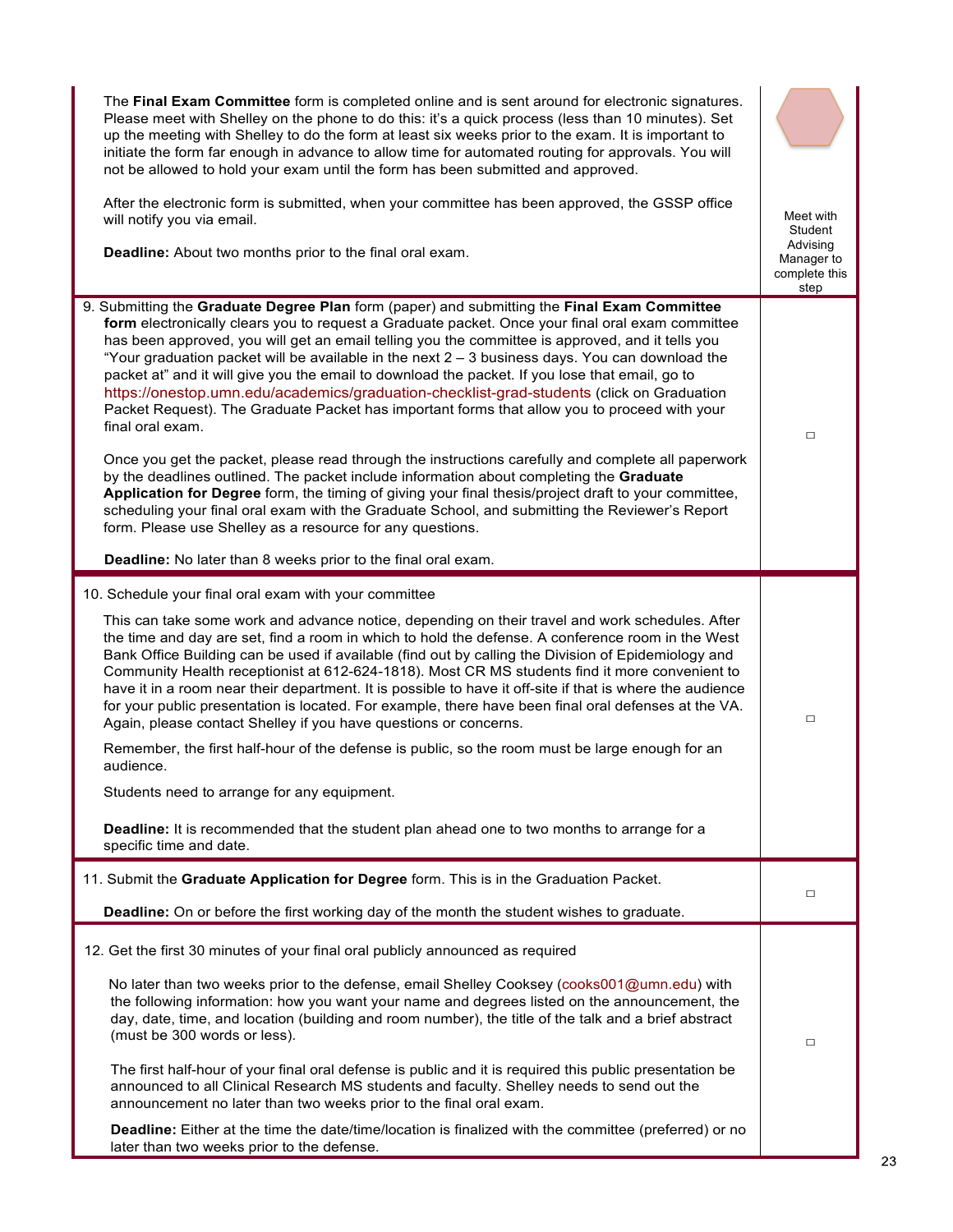| The Final Exam Committee form is completed online and is sent around for electronic signatures.<br>Please meet with Shelley on the phone to do this: it's a quick process (less than 10 minutes). Set<br>up the meeting with Shelley to do the form at least six weeks prior to the exam. It is important to<br>initiate the form far enough in advance to allow time for automated routing for approvals. You will<br>not be allowed to hold your exam until the form has been submitted and approved.<br>After the electronic form is submitted, when your committee has been approved, the GSSP office<br>will notify you via email.<br>Deadline: About two months prior to the final oral exam.                                                                                                                                                                                                                                                                                                                                                                                                                                                                                                  | Meet with<br>Student<br>Advising<br>Manager to |
|------------------------------------------------------------------------------------------------------------------------------------------------------------------------------------------------------------------------------------------------------------------------------------------------------------------------------------------------------------------------------------------------------------------------------------------------------------------------------------------------------------------------------------------------------------------------------------------------------------------------------------------------------------------------------------------------------------------------------------------------------------------------------------------------------------------------------------------------------------------------------------------------------------------------------------------------------------------------------------------------------------------------------------------------------------------------------------------------------------------------------------------------------------------------------------------------------|------------------------------------------------|
|                                                                                                                                                                                                                                                                                                                                                                                                                                                                                                                                                                                                                                                                                                                                                                                                                                                                                                                                                                                                                                                                                                                                                                                                      | complete this<br>step                          |
| 9. Submitting the Graduate Degree Plan form (paper) and submitting the Final Exam Committee<br>form electronically clears you to request a Graduate packet. Once your final oral exam committee<br>has been approved, you will get an email telling you the committee is approved, and it tells you<br>"Your graduation packet will be available in the next $2 - 3$ business days. You can download the<br>packet at" and it will give you the email to download the packet. If you lose that email, go to<br>https://onestop.umn.edu/academics/graduation-checklist-grad-students (click on Graduation<br>Packet Request). The Graduate Packet has important forms that allow you to proceed with your<br>final oral exam.<br>Once you get the packet, please read through the instructions carefully and complete all paperwork<br>by the deadlines outlined. The packet include information about completing the Graduate<br>Application for Degree form, the timing of giving your final thesis/project draft to your committee,<br>scheduling your final oral exam with the Graduate School, and submitting the Reviewer's Report<br>form. Please use Shelley as a resource for any questions. | □                                              |
| Deadline: No later than 8 weeks prior to the final oral exam.                                                                                                                                                                                                                                                                                                                                                                                                                                                                                                                                                                                                                                                                                                                                                                                                                                                                                                                                                                                                                                                                                                                                        |                                                |
| 10. Schedule your final oral exam with your committee                                                                                                                                                                                                                                                                                                                                                                                                                                                                                                                                                                                                                                                                                                                                                                                                                                                                                                                                                                                                                                                                                                                                                |                                                |
| This can take some work and advance notice, depending on their travel and work schedules. After<br>the time and day are set, find a room in which to hold the defense. A conference room in the West<br>Bank Office Building can be used if available (find out by calling the Division of Epidemiology and<br>Community Health receptionist at 612-624-1818). Most CR MS students find it more convenient to<br>have it in a room near their department. It is possible to have it off-site if that is where the audience<br>for your public presentation is located. For example, there have been final oral defenses at the VA.<br>Again, please contact Shelley if you have questions or concerns.<br>Remember, the first half-hour of the defense is public, so the room must be large enough for an<br>audience.<br>Students need to arrange for any equipment.<br><b>Deadline:</b> It is recommended that the student plan ahead one to two months to arrange for a<br>specific time and date.                                                                                                                                                                                                | □                                              |
| 11. Submit the Graduate Application for Degree form. This is in the Graduation Packet.                                                                                                                                                                                                                                                                                                                                                                                                                                                                                                                                                                                                                                                                                                                                                                                                                                                                                                                                                                                                                                                                                                               |                                                |
| Deadline: On or before the first working day of the month the student wishes to graduate.                                                                                                                                                                                                                                                                                                                                                                                                                                                                                                                                                                                                                                                                                                                                                                                                                                                                                                                                                                                                                                                                                                            | □                                              |
| 12. Get the first 30 minutes of your final oral publicly announced as required<br>No later than two weeks prior to the defense, email Shelley Cooksey (cooks001@umn.edu) with<br>the following information: how you want your name and degrees listed on the announcement, the<br>day, date, time, and location (building and room number), the title of the talk and a brief abstract                                                                                                                                                                                                                                                                                                                                                                                                                                                                                                                                                                                                                                                                                                                                                                                                               |                                                |
| (must be 300 words or less).<br>The first half-hour of your final oral defense is public and it is required this public presentation be<br>announced to all Clinical Research MS students and faculty. Shelley needs to send out the<br>announcement no later than two weeks prior to the final oral exam.<br>Deadline: Either at the time the date/time/location is finalized with the committee (preferred) or no                                                                                                                                                                                                                                                                                                                                                                                                                                                                                                                                                                                                                                                                                                                                                                                  | $\Box$                                         |
| later than two weeks prior to the defense.                                                                                                                                                                                                                                                                                                                                                                                                                                                                                                                                                                                                                                                                                                                                                                                                                                                                                                                                                                                                                                                                                                                                                           |                                                |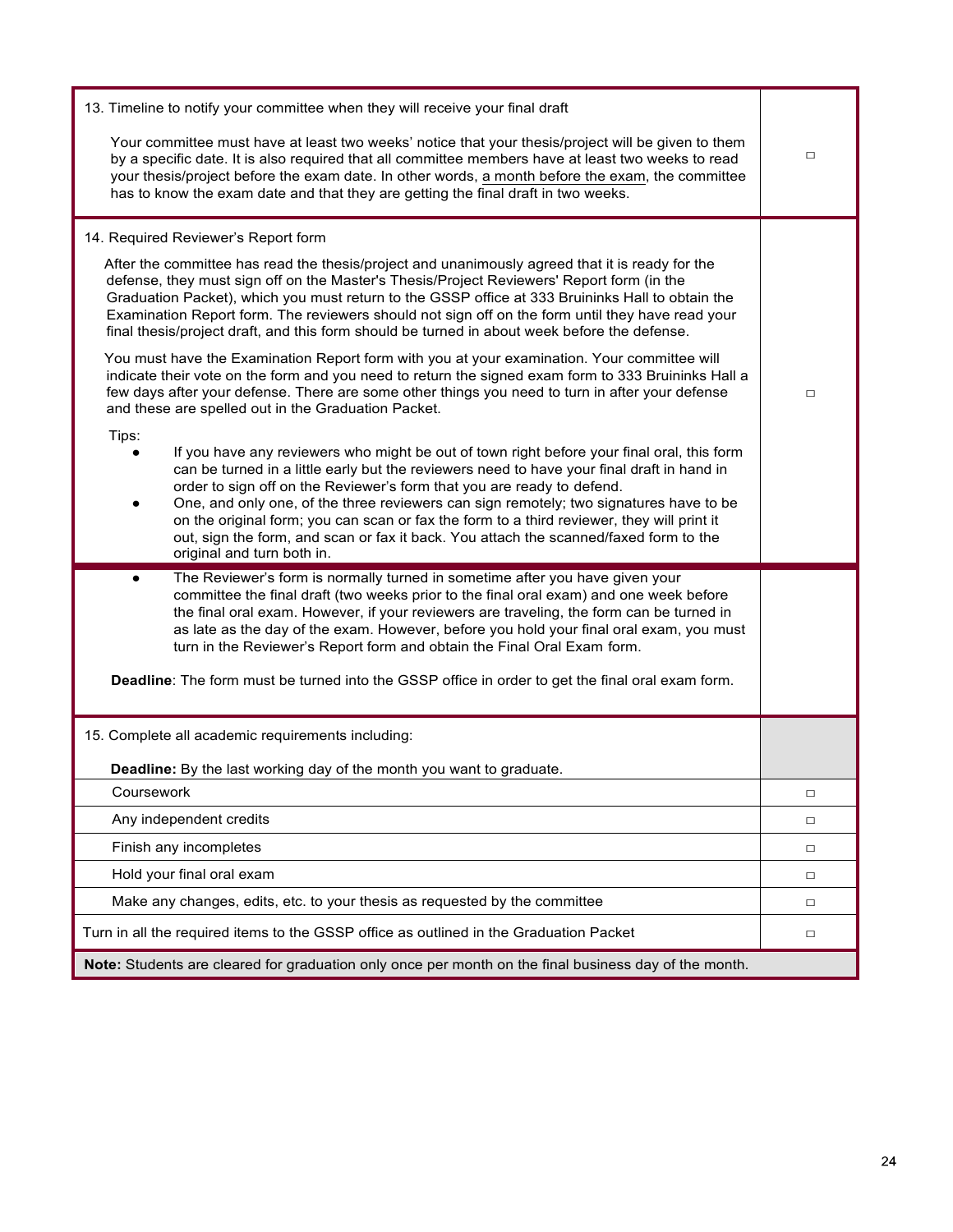| 13. Timeline to notify your committee when they will receive your final draft                                                                                                                                                                                                                                                                                                                                                                                                                                                                                                              |        |  |
|--------------------------------------------------------------------------------------------------------------------------------------------------------------------------------------------------------------------------------------------------------------------------------------------------------------------------------------------------------------------------------------------------------------------------------------------------------------------------------------------------------------------------------------------------------------------------------------------|--------|--|
| Your committee must have at least two weeks' notice that your thesis/project will be given to them<br>by a specific date. It is also required that all committee members have at least two weeks to read<br>your thesis/project before the exam date. In other words, a month before the exam, the committee<br>has to know the exam date and that they are getting the final draft in two weeks.                                                                                                                                                                                          |        |  |
| 14. Required Reviewer's Report form                                                                                                                                                                                                                                                                                                                                                                                                                                                                                                                                                        |        |  |
| After the committee has read the thesis/project and unanimously agreed that it is ready for the<br>defense, they must sign off on the Master's Thesis/Project Reviewers' Report form (in the<br>Graduation Packet), which you must return to the GSSP office at 333 Bruininks Hall to obtain the<br>Examination Report form. The reviewers should not sign off on the form until they have read your<br>final thesis/project draft, and this form should be turned in about week before the defense.                                                                                       |        |  |
| You must have the Examination Report form with you at your examination. Your committee will<br>indicate their vote on the form and you need to return the signed exam form to 333 Bruininks Hall a<br>few days after your defense. There are some other things you need to turn in after your defense<br>and these are spelled out in the Graduation Packet.                                                                                                                                                                                                                               | $\Box$ |  |
| Tips:<br>If you have any reviewers who might be out of town right before your final oral, this form<br>can be turned in a little early but the reviewers need to have your final draft in hand in<br>order to sign off on the Reviewer's form that you are ready to defend.<br>One, and only one, of the three reviewers can sign remotely; two signatures have to be<br>on the original form; you can scan or fax the form to a third reviewer, they will print it<br>out, sign the form, and scan or fax it back. You attach the scanned/faxed form to the<br>original and turn both in. |        |  |
| The Reviewer's form is normally turned in sometime after you have given your<br>$\bullet$<br>committee the final draft (two weeks prior to the final oral exam) and one week before<br>the final oral exam. However, if your reviewers are traveling, the form can be turned in<br>as late as the day of the exam. However, before you hold your final oral exam, you must<br>turn in the Reviewer's Report form and obtain the Final Oral Exam form.                                                                                                                                      |        |  |
| Deadline: The form must be turned into the GSSP office in order to get the final oral exam form.                                                                                                                                                                                                                                                                                                                                                                                                                                                                                           |        |  |
| 15. Complete all academic requirements including:                                                                                                                                                                                                                                                                                                                                                                                                                                                                                                                                          |        |  |
| Deadline: By the last working day of the month you want to graduate.                                                                                                                                                                                                                                                                                                                                                                                                                                                                                                                       |        |  |
| Coursework                                                                                                                                                                                                                                                                                                                                                                                                                                                                                                                                                                                 | $\Box$ |  |
| Any independent credits                                                                                                                                                                                                                                                                                                                                                                                                                                                                                                                                                                    | $\Box$ |  |
| Finish any incompletes                                                                                                                                                                                                                                                                                                                                                                                                                                                                                                                                                                     | $\Box$ |  |
| Hold your final oral exam                                                                                                                                                                                                                                                                                                                                                                                                                                                                                                                                                                  | □      |  |
| Make any changes, edits, etc. to your thesis as requested by the committee                                                                                                                                                                                                                                                                                                                                                                                                                                                                                                                 | $\Box$ |  |
| Turn in all the required items to the GSSP office as outlined in the Graduation Packet                                                                                                                                                                                                                                                                                                                                                                                                                                                                                                     | $\Box$ |  |
| Note: Students are cleared for graduation only once per month on the final business day of the month.                                                                                                                                                                                                                                                                                                                                                                                                                                                                                      |        |  |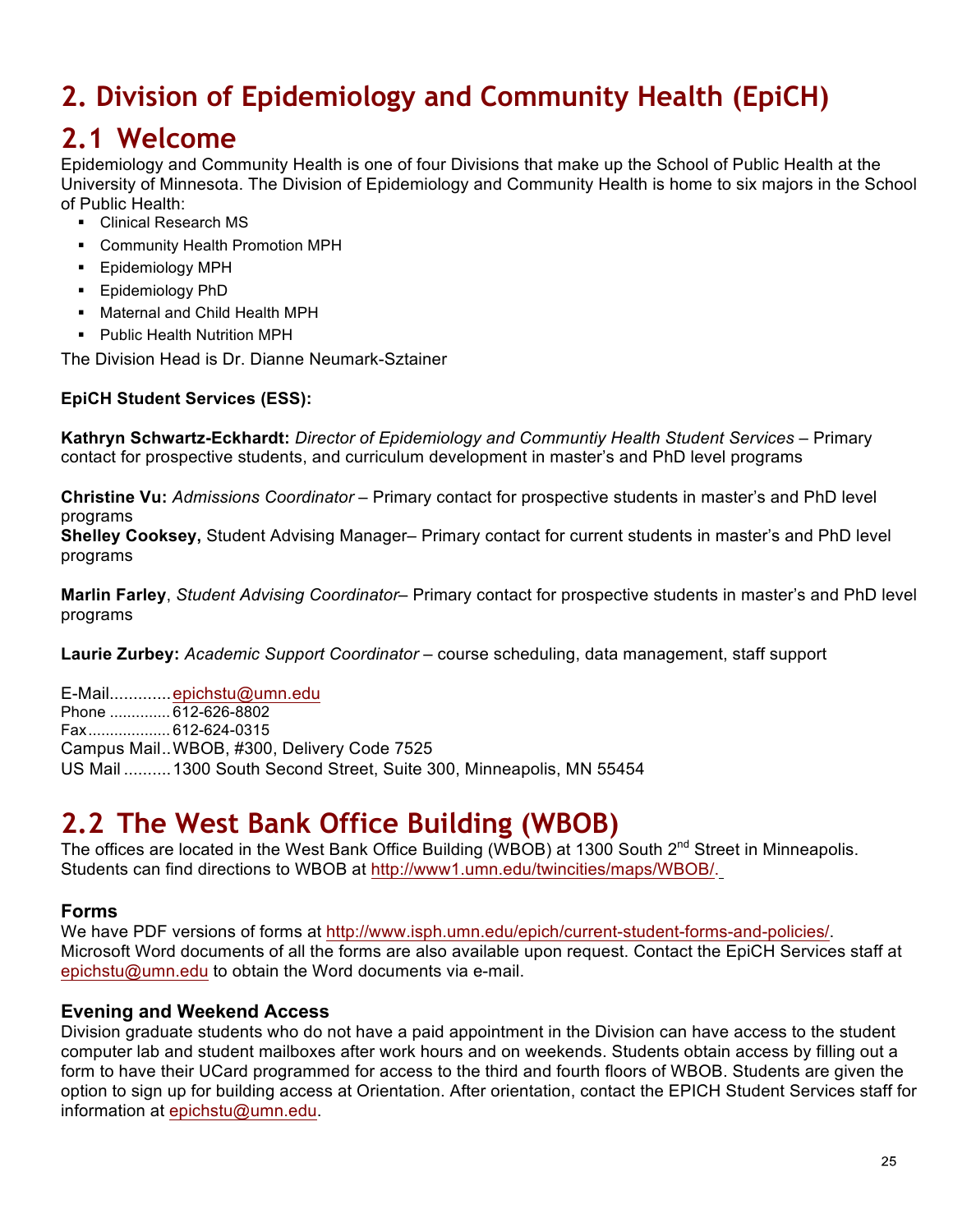# **2. Division of Epidemiology and Community Health (EpiCH)**

# **2.1 Welcome**

Epidemiology and Community Health is one of four Divisions that make up the School of Public Health at the University of Minnesota. The Division of Epidemiology and Community Health is home to six majors in the School of Public Health:

- § Clinical Research MS
- § Community Health Promotion MPH
- § Epidemiology MPH
- § Epidemiology PhD
- Maternal and Child Health MPH
- § Public Health Nutrition MPH

The Division Head is Dr. Dianne Neumark-Sztainer

# **EpiCH Student Services (ESS):**

**Kathryn Schwartz-Eckhardt:** *Director of Epidemiology and Communtiy Health Student Services* – Primary contact for prospective students, and curriculum development in master's and PhD level programs

**Christine Vu:** *Admissions Coordinator* – Primary contact for prospective students in master's and PhD level programs

**Shelley Cooksey,** Student Advising Manager– Primary contact for current students in master's and PhD level programs

**Marlin Farley**, *Student Advising Coordinator*– Primary contact for prospective students in master's and PhD level programs

**Laurie Zurbey:** *Academic Support Coordinator* – course scheduling, data management, staff support

E-Mail.............epichstu@umn.edu Phone .............. 612-626-8802 Fax................... 612-624-0315 Campus Mail..WBOB, #300, Delivery Code 7525 US Mail ..........1300 South Second Street, Suite 300, Minneapolis, MN 55454

# **2.2 The West Bank Office Building (WBOB)**

The offices are located in the West Bank Office Building (WBOB) at 1300 South  $2^{nd}$  Street in Minneapolis. Students can find directions to WBOB at http://www1.umn.edu/twincities/maps/WBOB/.

# **Forms**

We have PDF versions of forms at http://www.isph.umn.edu/epich/current-student-forms-and-policies/. Microsoft Word documents of all the forms are also available upon request. Contact the EpiCH Services staff at epichstu@umn.edu to obtain the Word documents via e-mail.

# **Evening and Weekend Access**

Division graduate students who do not have a paid appointment in the Division can have access to the student computer lab and student mailboxes after work hours and on weekends. Students obtain access by filling out a form to have their UCard programmed for access to the third and fourth floors of WBOB. Students are given the option to sign up for building access at Orientation. After orientation, contact the EPICH Student Services staff for information at epichstu@umn.edu.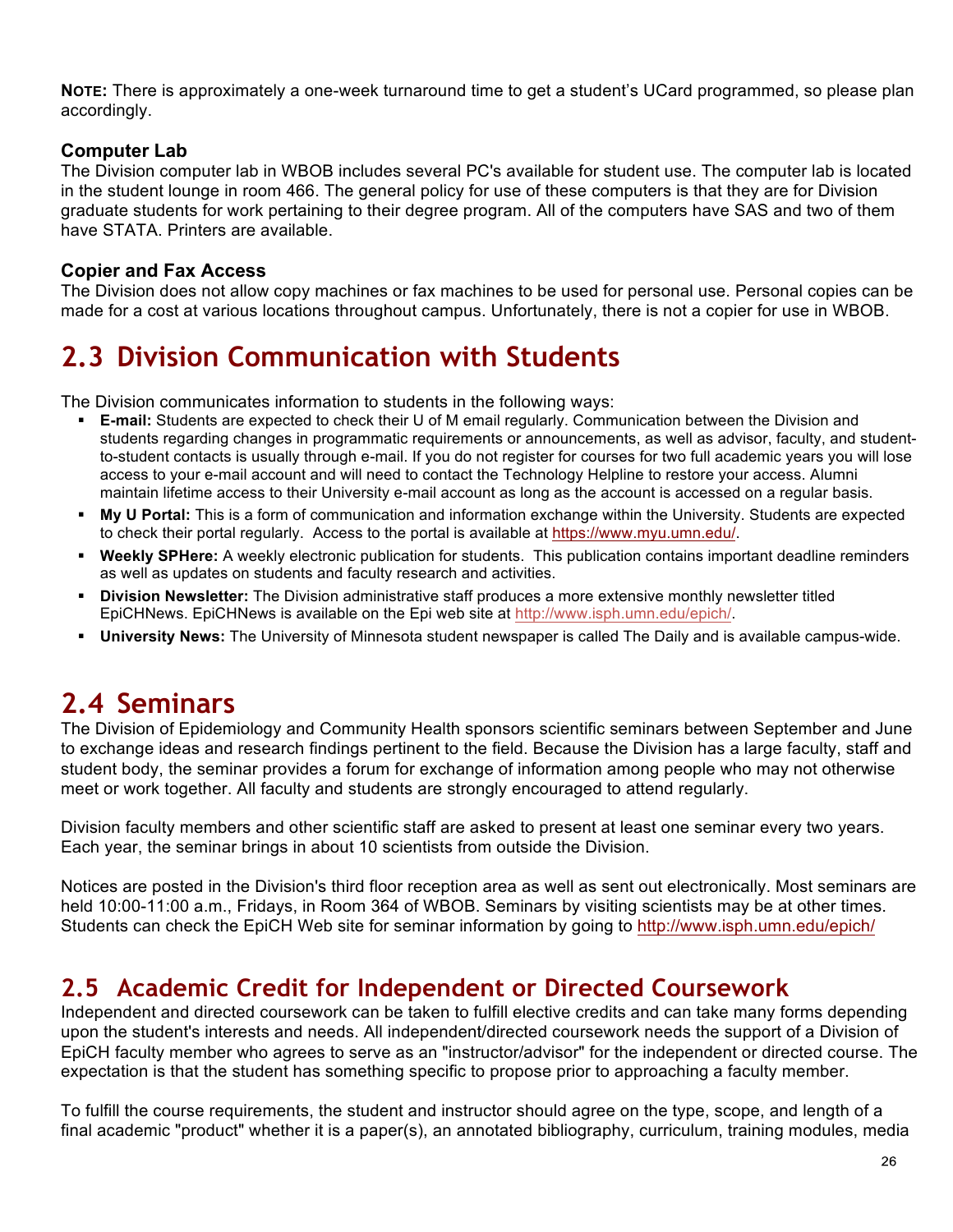**NOTE:** There is approximately a one-week turnaround time to get a student's UCard programmed, so please plan accordingly.

# **Computer Lab**

The Division computer lab in WBOB includes several PC's available for student use. The computer lab is located in the student lounge in room 466. The general policy for use of these computers is that they are for Division graduate students for work pertaining to their degree program. All of the computers have SAS and two of them have STATA. Printers are available.

# **Copier and Fax Access**

The Division does not allow copy machines or fax machines to be used for personal use. Personal copies can be made for a cost at various locations throughout campus. Unfortunately, there is not a copier for use in WBOB.

# **2.3 Division Communication with Students**

The Division communicates information to students in the following ways:

- § **E-mail:** Students are expected to check their U of M email regularly. Communication between the Division and students regarding changes in programmatic requirements or announcements, as well as advisor, faculty, and studentto-student contacts is usually through e-mail. If you do not register for courses for two full academic years you will lose access to your e-mail account and will need to contact the Technology Helpline to restore your access. Alumni maintain lifetime access to their University e-mail account as long as the account is accessed on a regular basis.
- § **My U Portal:** This is a form of communication and information exchange within the University. Students are expected to check their portal regularly. Access to the portal is available at https://www.myu.umn.edu/.
- § **Weekly SPHere:** A weekly electronic publication for students. This publication contains important deadline reminders as well as updates on students and faculty research and activities.
- § **Division Newsletter:** The Division administrative staff produces a more extensive monthly newsletter titled EpiCHNews. EpiCHNews is available on the Epi web site at http://www.isph.umn.edu/epich/.
- § **University News:** The University of Minnesota student newspaper is called The Daily and is available campus-wide.

# **2.4 Seminars**

The Division of Epidemiology and Community Health sponsors scientific seminars between September and June to exchange ideas and research findings pertinent to the field. Because the Division has a large faculty, staff and student body, the seminar provides a forum for exchange of information among people who may not otherwise meet or work together. All faculty and students are strongly encouraged to attend regularly.

Division faculty members and other scientific staff are asked to present at least one seminar every two years. Each year, the seminar brings in about 10 scientists from outside the Division.

Notices are posted in the Division's third floor reception area as well as sent out electronically. Most seminars are held 10:00-11:00 a.m., Fridays, in Room 364 of WBOB. Seminars by visiting scientists may be at other times. Students can check the EpiCH Web site for seminar information by going to http://www.isph.umn.edu/epich/

# **2.5 Academic Credit for Independent or Directed Coursework**

Independent and directed coursework can be taken to fulfill elective credits and can take many forms depending upon the student's interests and needs. All independent/directed coursework needs the support of a Division of EpiCH faculty member who agrees to serve as an "instructor/advisor" for the independent or directed course. The expectation is that the student has something specific to propose prior to approaching a faculty member.

To fulfill the course requirements, the student and instructor should agree on the type, scope, and length of a final academic "product" whether it is a paper(s), an annotated bibliography, curriculum, training modules, media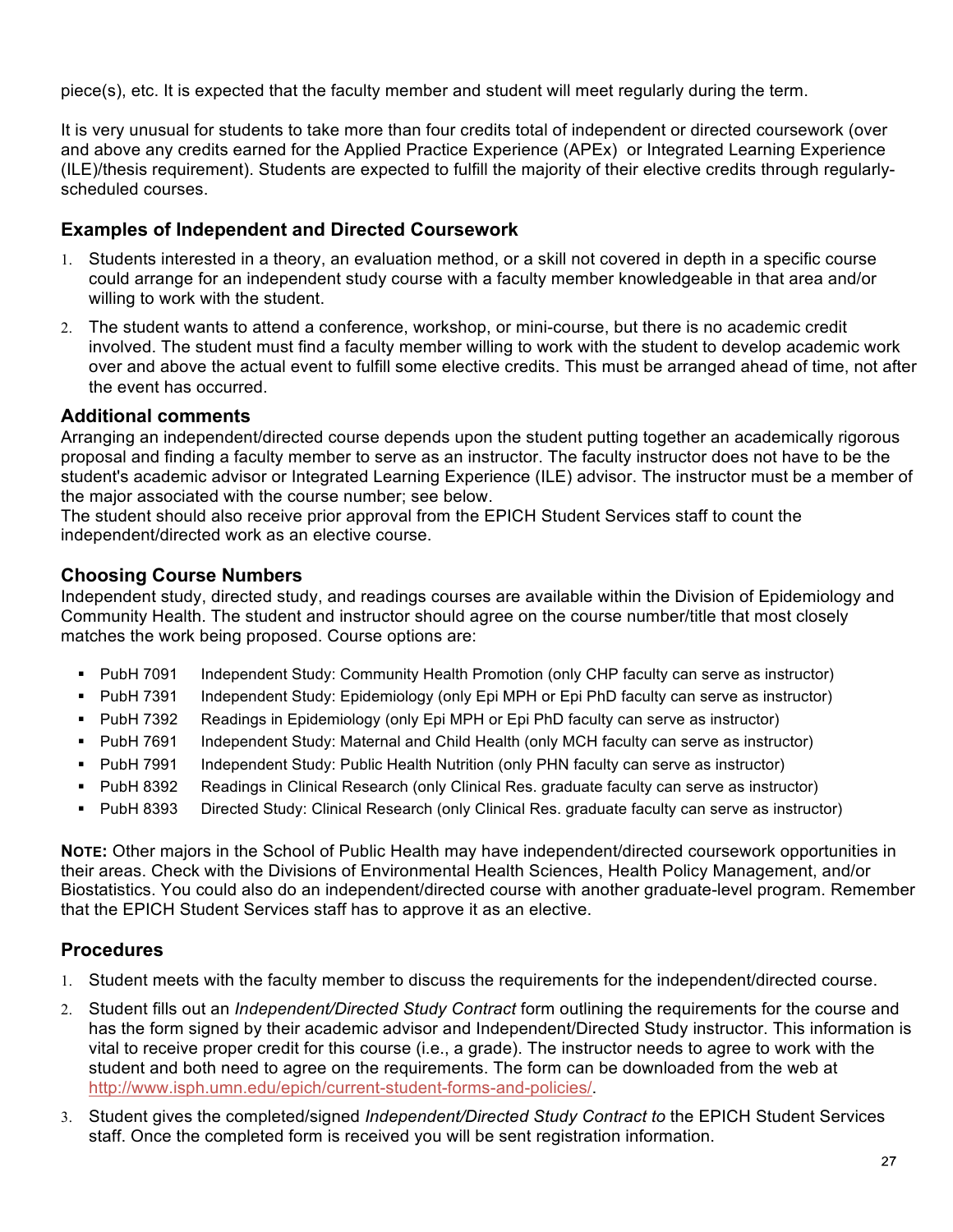piece(s), etc. It is expected that the faculty member and student will meet regularly during the term.

It is very unusual for students to take more than four credits total of independent or directed coursework (over and above any credits earned for the Applied Practice Experience (APEx) or Integrated Learning Experience (ILE)/thesis requirement). Students are expected to fulfill the majority of their elective credits through regularlyscheduled courses.

# **Examples of Independent and Directed Coursework**

- 1. Students interested in a theory, an evaluation method, or a skill not covered in depth in a specific course could arrange for an independent study course with a faculty member knowledgeable in that area and/or willing to work with the student.
- 2. The student wants to attend a conference, workshop, or mini-course, but there is no academic credit involved. The student must find a faculty member willing to work with the student to develop academic work over and above the actual event to fulfill some elective credits. This must be arranged ahead of time, not after the event has occurred.

### **Additional comments**

Arranging an independent/directed course depends upon the student putting together an academically rigorous proposal and finding a faculty member to serve as an instructor. The faculty instructor does not have to be the student's academic advisor or Integrated Learning Experience (ILE) advisor. The instructor must be a member of the major associated with the course number; see below.

The student should also receive prior approval from the EPICH Student Services staff to count the independent/directed work as an elective course.

# **Choosing Course Numbers**

Independent study, directed study, and readings courses are available within the Division of Epidemiology and Community Health. The student and instructor should agree on the course number/title that most closely matches the work being proposed. Course options are:

- § PubH 7091 Independent Study: Community Health Promotion (only CHP faculty can serve as instructor)
- § PubH 7391 Independent Study: Epidemiology (only Epi MPH or Epi PhD faculty can serve as instructor)
- PubH 7392 Readings in Epidemiology (only Epi MPH or Epi PhD faculty can serve as instructor)
- § PubH 7691 Independent Study: Maternal and Child Health (only MCH faculty can serve as instructor)
- § PubH 7991 Independent Study: Public Health Nutrition (only PHN faculty can serve as instructor)
- § PubH 8392 Readings in Clinical Research (only Clinical Res. graduate faculty can serve as instructor)
- § PubH 8393 Directed Study: Clinical Research (only Clinical Res. graduate faculty can serve as instructor)

**NOTE:** Other majors in the School of Public Health may have independent/directed coursework opportunities in their areas. Check with the Divisions of Environmental Health Sciences, Health Policy Management, and/or Biostatistics. You could also do an independent/directed course with another graduate-level program. Remember that the EPICH Student Services staff has to approve it as an elective.

# **Procedures**

- 1. Student meets with the faculty member to discuss the requirements for the independent/directed course.
- 2. Student fills out an *Independent/Directed Study Contract* form outlining the requirements for the course and has the form signed by their academic advisor and Independent/Directed Study instructor. This information is vital to receive proper credit for this course (i.e., a grade). The instructor needs to agree to work with the student and both need to agree on the requirements. The form can be downloaded from the web at http://www.isph.umn.edu/epich/current-student-forms-and-policies/.
- 3. Student gives the completed/signed *Independent/Directed Study Contract to* the EPICH Student Services staff. Once the completed form is received you will be sent registration information.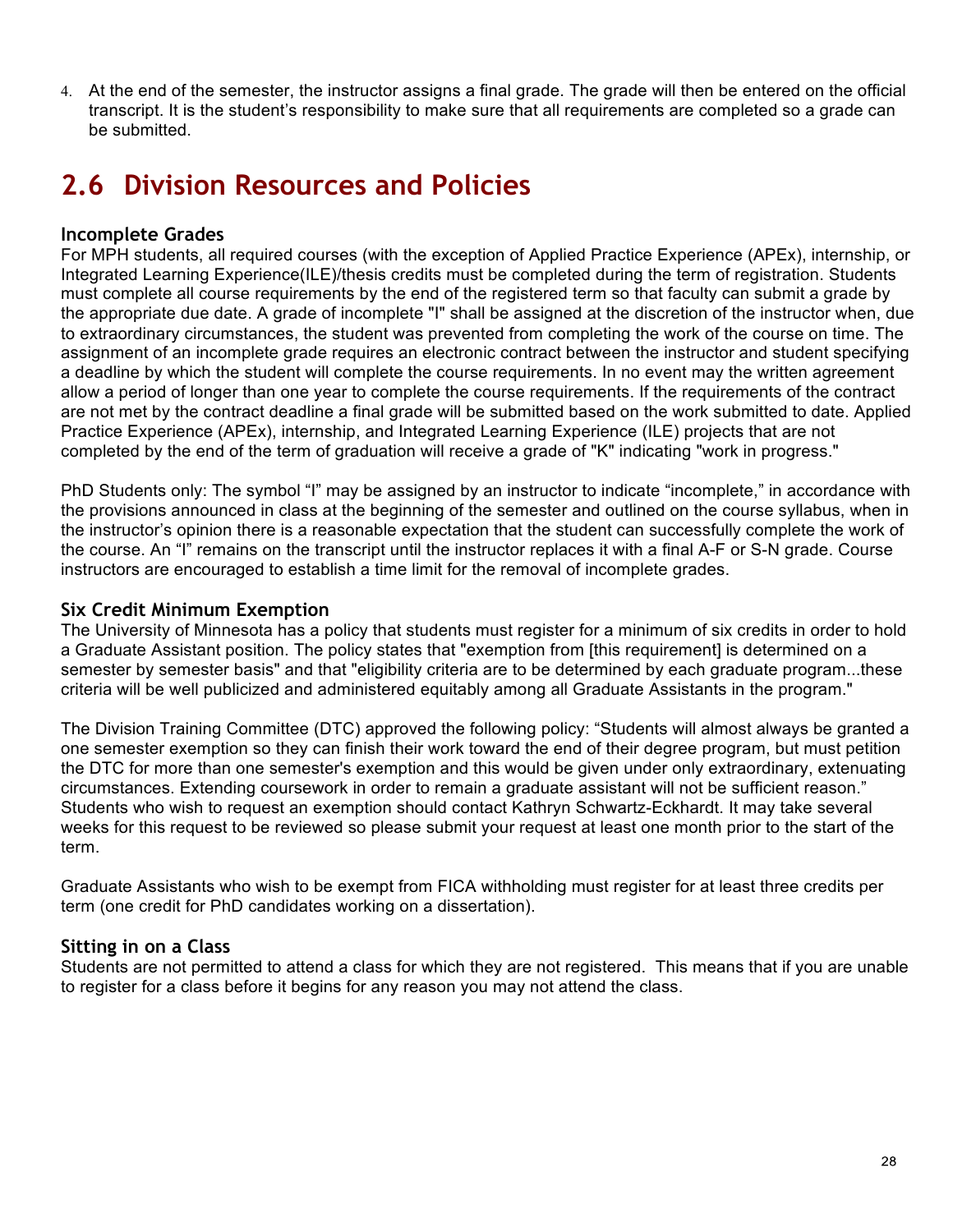4. At the end of the semester, the instructor assigns a final grade. The grade will then be entered on the official transcript. It is the student's responsibility to make sure that all requirements are completed so a grade can be submitted.

# **2.6 Division Resources and Policies**

# **Incomplete Grades**

For MPH students, all required courses (with the exception of Applied Practice Experience (APEx), internship, or Integrated Learning Experience(ILE)/thesis credits must be completed during the term of registration. Students must complete all course requirements by the end of the registered term so that faculty can submit a grade by the appropriate due date. A grade of incomplete "I" shall be assigned at the discretion of the instructor when, due to extraordinary circumstances, the student was prevented from completing the work of the course on time. The assignment of an incomplete grade requires an electronic contract between the instructor and student specifying a deadline by which the student will complete the course requirements. In no event may the written agreement allow a period of longer than one year to complete the course requirements. If the requirements of the contract are not met by the contract deadline a final grade will be submitted based on the work submitted to date. Applied Practice Experience (APEx), internship, and Integrated Learning Experience (ILE) projects that are not completed by the end of the term of graduation will receive a grade of "K" indicating "work in progress."

PhD Students only: The symbol "I" may be assigned by an instructor to indicate "incomplete," in accordance with the provisions announced in class at the beginning of the semester and outlined on the course syllabus, when in the instructor's opinion there is a reasonable expectation that the student can successfully complete the work of the course. An "I" remains on the transcript until the instructor replaces it with a final A-F or S-N grade. Course instructors are encouraged to establish a time limit for the removal of incomplete grades.

### **Six Credit Minimum Exemption**

The University of Minnesota has a policy that students must register for a minimum of six credits in order to hold a Graduate Assistant position. The policy states that "exemption from [this requirement] is determined on a semester by semester basis" and that "eligibility criteria are to be determined by each graduate program...these criteria will be well publicized and administered equitably among all Graduate Assistants in the program."

The Division Training Committee (DTC) approved the following policy: "Students will almost always be granted a one semester exemption so they can finish their work toward the end of their degree program, but must petition the DTC for more than one semester's exemption and this would be given under only extraordinary, extenuating circumstances. Extending coursework in order to remain a graduate assistant will not be sufficient reason." Students who wish to request an exemption should contact Kathryn Schwartz-Eckhardt. It may take several weeks for this request to be reviewed so please submit your request at least one month prior to the start of the term.

Graduate Assistants who wish to be exempt from FICA withholding must register for at least three credits per term (one credit for PhD candidates working on a dissertation).

# **Sitting in on a Class**

Students are not permitted to attend a class for which they are not registered. This means that if you are unable to register for a class before it begins for any reason you may not attend the class.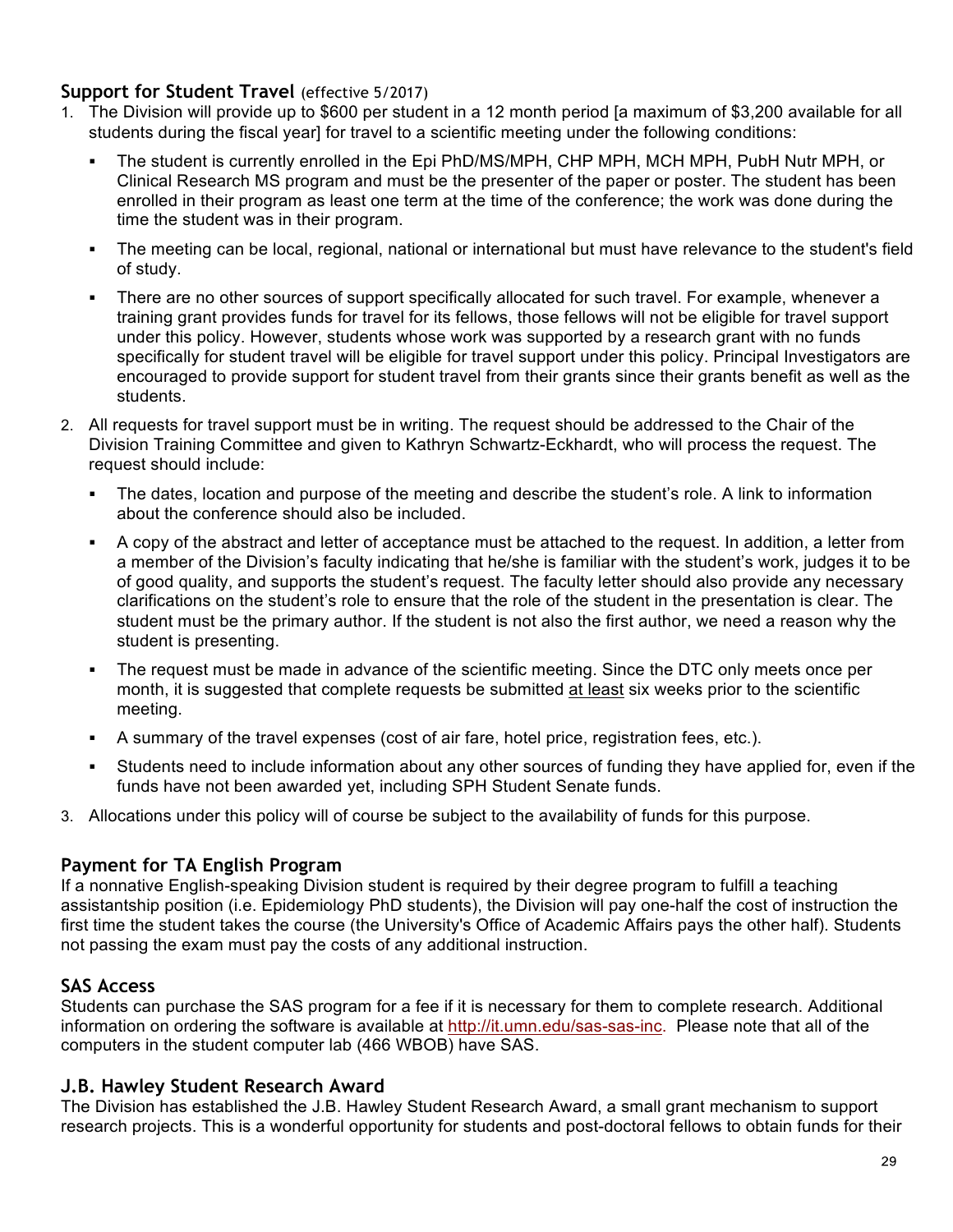# **Support for Student Travel** (effective 5/2017)

- 1. The Division will provide up to \$600 per student in a 12 month period [a maximum of \$3,200 available for all students during the fiscal year] for travel to a scientific meeting under the following conditions:
	- The student is currently enrolled in the Epi PhD/MS/MPH, CHP MPH, MCH MPH, PubH Nutr MPH, or Clinical Research MS program and must be the presenter of the paper or poster. The student has been enrolled in their program as least one term at the time of the conference; the work was done during the time the student was in their program.
	- The meeting can be local, regional, national or international but must have relevance to the student's field of study.
	- There are no other sources of support specifically allocated for such travel. For example, whenever a training grant provides funds for travel for its fellows, those fellows will not be eligible for travel support under this policy. However, students whose work was supported by a research grant with no funds specifically for student travel will be eligible for travel support under this policy. Principal Investigators are encouraged to provide support for student travel from their grants since their grants benefit as well as the students.
- 2. All requests for travel support must be in writing. The request should be addressed to the Chair of the Division Training Committee and given to Kathryn Schwartz-Eckhardt, who will process the request. The request should include:
	- The dates, location and purpose of the meeting and describe the student's role. A link to information about the conference should also be included.
	- § A copy of the abstract and letter of acceptance must be attached to the request. In addition, a letter from a member of the Division's faculty indicating that he/she is familiar with the student's work, judges it to be of good quality, and supports the student's request. The faculty letter should also provide any necessary clarifications on the student's role to ensure that the role of the student in the presentation is clear. The student must be the primary author. If the student is not also the first author, we need a reason why the student is presenting.
	- The request must be made in advance of the scientific meeting. Since the DTC only meets once per month, it is suggested that complete requests be submitted at least six weeks prior to the scientific meeting.
	- § A summary of the travel expenses (cost of air fare, hotel price, registration fees, etc.).
	- § Students need to include information about any other sources of funding they have applied for, even if the funds have not been awarded yet, including SPH Student Senate funds.
- 3. Allocations under this policy will of course be subject to the availability of funds for this purpose.

# **Payment for TA English Program**

If a nonnative English-speaking Division student is required by their degree program to fulfill a teaching assistantship position (i.e. Epidemiology PhD students), the Division will pay one-half the cost of instruction the first time the student takes the course (the University's Office of Academic Affairs pays the other half). Students not passing the exam must pay the costs of any additional instruction.

# **SAS Access**

Students can purchase the SAS program for a fee if it is necessary for them to complete research. Additional information on ordering the software is available at http://it.umn.edu/sas-sas-inc. Please note that all of the computers in the student computer lab (466 WBOB) have SAS.

# **J.B. Hawley Student Research Award**

The Division has established the J.B. Hawley Student Research Award, a small grant mechanism to support research projects. This is a wonderful opportunity for students and post-doctoral fellows to obtain funds for their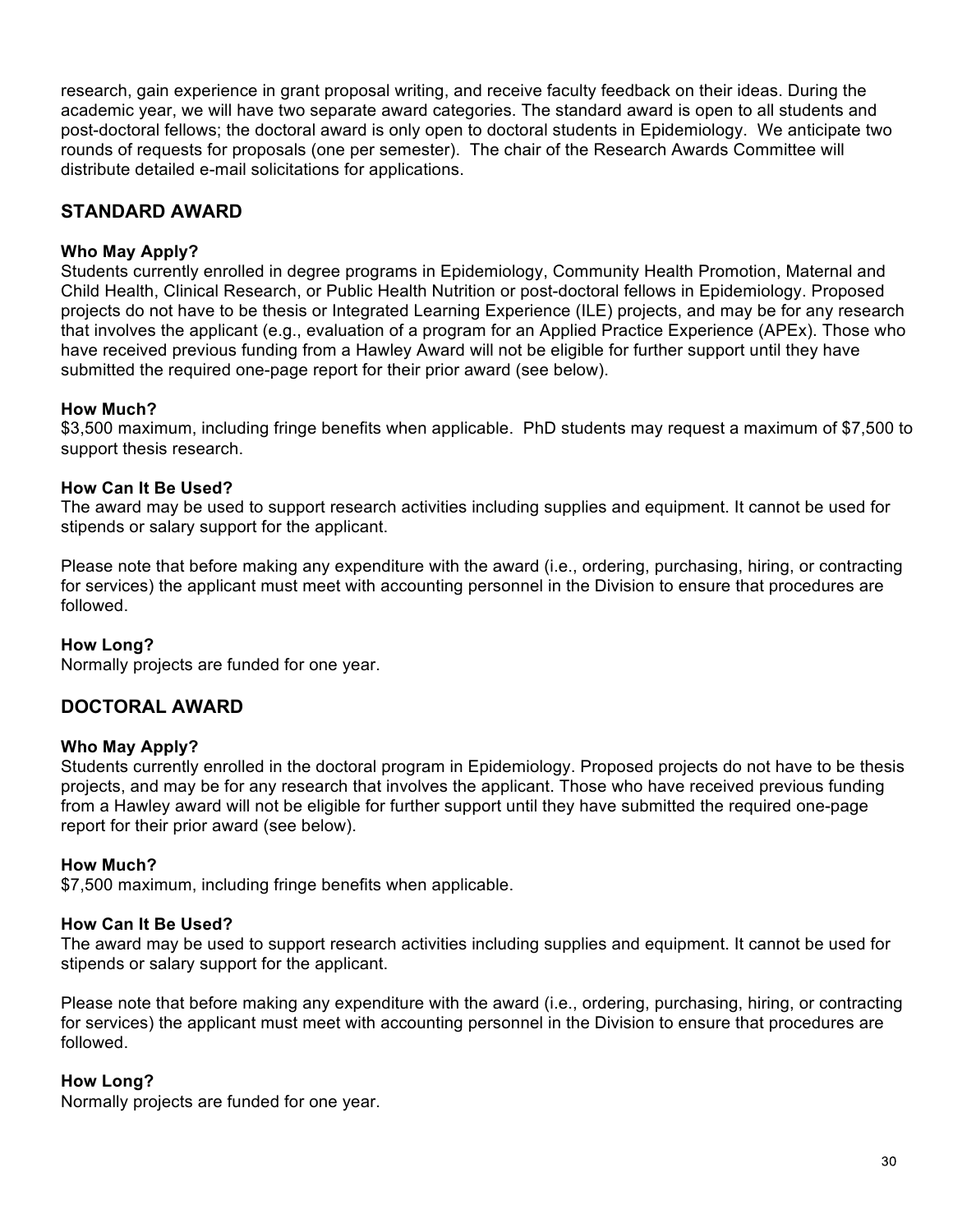research, gain experience in grant proposal writing, and receive faculty feedback on their ideas. During the academic year, we will have two separate award categories. The standard award is open to all students and post-doctoral fellows; the doctoral award is only open to doctoral students in Epidemiology. We anticipate two rounds of requests for proposals (one per semester). The chair of the Research Awards Committee will distribute detailed e-mail solicitations for applications.

# **STANDARD AWARD**

### **Who May Apply?**

Students currently enrolled in degree programs in Epidemiology, Community Health Promotion, Maternal and Child Health, Clinical Research, or Public Health Nutrition or post-doctoral fellows in Epidemiology. Proposed projects do not have to be thesis or Integrated Learning Experience (ILE) projects, and may be for any research that involves the applicant (e.g., evaluation of a program for an Applied Practice Experience (APEx). Those who have received previous funding from a Hawley Award will not be eligible for further support until they have submitted the required one-page report for their prior award (see below).

### **How Much?**

\$3,500 maximum, including fringe benefits when applicable. PhD students may request a maximum of \$7,500 to support thesis research.

### **How Can It Be Used?**

The award may be used to support research activities including supplies and equipment. It cannot be used for stipends or salary support for the applicant.

Please note that before making any expenditure with the award (i.e., ordering, purchasing, hiring, or contracting for services) the applicant must meet with accounting personnel in the Division to ensure that procedures are followed.

#### **How Long?**

Normally projects are funded for one year.

# **DOCTORAL AWARD**

#### **Who May Apply?**

Students currently enrolled in the doctoral program in Epidemiology. Proposed projects do not have to be thesis projects, and may be for any research that involves the applicant. Those who have received previous funding from a Hawley award will not be eligible for further support until they have submitted the required one-page report for their prior award (see below).

#### **How Much?**

\$7,500 maximum, including fringe benefits when applicable.

#### **How Can It Be Used?**

The award may be used to support research activities including supplies and equipment. It cannot be used for stipends or salary support for the applicant.

Please note that before making any expenditure with the award (i.e., ordering, purchasing, hiring, or contracting for services) the applicant must meet with accounting personnel in the Division to ensure that procedures are followed.

#### **How Long?**

Normally projects are funded for one year.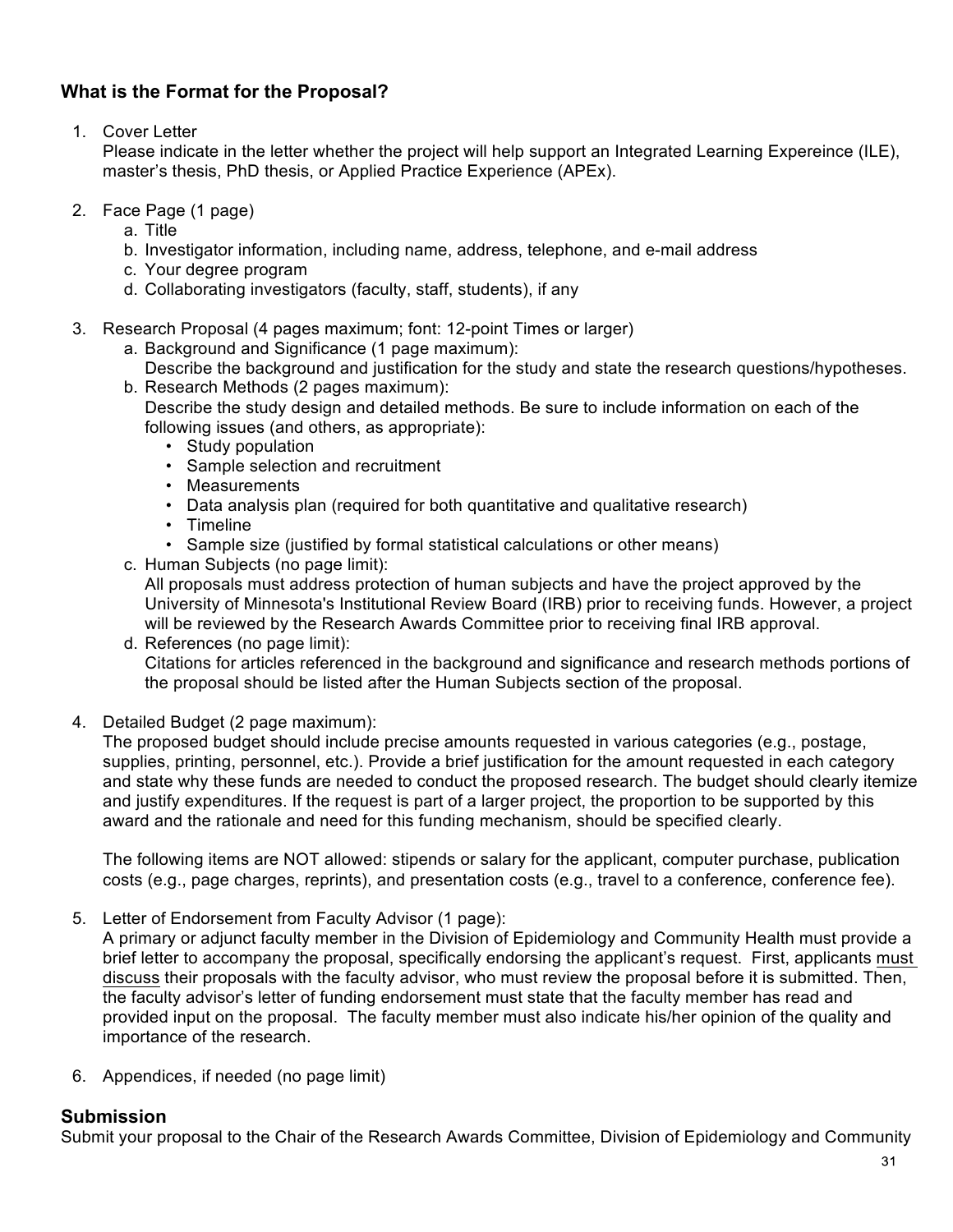# **What is the Format for the Proposal?**

1. Cover Letter

Please indicate in the letter whether the project will help support an Integrated Learning Expereince (ILE), master's thesis, PhD thesis, or Applied Practice Experience (APEx).

- 2. Face Page (1 page)
	- a. Title
	- b. Investigator information, including name, address, telephone, and e-mail address
	- c. Your degree program
	- d. Collaborating investigators (faculty, staff, students), if any
- 3. Research Proposal (4 pages maximum; font: 12-point Times or larger)
	- a. Background and Significance (1 page maximum):
	- Describe the background and justification for the study and state the research questions/hypotheses. b. Research Methods (2 pages maximum):
		- Describe the study design and detailed methods. Be sure to include information on each of the following issues (and others, as appropriate):
			- Study population
			- Sample selection and recruitment
			- Measurements
			- Data analysis plan (required for both quantitative and qualitative research)
			- Timeline
			- Sample size (justified by formal statistical calculations or other means)
	- c. Human Subjects (no page limit):

All proposals must address protection of human subjects and have the project approved by the University of Minnesota's Institutional Review Board (IRB) prior to receiving funds. However, a project will be reviewed by the Research Awards Committee prior to receiving final IRB approval.

- d. References (no page limit): Citations for articles referenced in the background and significance and research methods portions of the proposal should be listed after the Human Subjects section of the proposal.
- 4. Detailed Budget (2 page maximum):

The proposed budget should include precise amounts requested in various categories (e.g., postage, supplies, printing, personnel, etc.). Provide a brief justification for the amount requested in each category and state why these funds are needed to conduct the proposed research. The budget should clearly itemize and justify expenditures. If the request is part of a larger project, the proportion to be supported by this award and the rationale and need for this funding mechanism, should be specified clearly.

The following items are NOT allowed: stipends or salary for the applicant, computer purchase, publication costs (e.g., page charges, reprints), and presentation costs (e.g., travel to a conference, conference fee).

5. Letter of Endorsement from Faculty Advisor (1 page):

A primary or adjunct faculty member in the Division of Epidemiology and Community Health must provide a brief letter to accompany the proposal, specifically endorsing the applicant's request. First, applicants must discuss their proposals with the faculty advisor, who must review the proposal before it is submitted. Then, the faculty advisor's letter of funding endorsement must state that the faculty member has read and provided input on the proposal. The faculty member must also indicate his/her opinion of the quality and importance of the research.

6. Appendices, if needed (no page limit)

# **Submission**

Submit your proposal to the Chair of the Research Awards Committee, Division of Epidemiology and Community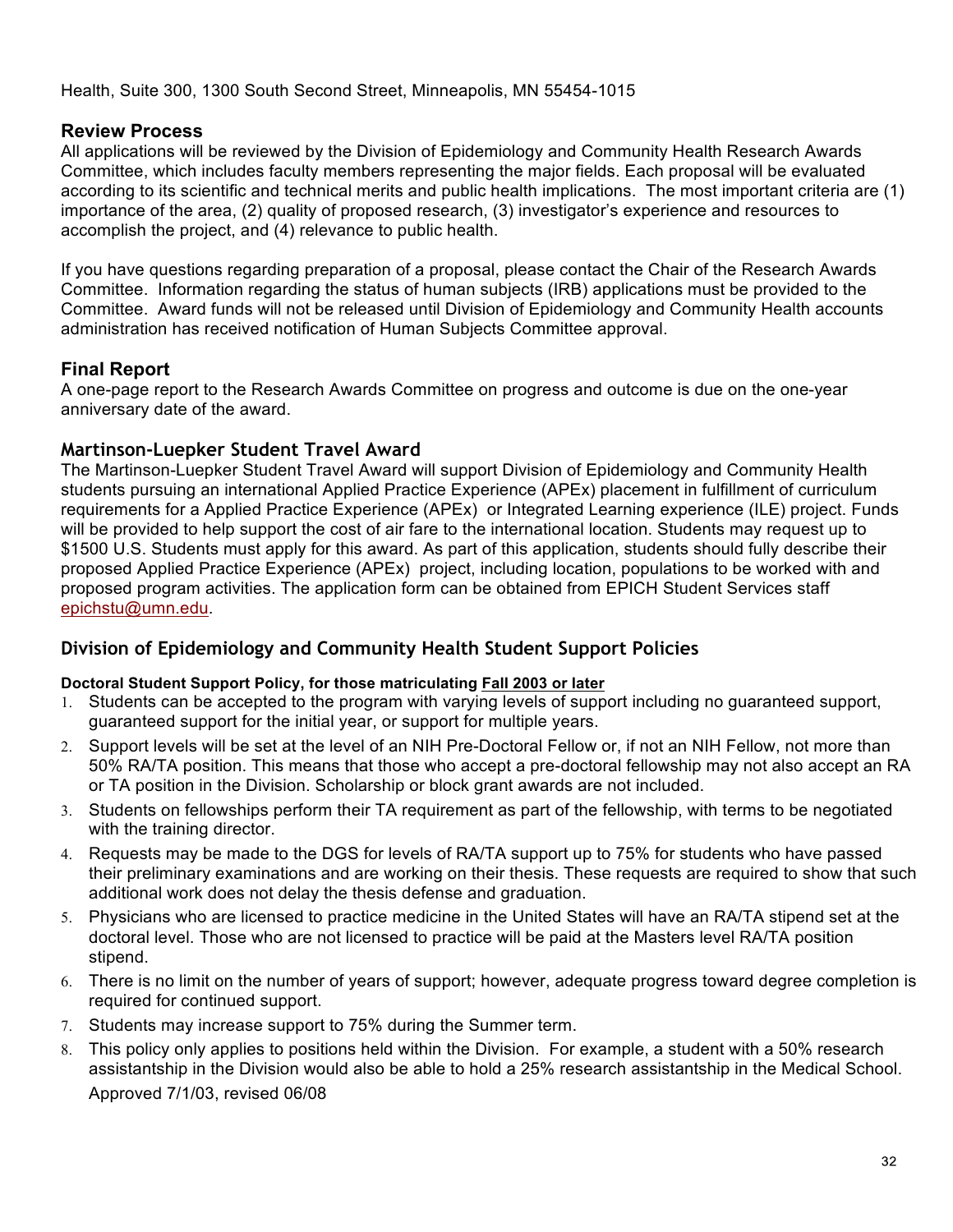Health, Suite 300, 1300 South Second Street, Minneapolis, MN 55454-1015

# **Review Process**

All applications will be reviewed by the Division of Epidemiology and Community Health Research Awards Committee, which includes faculty members representing the major fields. Each proposal will be evaluated according to its scientific and technical merits and public health implications. The most important criteria are (1) importance of the area, (2) quality of proposed research, (3) investigator's experience and resources to accomplish the project, and (4) relevance to public health.

If you have questions regarding preparation of a proposal, please contact the Chair of the Research Awards Committee. Information regarding the status of human subjects (IRB) applications must be provided to the Committee. Award funds will not be released until Division of Epidemiology and Community Health accounts administration has received notification of Human Subjects Committee approval.

# **Final Report**

A one-page report to the Research Awards Committee on progress and outcome is due on the one-year anniversary date of the award.

# **Martinson-Luepker Student Travel Award**

The Martinson-Luepker Student Travel Award will support Division of Epidemiology and Community Health students pursuing an international Applied Practice Experience (APEx) placement in fulfillment of curriculum requirements for a Applied Practice Experience (APEx) or Integrated Learning experience (ILE) project. Funds will be provided to help support the cost of air fare to the international location. Students may request up to \$1500 U.S. Students must apply for this award. As part of this application, students should fully describe their proposed Applied Practice Experience (APEx) project, including location, populations to be worked with and proposed program activities. The application form can be obtained from EPICH Student Services staff epichstu@umn.edu.

# **Division of Epidemiology and Community Health Student Support Policies**

#### **Doctoral Student Support Policy, for those matriculating Fall 2003 or later**

- 1. Students can be accepted to the program with varying levels of support including no guaranteed support, guaranteed support for the initial year, or support for multiple years.
- 2. Support levels will be set at the level of an NIH Pre-Doctoral Fellow or, if not an NIH Fellow, not more than 50% RA/TA position. This means that those who accept a pre-doctoral fellowship may not also accept an RA or TA position in the Division. Scholarship or block grant awards are not included.
- 3. Students on fellowships perform their TA requirement as part of the fellowship, with terms to be negotiated with the training director.
- 4. Requests may be made to the DGS for levels of RA/TA support up to 75% for students who have passed their preliminary examinations and are working on their thesis. These requests are required to show that such additional work does not delay the thesis defense and graduation.
- 5. Physicians who are licensed to practice medicine in the United States will have an RA/TA stipend set at the doctoral level. Those who are not licensed to practice will be paid at the Masters level RA/TA position stipend.
- 6. There is no limit on the number of years of support; however, adequate progress toward degree completion is required for continued support.
- 7. Students may increase support to 75% during the Summer term.
- 8. This policy only applies to positions held within the Division. For example, a student with a 50% research assistantship in the Division would also be able to hold a 25% research assistantship in the Medical School. Approved 7/1/03, revised 06/08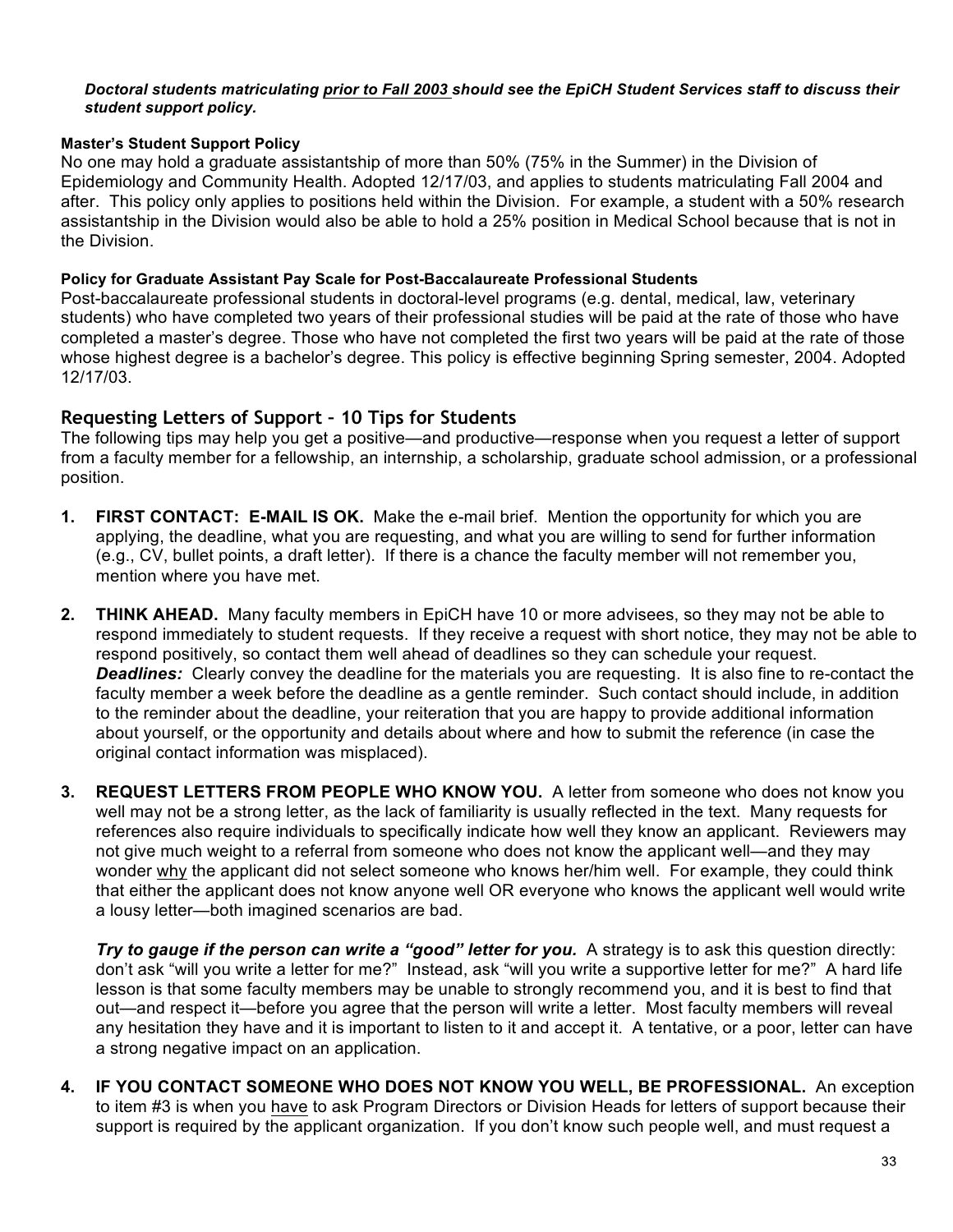#### *Doctoral students matriculating prior to Fall 2003 should see the EpiCH Student Services staff to discuss their student support policy.*

#### **Master's Student Support Policy**

No one may hold a graduate assistantship of more than 50% (75% in the Summer) in the Division of Epidemiology and Community Health. Adopted 12/17/03, and applies to students matriculating Fall 2004 and after. This policy only applies to positions held within the Division. For example, a student with a 50% research assistantship in the Division would also be able to hold a 25% position in Medical School because that is not in the Division.

#### **Policy for Graduate Assistant Pay Scale for Post-Baccalaureate Professional Students**

Post-baccalaureate professional students in doctoral-level programs (e.g. dental, medical, law, veterinary students) who have completed two years of their professional studies will be paid at the rate of those who have completed a master's degree. Those who have not completed the first two years will be paid at the rate of those whose highest degree is a bachelor's degree. This policy is effective beginning Spring semester, 2004. Adopted 12/17/03.

# **Requesting Letters of Support – 10 Tips for Students**

The following tips may help you get a positive—and productive—response when you request a letter of support from a faculty member for a fellowship, an internship, a scholarship, graduate school admission, or a professional position.

- **1. FIRST CONTACT: E-MAIL IS OK.** Make the e-mail brief. Mention the opportunity for which you are applying, the deadline, what you are requesting, and what you are willing to send for further information (e.g., CV, bullet points, a draft letter). If there is a chance the faculty member will not remember you, mention where you have met.
- **2. THINK AHEAD.** Many faculty members in EpiCH have 10 or more advisees, so they may not be able to respond immediately to student requests. If they receive a request with short notice, they may not be able to respond positively, so contact them well ahead of deadlines so they can schedule your request. *Deadlines:* Clearly convey the deadline for the materials you are requesting. It is also fine to re-contact the faculty member a week before the deadline as a gentle reminder. Such contact should include, in addition to the reminder about the deadline, your reiteration that you are happy to provide additional information about yourself, or the opportunity and details about where and how to submit the reference (in case the original contact information was misplaced).
- **3. REQUEST LETTERS FROM PEOPLE WHO KNOW YOU.** A letter from someone who does not know you well may not be a strong letter, as the lack of familiarity is usually reflected in the text. Many requests for references also require individuals to specifically indicate how well they know an applicant. Reviewers may not give much weight to a referral from someone who does not know the applicant well—and they may wonder why the applicant did not select someone who knows her/him well. For example, they could think that either the applicant does not know anyone well OR everyone who knows the applicant well would write a lousy letter—both imagined scenarios are bad.

**Try to gauge if the person can write a "good" letter for you.** A strategy is to ask this question directly: don't ask "will you write a letter for me?" Instead, ask "will you write a supportive letter for me?" A hard life lesson is that some faculty members may be unable to strongly recommend you, and it is best to find that out—and respect it—before you agree that the person will write a letter. Most faculty members will reveal any hesitation they have and it is important to listen to it and accept it. A tentative, or a poor, letter can have a strong negative impact on an application.

**4. IF YOU CONTACT SOMEONE WHO DOES NOT KNOW YOU WELL, BE PROFESSIONAL.** An exception to item #3 is when you have to ask Program Directors or Division Heads for letters of support because their support is required by the applicant organization. If you don't know such people well, and must request a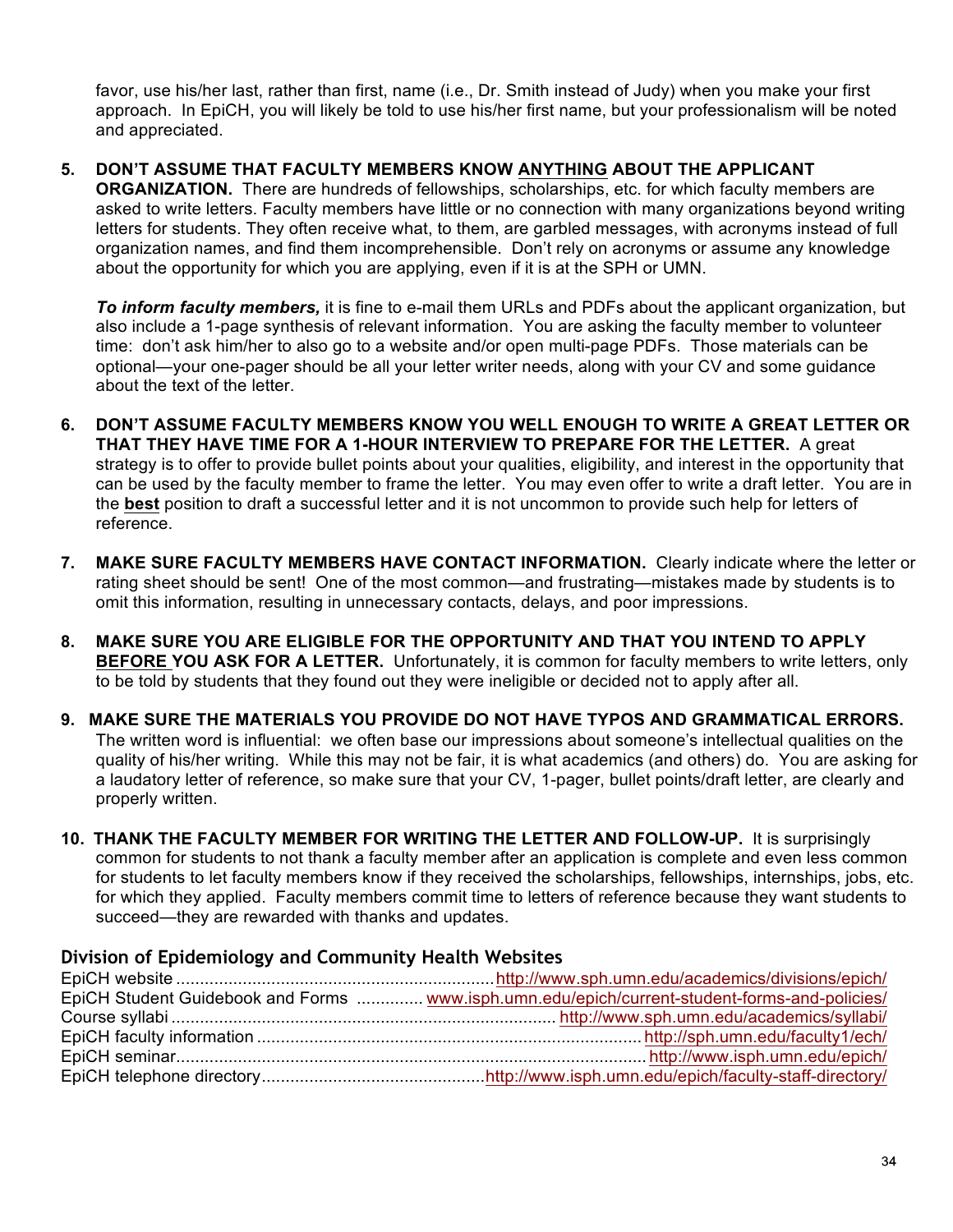favor, use his/her last, rather than first, name (i.e., Dr. Smith instead of Judy) when you make your first approach. In EpiCH, you will likely be told to use his/her first name, but your professionalism will be noted and appreciated.

### **5. DON'T ASSUME THAT FACULTY MEMBERS KNOW ANYTHING ABOUT THE APPLICANT**

**ORGANIZATION.** There are hundreds of fellowships, scholarships, etc. for which faculty members are asked to write letters. Faculty members have little or no connection with many organizations beyond writing letters for students. They often receive what, to them, are garbled messages, with acronyms instead of full organization names, and find them incomprehensible. Don't rely on acronyms or assume any knowledge about the opportunity for which you are applying, even if it is at the SPH or UMN.

*To inform faculty members,* it is fine to e-mail them URLs and PDFs about the applicant organization, but also include a 1-page synthesis of relevant information. You are asking the faculty member to volunteer time: don't ask him/her to also go to a website and/or open multi-page PDFs. Those materials can be optional—your one-pager should be all your letter writer needs, along with your CV and some guidance about the text of the letter.

- **6. DON'T ASSUME FACULTY MEMBERS KNOW YOU WELL ENOUGH TO WRITE A GREAT LETTER OR THAT THEY HAVE TIME FOR A 1-HOUR INTERVIEW TO PREPARE FOR THE LETTER.** A great strategy is to offer to provide bullet points about your qualities, eligibility, and interest in the opportunity that can be used by the faculty member to frame the letter. You may even offer to write a draft letter. You are in the **best** position to draft a successful letter and it is not uncommon to provide such help for letters of reference.
- **7. MAKE SURE FACULTY MEMBERS HAVE CONTACT INFORMATION.** Clearly indicate where the letter or rating sheet should be sent! One of the most common—and frustrating—mistakes made by students is to omit this information, resulting in unnecessary contacts, delays, and poor impressions.
- **8. MAKE SURE YOU ARE ELIGIBLE FOR THE OPPORTUNITY AND THAT YOU INTEND TO APPLY BEFORE YOU ASK FOR A LETTER.** Unfortunately, it is common for faculty members to write letters, only to be told by students that they found out they were ineligible or decided not to apply after all.
- **9. MAKE SURE THE MATERIALS YOU PROVIDE DO NOT HAVE TYPOS AND GRAMMATICAL ERRORS.**  The written word is influential: we often base our impressions about someone's intellectual qualities on the quality of his/her writing. While this may not be fair, it is what academics (and others) do. You are asking for a laudatory letter of reference, so make sure that your CV, 1-pager, bullet points/draft letter, are clearly and properly written.
- **10. THANK THE FACULTY MEMBER FOR WRITING THE LETTER AND FOLLOW-UP.** It is surprisingly common for students to not thank a faculty member after an application is complete and even less common for students to let faculty members know if they received the scholarships, fellowships, internships, jobs, etc. for which they applied. Faculty members commit time to letters of reference because they want students to succeed—they are rewarded with thanks and updates.

#### **Division of Epidemiology and Community Health Websites**

| EpiCH Student Guidebook and Forms  www.isph.umn.edu/epich/current-student-forms-and-policies/ |
|-----------------------------------------------------------------------------------------------|
|                                                                                               |
|                                                                                               |
|                                                                                               |
|                                                                                               |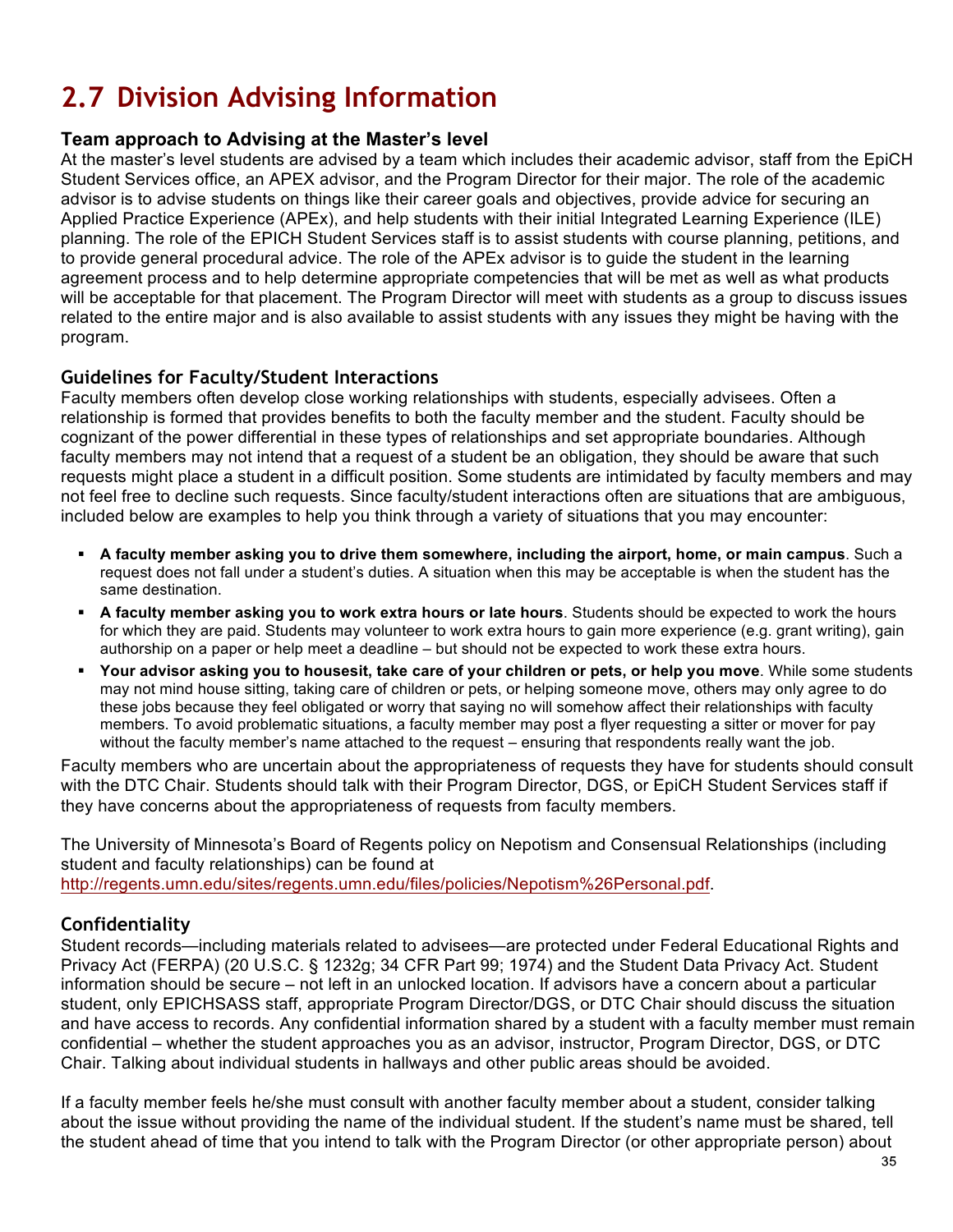# **2.7 Division Advising Information**

# **Team approach to Advising at the Master's level**

At the master's level students are advised by a team which includes their academic advisor, staff from the EpiCH Student Services office, an APEX advisor, and the Program Director for their major. The role of the academic advisor is to advise students on things like their career goals and objectives, provide advice for securing an Applied Practice Experience (APEx), and help students with their initial Integrated Learning Experience (ILE) planning. The role of the EPICH Student Services staff is to assist students with course planning, petitions, and to provide general procedural advice. The role of the APEx advisor is to guide the student in the learning agreement process and to help determine appropriate competencies that will be met as well as what products will be acceptable for that placement. The Program Director will meet with students as a group to discuss issues related to the entire major and is also available to assist students with any issues they might be having with the program.

# **Guidelines for Faculty/Student Interactions**

Faculty members often develop close working relationships with students, especially advisees. Often a relationship is formed that provides benefits to both the faculty member and the student. Faculty should be cognizant of the power differential in these types of relationships and set appropriate boundaries. Although faculty members may not intend that a request of a student be an obligation, they should be aware that such requests might place a student in a difficult position. Some students are intimidated by faculty members and may not feel free to decline such requests. Since faculty/student interactions often are situations that are ambiguous, included below are examples to help you think through a variety of situations that you may encounter:

- § **A faculty member asking you to drive them somewhere, including the airport, home, or main campus**. Such a request does not fall under a student's duties. A situation when this may be acceptable is when the student has the same destination.
- § **A faculty member asking you to work extra hours or late hours**. Students should be expected to work the hours for which they are paid. Students may volunteer to work extra hours to gain more experience (e.g. grant writing), gain authorship on a paper or help meet a deadline – but should not be expected to work these extra hours.
- § **Your advisor asking you to housesit, take care of your children or pets, or help you move**. While some students may not mind house sitting, taking care of children or pets, or helping someone move, others may only agree to do these jobs because they feel obligated or worry that saying no will somehow affect their relationships with faculty members. To avoid problematic situations, a faculty member may post a flyer requesting a sitter or mover for pay without the faculty member's name attached to the request – ensuring that respondents really want the job.

Faculty members who are uncertain about the appropriateness of requests they have for students should consult with the DTC Chair. Students should talk with their Program Director, DGS, or EpiCH Student Services staff if they have concerns about the appropriateness of requests from faculty members.

The University of Minnesota's Board of Regents policy on Nepotism and Consensual Relationships (including student and faculty relationships) can be found at http://regents.umn.edu/sites/regents.umn.edu/files/policies/Nepotism%26Personal.pdf.

# **Confidentiality**

Student records—including materials related to advisees—are protected under Federal Educational Rights and Privacy Act (FERPA) (20 U.S.C. § 1232g; 34 CFR Part 99; 1974) and the Student Data Privacy Act. Student information should be secure – not left in an unlocked location. If advisors have a concern about a particular student, only EPICHSASS staff, appropriate Program Director/DGS, or DTC Chair should discuss the situation and have access to records. Any confidential information shared by a student with a faculty member must remain confidential – whether the student approaches you as an advisor, instructor, Program Director, DGS, or DTC Chair. Talking about individual students in hallways and other public areas should be avoided.

If a faculty member feels he/she must consult with another faculty member about a student, consider talking about the issue without providing the name of the individual student. If the student's name must be shared, tell the student ahead of time that you intend to talk with the Program Director (or other appropriate person) about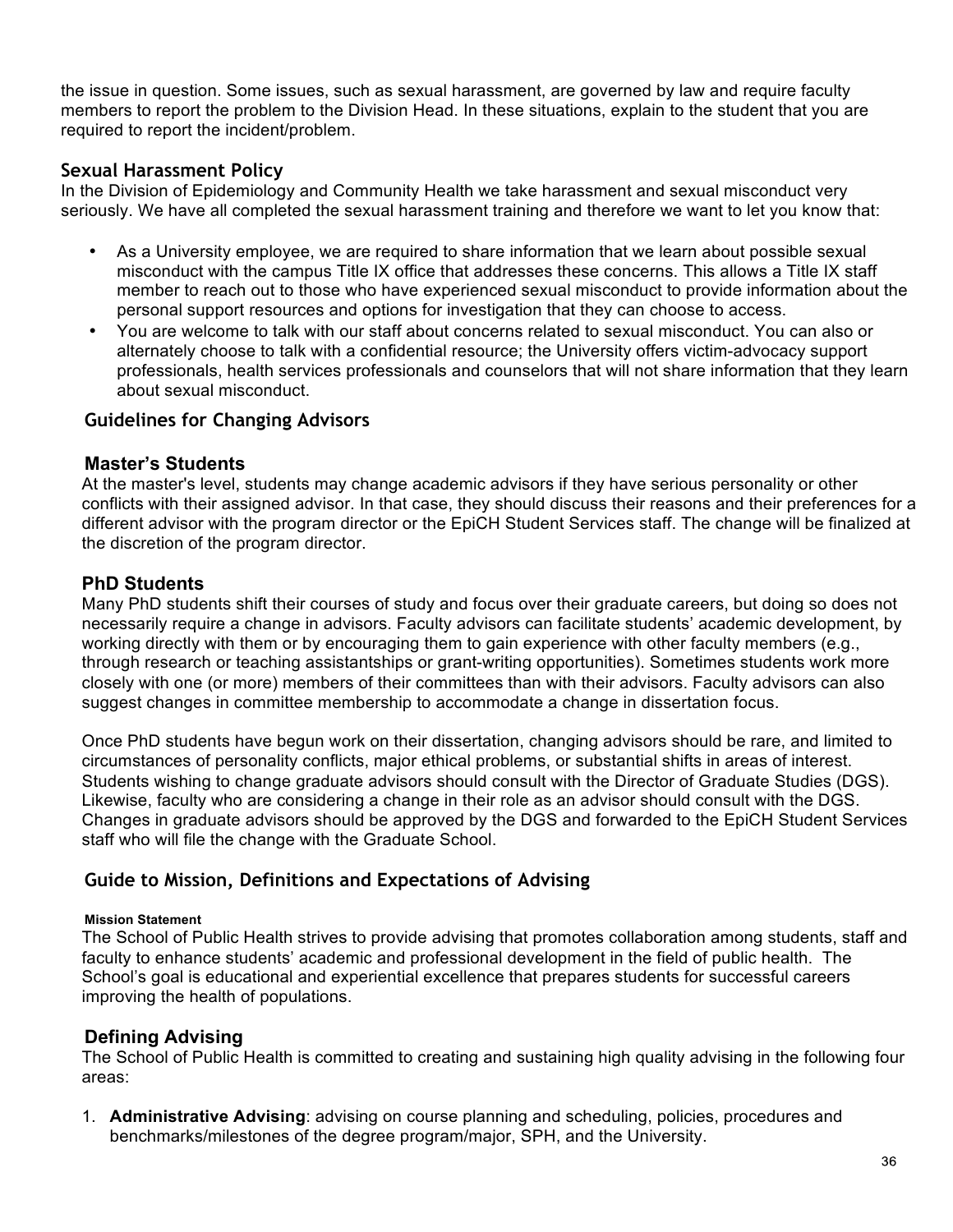the issue in question. Some issues, such as sexual harassment, are governed by law and require faculty members to report the problem to the Division Head. In these situations, explain to the student that you are required to report the incident/problem.

# **Sexual Harassment Policy**

In the Division of Epidemiology and Community Health we take harassment and sexual misconduct very seriously. We have all completed the sexual harassment training and therefore we want to let you know that:

- As a University employee, we are required to share information that we learn about possible sexual misconduct with the campus Title IX office that addresses these concerns. This allows a Title IX staff member to reach out to those who have experienced sexual misconduct to provide information about the personal support resources and options for investigation that they can choose to access.
- You are welcome to talk with our staff about concerns related to sexual misconduct. You can also or alternately choose to talk with a confidential resource; the University offers victim-advocacy support professionals, health services professionals and counselors that will not share information that they learn about sexual misconduct.

# **Guidelines for Changing Advisors**

### **Master's Students**

At the master's level, students may change academic advisors if they have serious personality or other conflicts with their assigned advisor. In that case, they should discuss their reasons and their preferences for a different advisor with the program director or the EpiCH Student Services staff. The change will be finalized at the discretion of the program director.

# **PhD Students**

Many PhD students shift their courses of study and focus over their graduate careers, but doing so does not necessarily require a change in advisors. Faculty advisors can facilitate students' academic development, by working directly with them or by encouraging them to gain experience with other faculty members (e.g., through research or teaching assistantships or grant-writing opportunities). Sometimes students work more closely with one (or more) members of their committees than with their advisors. Faculty advisors can also suggest changes in committee membership to accommodate a change in dissertation focus.

Once PhD students have begun work on their dissertation, changing advisors should be rare, and limited to circumstances of personality conflicts, major ethical problems, or substantial shifts in areas of interest. Students wishing to change graduate advisors should consult with the Director of Graduate Studies (DGS). Likewise, faculty who are considering a change in their role as an advisor should consult with the DGS. Changes in graduate advisors should be approved by the DGS and forwarded to the EpiCH Student Services staff who will file the change with the Graduate School.

# **Guide to Mission, Definitions and Expectations of Advising**

#### **Mission Statement**

The School of Public Health strives to provide advising that promotes collaboration among students, staff and faculty to enhance students' academic and professional development in the field of public health. The School's goal is educational and experiential excellence that prepares students for successful careers improving the health of populations.

# **Defining Advising**

The School of Public Health is committed to creating and sustaining high quality advising in the following four areas:

1. **Administrative Advising**: advising on course planning and scheduling, policies, procedures and benchmarks/milestones of the degree program/major, SPH, and the University.